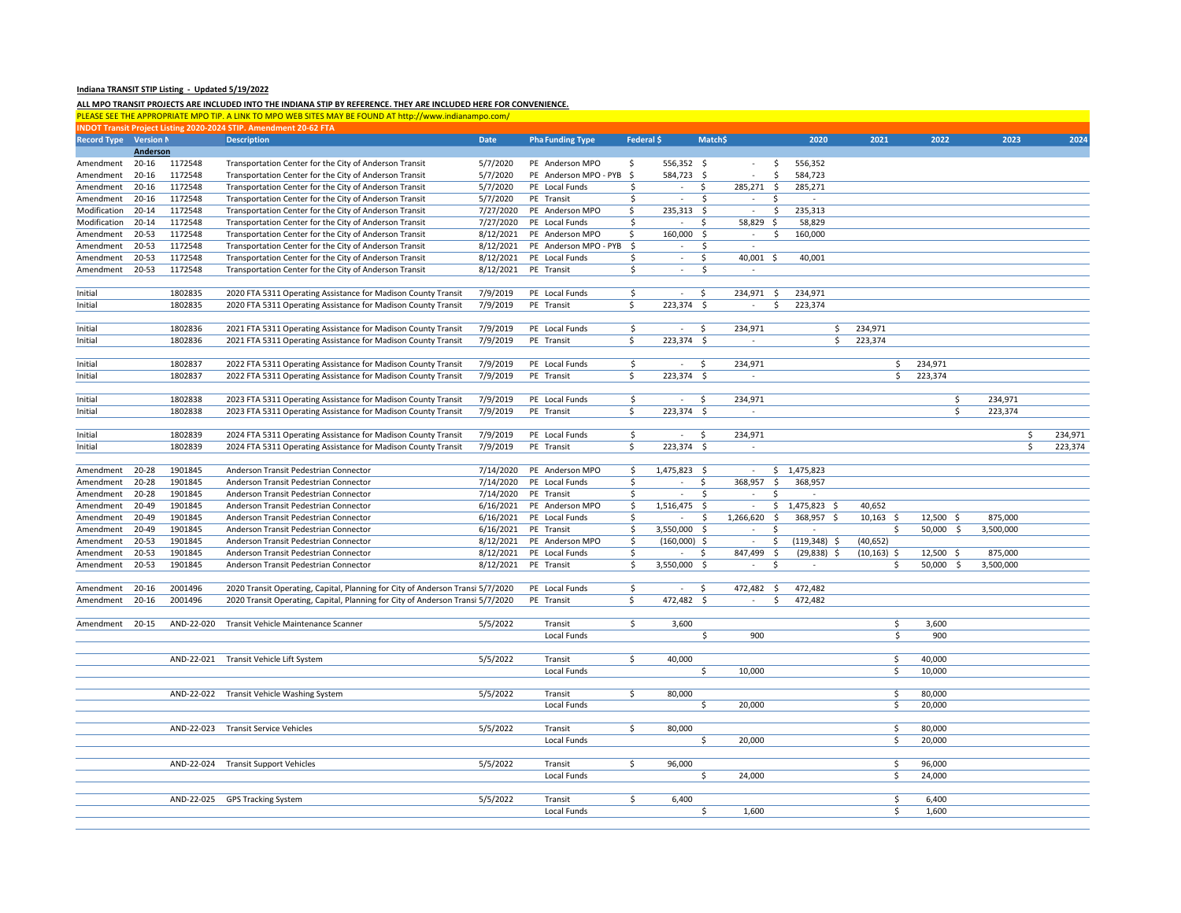## **Indiana TRANSIT STIP Listing ‐ Updated 5/19/2022**

## ALL MPO TRANSIT PROJECTS ARE INCLUDED INTO THE INDIANA STIP BY REFERENCE. THEY ARE INCLUDED HERE FOR CONVENIENCE.

|                    |           |            | PLEASE SEE THE APPROPRIATE MPO TIP. A LINK TO MPO WEB SITES MAY BE FOUND AT http://www.indianampo.com/ |             |                         |              |                             |              |                              |                 |                         |             |           |         |
|--------------------|-----------|------------|--------------------------------------------------------------------------------------------------------|-------------|-------------------------|--------------|-----------------------------|--------------|------------------------------|-----------------|-------------------------|-------------|-----------|---------|
|                    |           |            | NDOT Transit Project Listing 2020-2024 STIP. Amendment 20-62 FTA                                       |             |                         |              |                             |              |                              |                 |                         |             |           |         |
| <b>Record Type</b> | Version N |            | <b>Description</b>                                                                                     | <b>Date</b> | <b>Pha Funding Type</b> | Federal \$   |                             | Match\$      |                              | 2020            | 2021                    | 2022        | 2023      | 2024    |
|                    | Anderson  |            |                                                                                                        |             |                         |              |                             |              |                              |                 |                         |             |           |         |
| Amendment          | $20 - 16$ | 1172548    | Transportation Center for the City of Anderson Transit                                                 | 5/7/2020    | PE Anderson MPO         | \$           | 556,352 \$                  |              | $\ddot{\varsigma}$<br>$\sim$ | 556,352         |                         |             |           |         |
| Amendment          | $20 - 16$ | 1172548    | Transportation Center for the City of Anderson Transit                                                 | 5/7/2020    | PE Anderson MPO - PYB   | S.           | 584,723 \$                  |              | \$                           | 584,723         |                         |             |           |         |
| Amendment          | $20 - 16$ | 1172548    | Transportation Center for the City of Anderson Transit                                                 | 5/7/2020    | PE Local Funds          | \$           | $\sim$                      | \$.          | 285,271 \$                   | 285,271         |                         |             |           |         |
| Amendment          | $20 - 16$ | 1172548    | Transportation Center for the City of Anderson Transit                                                 | 5/7/2020    | PE Transit              | Ś            | $\mathcal{L}_{\mathcal{A}}$ | \$           | \$<br>$\sim$                 | ×.              |                         |             |           |         |
| Modification       | 20-14     | 1172548    | Transportation Center for the City of Anderson Transit                                                 | 7/27/2020   | PE Anderson MPO         | \$           | 235,313 \$                  |              | \$<br>$\sim$                 | 235,313         |                         |             |           |         |
| Modification       | $20 - 14$ | 1172548    | Transportation Center for the City of Anderson Transit                                                 | 7/27/2020   | PE Local Funds          | \$           |                             | \$           | 58,829 \$                    | 58,829          |                         |             |           |         |
| Amendment          | $20 - 53$ | 1172548    | Transportation Center for the City of Anderson Transit                                                 | 8/12/2021   | PE Anderson MPO         | \$           | 160,000                     | $\mathsf{S}$ | \$<br>$\sim$                 | 160,000         |                         |             |           |         |
| Amendment          | $20 - 53$ | 1172548    | Transportation Center for the City of Anderson Transit                                                 | 8/12/2021   | PE Anderson MPO - PYB   | -\$          | $\sim$                      | \$           | $\sim$                       |                 |                         |             |           |         |
| Amendment          | $20 - 53$ | 1172548    | Transportation Center for the City of Anderson Transit                                                 | 8/12/2021   | PE Local Funds          | \$           | $\sim$                      | \$           | 40,001 \$                    | 40,001          |                         |             |           |         |
| Amendment          | 20-53     | 1172548    | Transportation Center for the City of Anderson Transit                                                 | 8/12/2021   | PE Transit              | \$           | $\sim$                      | \$           | ÷                            |                 |                         |             |           |         |
|                    |           |            |                                                                                                        |             |                         |              |                             |              |                              |                 |                         |             |           |         |
| Initial            |           | 1802835    | 2020 FTA 5311 Operating Assistance for Madison County Transit                                          | 7/9/2019    | PE Local Funds          | \$           | $\sim$                      | S.           | 234,971 \$                   | 234,971         |                         |             |           |         |
| Initial            |           | 1802835    | 2020 FTA 5311 Operating Assistance for Madison County Transit                                          | 7/9/2019    | PE Transit              | \$           | 223,374 \$                  |              | \$<br>$\sim$                 | 223,374         |                         |             |           |         |
|                    |           |            |                                                                                                        |             |                         |              |                             |              |                              |                 |                         |             |           |         |
| Initial            |           | 1802836    | 2021 FTA 5311 Operating Assistance for Madison County Transit                                          | 7/9/2019    | PE Local Funds          | \$           | $\sim$                      | S.           | 234,971                      | \$              | 234,971                 |             |           |         |
| Initial            |           | 1802836    | 2021 FTA 5311 Operating Assistance for Madison County Transit                                          | 7/9/2019    | PE Transit              | \$           | $223,374$ \$                |              | $\sim$                       | \$              | 223,374                 |             |           |         |
|                    |           |            |                                                                                                        |             |                         |              |                             |              |                              |                 |                         |             |           |         |
| Initial            |           | 1802837    | 2022 FTA 5311 Operating Assistance for Madison County Transit                                          | 7/9/2019    | PE Local Funds          | $\mathsf{S}$ | $\sim$                      | \$.          | 234,971                      |                 | \$                      | 234,971     |           |         |
| Initial            |           | 1802837    | 2022 FTA 5311 Operating Assistance for Madison County Transit                                          | 7/9/2019    | PE Transit              | \$.          | 223,374 \$                  |              | $\sim$                       |                 | \$                      | 223,374     |           |         |
|                    |           |            |                                                                                                        |             |                         |              |                             |              |                              |                 |                         |             |           |         |
| Initial            |           | 1802838    | 2023 FTA 5311 Operating Assistance for Madison County Transit                                          | 7/9/2019    | PE Local Funds          | \$           | $\sim$                      | S.           | 234,971                      |                 |                         | \$          | 234,971   |         |
| Initial            |           | 1802838    | 2023 FTA 5311 Operating Assistance for Madison County Transit                                          | 7/9/2019    | PE Transit              | \$           | 223,374 \$                  |              | $\sim$                       |                 |                         | \$          | 223,374   |         |
|                    |           |            |                                                                                                        |             |                         |              |                             |              |                              |                 |                         |             |           |         |
| Initial            |           | 1802839    | 2024 FTA 5311 Operating Assistance for Madison County Transit                                          | 7/9/2019    | PE Local Funds          | \$           | $\sim$                      | S.           | 234,971                      |                 |                         |             | \$        | 234,971 |
| Initial            |           | 1802839    | 2024 FTA 5311 Operating Assistance for Madison County Transit                                          | 7/9/2019    | PE Transit              | \$           | $223,374$ \$                |              | $\sim$                       |                 |                         |             | \$        | 223,374 |
|                    |           |            |                                                                                                        |             |                         |              |                             |              |                              |                 |                         |             |           |         |
| Amendment          | $20 - 28$ | 1901845    | Anderson Transit Pedestrian Connector                                                                  | 7/14/2020   | PE Anderson MPO         | \$           | 1,475,823 \$                |              | $\sim$                       | \$1,475,823     |                         |             |           |         |
| Amendment          | 20-28     | 1901845    | Anderson Transit Pedestrian Connector                                                                  | 7/14/2020   | PE Local Funds          | \$           |                             | \$           | 368,957<br>-\$               | 368,957         |                         |             |           |         |
| Amendment          | $20 - 28$ | 1901845    | Anderson Transit Pedestrian Connector                                                                  | 7/14/2020   | PE Transit              | \$           | $\overline{\phantom{a}}$    | \$           | $\sim$                       |                 |                         |             |           |         |
| Amendment          | 20-49     | 1901845    | Anderson Transit Pedestrian Connector                                                                  | 6/16/2021   | PE Anderson MPO         | Ŝ            | 1,516,475 \$                |              | $\sim$                       | $$1,475,823$ \$ | 40,652                  |             |           |         |
| Amendment          | 20-49     | 1901845    | Anderson Transit Pedestrian Connector                                                                  | 6/16/2021   | PE Local Funds          | \$           | $\mathcal{L}_{\mathcal{A}}$ | \$           | 1,266,620 \$                 | 368,957 \$      | $10,163$ \$             | 12,500 \$   | 875,000   |         |
| Amendment          | 20-49     | 1901845    | Anderson Transit Pedestrian Connector                                                                  | 6/16/2021   | PE Transit              | \$           | $3,550,000$ \$              |              | \$                           |                 | \$                      | $50,000$ \$ | 3,500,000 |         |
| Amendment          | 20-53     | 1901845    | Anderson Transit Pedestrian Connector                                                                  | 8/12/2021   | PE Anderson MPO         | \$           | $(160,000)$ \$              |              | \$<br>$\sim$                 | $(119,348)$ \$  | (40, 652)               |             |           |         |
| Amendment          | 20-53     | 1901845    | Anderson Transit Pedestrian Connector                                                                  | 8/12/2021   | PE Local Funds          | \$           | $\sim$                      | S.           | 847,499<br>-\$               | $(29,838)$ \$   | $(10, 163)$ \$          | $12,500$ \$ | 875,000   |         |
| Amendment          | 20-53     | 1901845    | Anderson Transit Pedestrian Connector                                                                  | 8/12/2021   | PE Transit              | \$           | 3,550,000 \$                |              | \$<br>$\sim$                 | $\sim$          | \$                      | 50,000 \$   | 3,500,000 |         |
|                    |           |            |                                                                                                        |             |                         |              |                             |              |                              |                 |                         |             |           |         |
| Amendment          | $20 - 16$ | 2001496    | 2020 Transit Operating, Capital, Planning for City of Anderson Transi 5/7/2020                         |             | PE Local Funds          | \$           | $\sim$                      | \$           | 472,482<br>- \$              | 472,482         |                         |             |           |         |
| Amendment          | $20 - 16$ | 2001496    | 2020 Transit Operating, Capital, Planning for City of Anderson Transi 5/7/2020                         |             | PE Transit              | \$           | 472,482 \$                  |              | $\sim$<br>\$.                | 472,482         |                         |             |           |         |
|                    |           |            |                                                                                                        |             |                         |              |                             |              |                              |                 |                         |             |           |         |
| Amendment          | $20 - 15$ | AND-22-020 | Transit Vehicle Maintenance Scanner                                                                    | 5/5/2022    | Transit                 | \$           | 3,600                       |              |                              |                 | \$                      | 3,600       |           |         |
|                    |           |            |                                                                                                        |             | Local Funds             |              |                             | \$           | 900                          |                 | $\overline{\mathsf{s}}$ | 900         |           |         |
|                    |           |            |                                                                                                        |             |                         | Š.           |                             |              |                              |                 |                         |             |           |         |
|                    |           |            | AND-22-021 Transit Vehicle Lift System                                                                 | 5/5/2022    | Transit                 |              | 40,000                      |              |                              |                 | Ś                       | 40,000      |           |         |
|                    |           |            |                                                                                                        |             | Local Funds             |              |                             | \$           | 10,000                       |                 | \$                      | 10,000      |           |         |
|                    |           |            | AND-22-022 Transit Vehicle Washing System                                                              | 5/5/2022    | Transit                 | \$           | 80,000                      |              |                              |                 | \$                      | 80,000      |           |         |
|                    |           |            |                                                                                                        |             | Local Funds             |              |                             | S.           | 20,000                       |                 | \$                      | 20,000      |           |         |
|                    |           |            |                                                                                                        |             |                         |              |                             |              |                              |                 |                         |             |           |         |
|                    |           |            | AND-22-023 Transit Service Vehicles                                                                    | 5/5/2022    | Transit                 | \$           | 80,000                      |              |                              |                 | \$                      | 80,000      |           |         |
|                    |           |            |                                                                                                        |             | Local Funds             |              |                             | \$           | 20,000                       |                 | \$                      | 20,000      |           |         |
|                    |           |            |                                                                                                        |             |                         |              |                             |              |                              |                 |                         |             |           |         |
|                    |           |            | AND-22-024 Transit Support Vehicles                                                                    | 5/5/2022    | Transit                 | \$           | 96,000                      |              |                              |                 | \$                      | 96,000      |           |         |
|                    |           |            |                                                                                                        |             | Local Funds             |              |                             | \$           | 24,000                       |                 | \$                      | 24,000      |           |         |
|                    |           |            |                                                                                                        |             |                         |              |                             |              |                              |                 |                         |             |           |         |
|                    |           |            | AND-22-025 GPS Tracking System                                                                         | 5/5/2022    | Transit                 | Ŝ.           | 6,400                       |              |                              |                 | \$                      | 6,400       |           |         |
|                    |           |            |                                                                                                        |             | Local Funds             |              |                             | \$           | 1,600                        |                 | \$                      | 1,600       |           |         |
|                    |           |            |                                                                                                        |             |                         |              |                             |              |                              |                 |                         |             |           |         |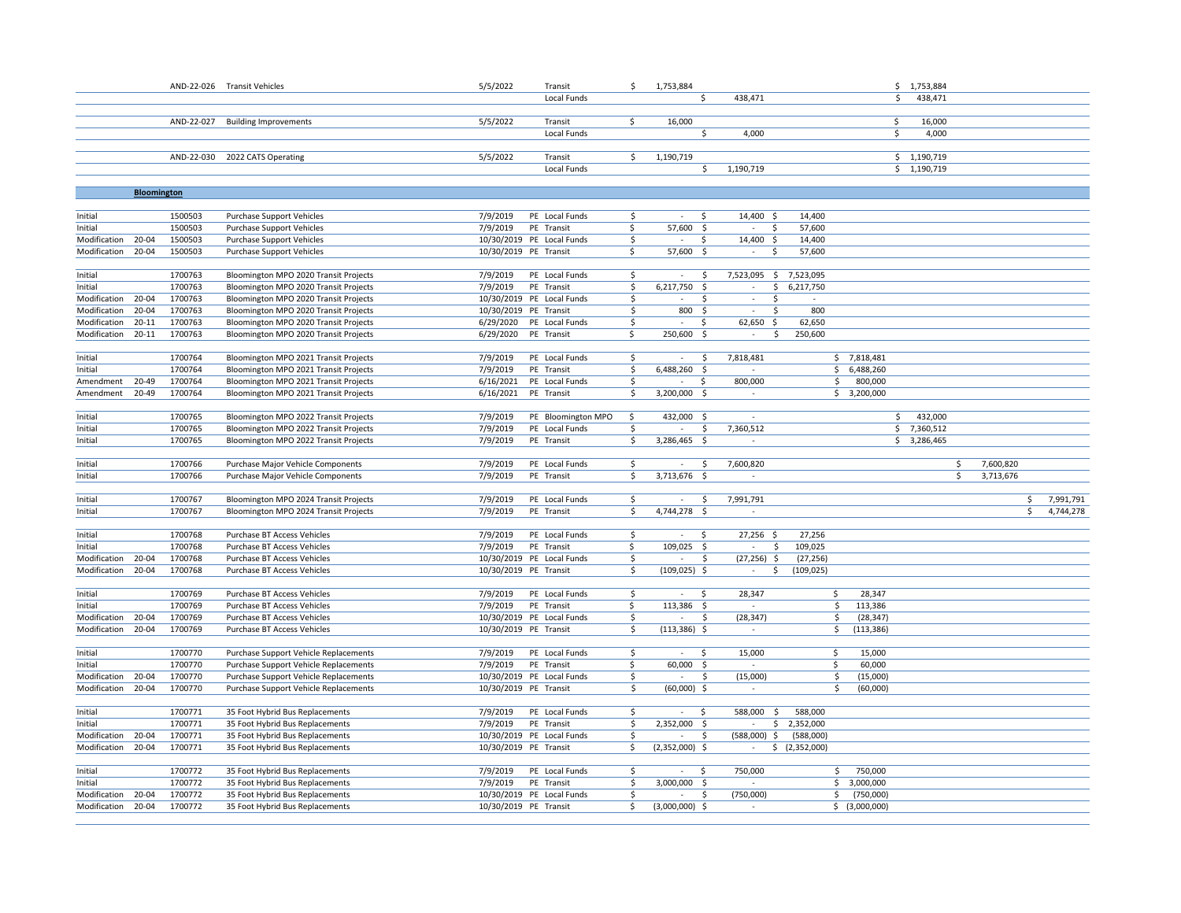|                                    |                    |                    | AND-22-026 Transit Vehicles                                                    | 5/5/2022               | Transit                              | \$       | 1,753,884                                           |                                       |                   |                | \$1,753,884                |                 |           |
|------------------------------------|--------------------|--------------------|--------------------------------------------------------------------------------|------------------------|--------------------------------------|----------|-----------------------------------------------------|---------------------------------------|-------------------|----------------|----------------------------|-----------------|-----------|
|                                    |                    |                    |                                                                                |                        | Local Funds                          |          | Ŝ.                                                  | 438,471                               |                   |                | \$<br>438,471              |                 |           |
|                                    |                    |                    |                                                                                |                        |                                      |          |                                                     |                                       |                   |                |                            |                 |           |
|                                    |                    |                    | AND-22-027 Building Improvements                                               | 5/5/2022               | Transit                              | \$       | 16,000                                              |                                       |                   |                | \$<br>16,000               |                 |           |
|                                    |                    |                    |                                                                                |                        | Local Funds                          |          | Ś.                                                  | 4.000                                 |                   |                | \$<br>4,000                |                 |           |
|                                    |                    |                    | AND-22-030 2022 CATS Operating                                                 | 5/5/2022               | Transit                              | \$       | 1,190,719                                           |                                       |                   |                | \$1,190,719                |                 |           |
|                                    |                    |                    |                                                                                |                        | Local Funds                          |          | \$                                                  | 1,190,719                             |                   |                | \$1,190,719                |                 |           |
|                                    |                    |                    |                                                                                |                        |                                      |          |                                                     |                                       |                   |                |                            |                 |           |
|                                    | <b>Bloomington</b> |                    |                                                                                |                        |                                      |          |                                                     |                                       |                   |                |                            |                 |           |
| Initial                            |                    | 1500503            | <b>Purchase Support Vehicles</b>                                               | 7/9/2019               | PE Local Funds                       | \$       | \$<br>$\sim$                                        | 14,400 \$                             | 14,400            |                |                            |                 |           |
| Initial                            |                    | 1500503            | <b>Purchase Support Vehicles</b>                                               | 7/9/2019               | PE Transit                           | \$       | 57,600<br>-\$                                       | \$<br>$\sim$                          | 57,600            |                |                            |                 |           |
| Modification                       | 20-04              | 1500503            | <b>Purchase Support Vehicles</b>                                               |                        | 10/30/2019 PE Local Funds            | \$       | \$<br>$\sim$                                        | 14,400 \$                             | 14,400            |                |                            |                 |           |
| Modification                       | 20-04              | 1500503            | <b>Purchase Support Vehicles</b>                                               | 10/30/2019 PE Transit  |                                      | \$       | 57,600<br>- Ś                                       | Ś<br>$\sim$                           | 57,600            |                |                            |                 |           |
|                                    |                    |                    |                                                                                |                        |                                      |          |                                                     |                                       |                   |                |                            |                 |           |
| Initial                            |                    | 1700763            | Bloomington MPO 2020 Transit Projects                                          | 7/9/2019               | PE Local Funds                       | \$       | Ŝ.<br>$\sim$                                        | 7,523,095 \$ 7,523,095                |                   |                |                            |                 |           |
| Initial                            |                    | 1700763            | Bloomington MPO 2020 Transit Projects                                          | 7/9/2019               | PE Transit                           | \$       | 6,217,750<br>- \$                                   | $\sim$<br>\$                          | 6,217,750         |                |                            |                 |           |
| Modification                       | 20-04              | 1700763            | Bloomington MPO 2020 Transit Projects                                          |                        | 10/30/2019 PE Local Funds            | \$       | $\mathcal{L}_{\mathcal{A}}$<br>\$                   | \$<br>$\overline{\phantom{a}}$        |                   |                |                            |                 |           |
| Modification                       | $20 - 04$          | 1700763            | Bloomington MPO 2020 Transit Projects                                          | 10/30/2019 PE Transit  |                                      | \$       | 800 \$<br>÷,                                        | S.<br>$\overline{\phantom{a}}$        | 800               |                |                            |                 |           |
| Modification<br>Modification 20-11 | $20 - 11$          | 1700763<br>1700763 | Bloomington MPO 2020 Transit Projects<br>Bloomington MPO 2020 Transit Projects | 6/29/2020<br>6/29/2020 | PE Local Funds<br>PE Transit         | \$<br>\$ | \$<br>250,600 \$                                    | 62,650 \$<br>$\sim$<br>\$             | 62,650<br>250,600 |                |                            |                 |           |
|                                    |                    |                    |                                                                                |                        |                                      |          |                                                     |                                       |                   |                |                            |                 |           |
| Initial                            |                    | 1700764            | Bloomington MPO 2021 Transit Projects                                          | 7/9/2019               | PE Local Funds                       | \$       | \$<br>$\sim$                                        | 7,818,481                             |                   | \$7,818,481    |                            |                 |           |
| Initial                            |                    | 1700764            | Bloomington MPO 2021 Transit Projects                                          | 7/9/2019               | PE Transit                           | \$       | 6,488,260 \$                                        | ÷                                     |                   | \$6,488,260    |                            |                 |           |
| Amendment                          | 20-49              | 1700764            | Bloomington MPO 2021 Transit Projects                                          | 6/16/2021              | PE Local Funds                       | \$       | \$                                                  | 800,000                               | \$                | 800,000        |                            |                 |           |
| Amendment                          | 20-49              | 1700764            | Bloomington MPO 2021 Transit Projects                                          | 6/16/2021              | PE Transit                           | \$       | 3,200,000<br>- \$                                   | $\sim$                                |                   | \$3,200,000    |                            |                 |           |
|                                    |                    |                    |                                                                                |                        |                                      |          |                                                     |                                       |                   |                |                            |                 |           |
| Initial                            |                    | 1700765            | Bloomington MPO 2022 Transit Projects                                          | 7/9/2019               | PE Bloomington MPO<br>PE Local Funds | \$       | 432,000 \$                                          | $\sim$                                |                   |                | 432,000<br>\$              |                 |           |
| Initial<br>Initial                 |                    | 1700765<br>1700765 | Bloomington MPO 2022 Transit Projects<br>Bloomington MPO 2022 Transit Projects | 7/9/2019<br>7/9/2019   | PE Transit                           | \$<br>\$ | \$<br>$\overline{\phantom{a}}$<br>3,286,465<br>- \$ | 7,360,512<br>$\overline{\phantom{a}}$ |                   |                | \$7,360,512<br>\$3,286,465 |                 |           |
|                                    |                    |                    |                                                                                |                        |                                      |          |                                                     |                                       |                   |                |                            |                 |           |
| Initial                            |                    | 1700766            | Purchase Major Vehicle Components                                              | 7/9/2019               | PE Local Funds                       | \$       | S.<br>$\sim$                                        | 7,600,820                             |                   |                |                            | 7,600,820<br>\$ |           |
| Initial                            |                    | 1700766            | Purchase Major Vehicle Components                                              | 7/9/2019               | PE Transit                           | \$       | 3,713,676 \$                                        |                                       |                   |                |                            | \$<br>3,713,676 |           |
|                                    |                    |                    |                                                                                |                        |                                      |          |                                                     |                                       |                   |                |                            |                 |           |
| Initial                            |                    | 1700767            | Bloomington MPO 2024 Transit Projects                                          | 7/9/2019               | PE Local Funds                       | \$       | \$<br>$\overline{\phantom{a}}$                      | 7,991,791                             |                   |                |                            | \$              | 7,991,791 |
| Initial                            |                    | 1700767            | Bloomington MPO 2024 Transit Projects                                          | 7/9/2019               | PE Transit                           | \$       | 4,744,278<br>- \$                                   |                                       |                   |                |                            | \$              | 4,744,278 |
| Initial                            |                    | 1700768            | Purchase BT Access Vehicles                                                    | 7/9/2019               | PE Local Funds                       | \$       | -\$<br>$\sim$                                       | 27,256 \$                             | 27,256            |                |                            |                 |           |
| Initial                            |                    | 1700768            | Purchase BT Access Vehicles                                                    | 7/9/2019               | PE Transit                           | \$       | 109,025<br>-\$                                      | \$<br>$\sim$                          | 109,025           |                |                            |                 |           |
| Modification                       | 20-04              | 1700768            | Purchase BT Access Vehicles                                                    |                        | 10/30/2019 PE Local Funds            | \$       | $\overline{\phantom{a}}$<br>S                       | $(27, 256)$ \$                        | (27, 256)         |                |                            |                 |           |
| Modification                       | 20-04              | 1700768            | <b>Purchase BT Access Vehicles</b>                                             | 10/30/2019 PE Transit  |                                      | \$       | $(109, 025)$ \$                                     | \$<br>$\sim$                          | (109, 025)        |                |                            |                 |           |
|                                    |                    |                    |                                                                                |                        |                                      |          |                                                     |                                       |                   |                |                            |                 |           |
| Initial                            |                    | 1700769            | Purchase BT Access Vehicles                                                    | 7/9/2019               | PE Local Funds                       | \$       | -S<br>$\sim$                                        | 28,347                                | \$                | 28,347         |                            |                 |           |
| Initial                            |                    | 1700769            | Purchase BT Access Vehicles                                                    | 7/9/2019               | PE Transit                           | \$       | 113,386 \$                                          |                                       | \$                | 113,386        |                            |                 |           |
| Modification                       | 20-04              | 1700769            | Purchase BT Access Vehicles                                                    |                        | 10/30/2019 PE Local Funds            | \$       | Ŝ<br>$\sim$                                         | (28, 347)                             | \$                | (28, 347)      |                            |                 |           |
| Modification                       | 20-04              | 1700769            | Purchase BT Access Vehicles                                                    | 10/30/2019 PE Transit  |                                      | Ś.       | $(113, 386)$ \$                                     | $\sim$                                | Ś.                | (113, 386)     |                            |                 |           |
| Initial                            |                    | 1700770            | Purchase Support Vehicle Replacements                                          | 7/9/2019               | PE Local Funds                       | \$       | \$<br>$\sim$                                        | 15,000                                | \$                | 15,000         |                            |                 |           |
| Initial                            |                    | 1700770            | Purchase Support Vehicle Replacements                                          | 7/9/2019               | PE Transit                           | \$       | 60,000<br>$\ddot{\mathsf{S}}$                       |                                       | \$                | 60,000         |                            |                 |           |
| Modification                       | 20-04              | 1700770            | Purchase Support Vehicle Replacements                                          |                        | 10/30/2019 PE Local Funds            | \$       | $\overline{\phantom{a}}$<br>Ŝ                       | (15,000)                              | \$                | (15,000)       |                            |                 |           |
| Modification                       | $20 - 04$          | 1700770            | Purchase Support Vehicle Replacements                                          | 10/30/2019 PE Transit  |                                      | \$       | $(60,000)$ \$                                       | $\sim$                                | \$                | (60,000)       |                            |                 |           |
|                                    |                    |                    |                                                                                |                        |                                      |          |                                                     |                                       |                   |                |                            |                 |           |
| Initial                            |                    | 1700771            | 35 Foot Hybrid Bus Replacements                                                | 7/9/2019               | PE Local Funds                       | \$       | \$<br>$\sim$                                        | 588,000<br>$\zeta$                    | 588,000           |                |                            |                 |           |
| Initial                            |                    | 1700771            | 35 Foot Hybrid Bus Replacements                                                | 7/9/2019               | PE Transit                           | \$       | 2,352,000 \$                                        | $\sim$                                | \$2,352,000       |                |                            |                 |           |
| Modification                       | 20-04              | 1700771            | 35 Foot Hybrid Bus Replacements                                                |                        | 10/30/2019 PE Local Funds            | \$       | $\sim$<br>-\$                                       | (588,000)<br>\$                       | (588,000)         |                |                            |                 |           |
| Modification 20-04                 |                    | 1700771            | 35 Foot Hybrid Bus Replacements                                                | 10/30/2019 PE Transit  |                                      | \$       | $(2,352,000)$ \$                                    | $\sim$                                | \$ (2,352,000)    |                |                            |                 |           |
| Initial                            |                    | 1700772            | 35 Foot Hybrid Bus Replacements                                                | 7/9/2019               | PE Local Funds                       | \$       | S.                                                  | 750,000                               | \$                | 750,000        |                            |                 |           |
| Initial                            |                    | 1700772            | 35 Foot Hybrid Bus Replacements                                                | 7/9/2019               | PE Transit                           | \$       | 3,000,000 \$                                        | $\sim$                                |                   | \$3,000,000    |                            |                 |           |
| Modification                       | 20-04              | 1700772            | 35 Foot Hybrid Bus Replacements                                                |                        | 10/30/2019 PE Local Funds            | \$       | \$                                                  | (750,000)                             | \$                | (750,000)      |                            |                 |           |
| Modification 20-04                 |                    | 1700772            | 35 Foot Hybrid Bus Replacements                                                | 10/30/2019 PE Transit  |                                      | \$       | $(3,000,000)$ \$                                    | $\sim$                                |                   | \$ (3,000,000) |                            |                 |           |
|                                    |                    |                    |                                                                                |                        |                                      |          |                                                     |                                       |                   |                |                            |                 |           |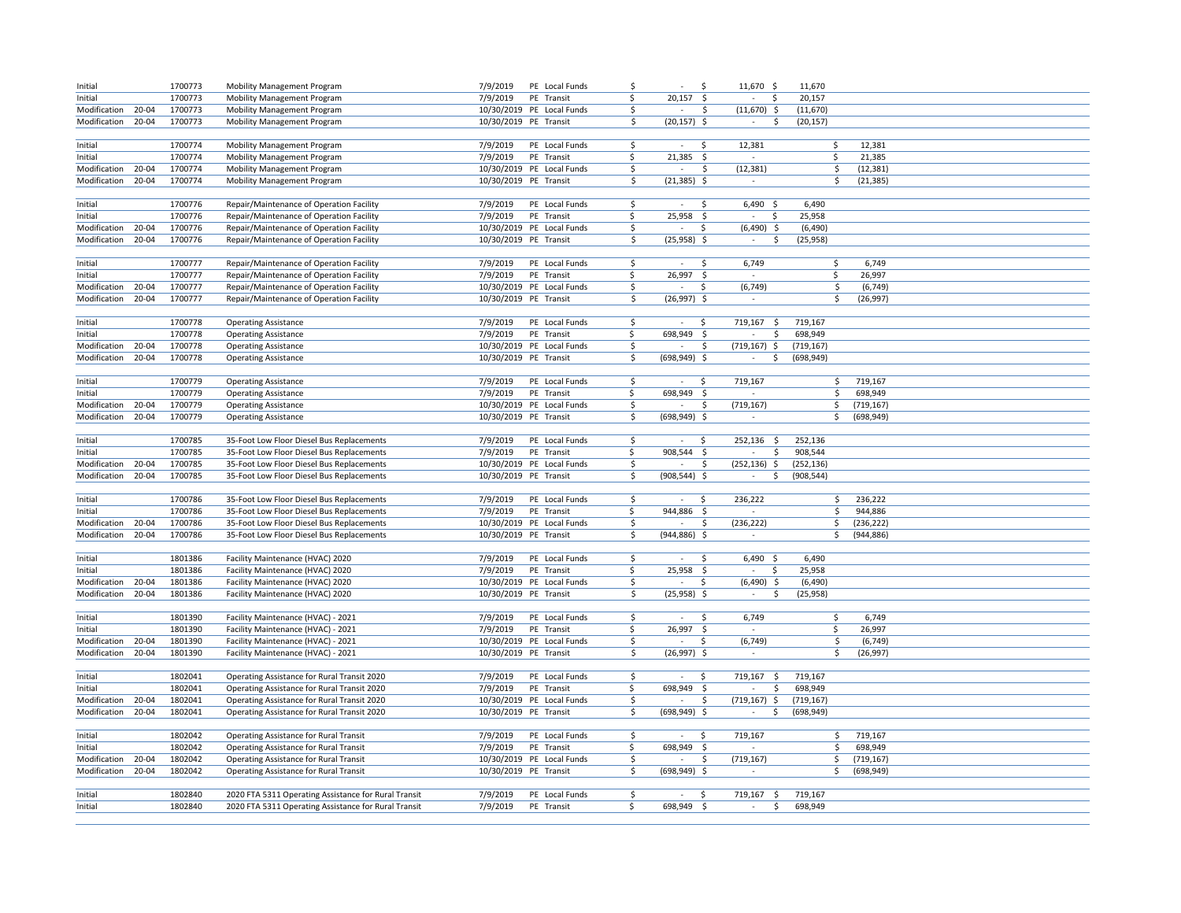| Initial            |       | 1700773 | <b>Mobility Management Program</b>                   | 7/9/2019              | PE Local Funds            | Ś                   |                 | -\$                 | 11,670 \$                      | 11,670     |     |            |  |  |
|--------------------|-------|---------|------------------------------------------------------|-----------------------|---------------------------|---------------------|-----------------|---------------------|--------------------------------|------------|-----|------------|--|--|
| Initial            |       | 1700773 | <b>Mobility Management Program</b>                   | 7/9/2019              | PE Transit                | <sup>\$</sup>       | 20,157          | -\$                 | \$                             | 20,157     |     |            |  |  |
| Modification 20-04 |       | 1700773 | <b>Mobility Management Program</b>                   |                       | 10/30/2019 PE Local Funds | \$                  | $\sim$          | \$                  | $(11,670)$ \$                  | (11,670)   |     |            |  |  |
| Modification 20-04 |       | 1700773 | <b>Mobility Management Program</b>                   | 10/30/2019 PE Transit |                           | Ŝ.                  | $(20, 157)$ \$  |                     | $\sim$<br>S.                   | (20, 157)  |     |            |  |  |
|                    |       |         |                                                      |                       |                           |                     |                 |                     |                                |            |     |            |  |  |
| Initial            |       | 1700774 | <b>Mobility Management Program</b>                   | 7/9/2019              | PE Local Funds            | \$                  | $\sim$          | Ŝ.                  | 12,381                         |            | \$  | 12,381     |  |  |
| Initial            |       | 1700774 | <b>Mobility Management Program</b>                   | 7/9/2019              | PE Transit                | \$                  | 21,385          | \$                  |                                |            | \$  | 21,385     |  |  |
| Modification       | 20-04 | 1700774 | Mobility Management Program                          |                       | 10/30/2019 PE Local Funds | Ŝ.                  | $\sim$          | \$                  | (12, 381)                      |            | Ś   | (12, 381)  |  |  |
| Modification       | 20-04 | 1700774 | <b>Mobility Management Program</b>                   | 10/30/2019 PE Transit |                           | \$                  | $(21, 385)$ \$  |                     | $\sim$                         |            | \$  | (21, 385)  |  |  |
|                    |       |         |                                                      |                       |                           |                     |                 |                     |                                |            |     |            |  |  |
| Initial            |       | 1700776 | Repair/Maintenance of Operation Facility             | 7/9/2019              | PE Local Funds            | \$                  | $\sim$          | Ŝ.                  | $6,490$ \$                     | 6,490      |     |            |  |  |
| Initial            |       | 1700776 | Repair/Maintenance of Operation Facility             | 7/9/2019              | PE Transit                | \$                  | 25,958          | $\ddot{\mathsf{s}}$ | \$                             | 25,958     |     |            |  |  |
| Modification       | 20-04 | 1700776 | Repair/Maintenance of Operation Facility             |                       | 10/30/2019 PE Local Funds | \$                  | $\sim$          | \$                  | $(6,490)$ \$                   | (6, 490)   |     |            |  |  |
| Modification       | 20-04 | 1700776 | Repair/Maintenance of Operation Facility             | 10/30/2019 PE Transit |                           | \$                  | $(25,958)$ \$   |                     | $\sim$<br>S.                   | (25, 958)  |     |            |  |  |
|                    |       |         |                                                      |                       |                           |                     |                 |                     |                                |            |     |            |  |  |
| Initial            |       | 1700777 | Repair/Maintenance of Operation Facility             | 7/9/2019              | PE Local Funds            | \$                  | $\sim$          | \$.                 | 6,749                          |            | \$  | 6,749      |  |  |
| Initial            |       | 1700777 | Repair/Maintenance of Operation Facility             | 7/9/2019              | PE Transit                | \$                  | 26,997          | -\$                 |                                |            | -\$ | 26,997     |  |  |
| Modification       | 20-04 | 1700777 | Repair/Maintenance of Operation Facility             |                       | 10/30/2019 PE Local Funds | \$                  | $\sim$          | \$                  | (6, 749)                       |            | \$  | (6, 749)   |  |  |
| Modification       | 20-04 | 1700777 | Repair/Maintenance of Operation Facility             | 10/30/2019 PE Transit |                           | \$                  | $(26,997)$ \$   |                     | $\sim$                         |            | \$  | (26, 997)  |  |  |
|                    |       |         |                                                      |                       |                           |                     |                 |                     |                                |            |     |            |  |  |
| Initial            |       | 1700778 | <b>Operating Assistance</b>                          | 7/9/2019              | PE Local Funds            | \$                  | $\sim$          | S,                  | 719,167<br>-\$                 | 719,167    |     |            |  |  |
| Initial            |       | 1700778 | <b>Operating Assistance</b>                          | 7/9/2019              | PE Transit                | \$                  | 698,949         | -\$                 | \$                             | 698,949    |     |            |  |  |
| Modification       | 20-04 | 1700778 | <b>Operating Assistance</b>                          |                       | 10/30/2019 PE Local Funds | \$                  | $\sim$          | \$                  | $(719, 167)$ \$                | (719, 167) |     |            |  |  |
| Modification       | 20-04 | 1700778 | <b>Operating Assistance</b>                          | 10/30/2019 PE Transit |                           | \$                  | $(698, 949)$ \$ |                     | $\sim$<br>-\$                  | (698, 949) |     |            |  |  |
|                    |       |         |                                                      |                       |                           |                     |                 |                     |                                |            |     |            |  |  |
| Initial            |       | 1700779 | <b>Operating Assistance</b>                          | 7/9/2019              | PE Local Funds            | \$                  | $\sim$          | \$                  | 719,167                        |            | \$  | 719,167    |  |  |
| Initial            |       | 1700779 | <b>Operating Assistance</b>                          | 7/9/2019              | PE Transit                | \$                  | 698,949         | \$                  |                                |            | \$  | 698,949    |  |  |
| Modification       | 20-04 | 1700779 | <b>Operating Assistance</b>                          |                       | 10/30/2019 PE Local Funds | $\ddot{\mathsf{S}}$ | $\sim$          | \$                  | (719, 167)                     |            | \$  | (719, 167) |  |  |
| Modification       | 20-04 | 1700779 | <b>Operating Assistance</b>                          | 10/30/2019 PE Transit |                           | \$                  | $(698, 949)$ \$ |                     | $\sim$                         |            | \$  | (698, 949) |  |  |
|                    |       |         |                                                      |                       |                           |                     |                 |                     |                                |            |     |            |  |  |
| Initial            |       | 1700785 | 35-Foot Low Floor Diesel Bus Replacements            | 7/9/2019              | PE Local Funds            | \$                  | $\sim$          | \$                  | 252,136<br>\$                  | 252,136    |     |            |  |  |
| Initial            |       | 1700785 | 35-Foot Low Floor Diesel Bus Replacements            | 7/9/2019              | PE Transit                | \$                  | 908,544 \$      |                     | \$                             | 908,544    |     |            |  |  |
| Modification       | 20-04 | 1700785 | 35-Foot Low Floor Diesel Bus Replacements            |                       | 10/30/2019 PE Local Funds | \$                  | $\sim$          | \$                  | $(252, 136)$ \$                | (252, 136) |     |            |  |  |
| Modification       | 20-04 | 1700785 | 35-Foot Low Floor Diesel Bus Replacements            | 10/30/2019 PE Transit |                           | \$                  | $(908, 544)$ \$ |                     | \$<br>$\sim$                   | (908, 544) |     |            |  |  |
|                    |       |         |                                                      |                       |                           |                     |                 |                     |                                |            |     |            |  |  |
| Initial            |       | 1700786 | 35-Foot Low Floor Diesel Bus Replacements            | 7/9/2019              | PE Local Funds            | \$                  | $\sim$          | \$                  | 236,222                        |            | \$  | 236,222    |  |  |
| Initial            |       | 1700786 | 35-Foot Low Floor Diesel Bus Replacements            | 7/9/2019              | PE Transit                | \$                  | 944,886 \$      |                     |                                |            | Ś.  | 944,886    |  |  |
| Modification       | 20-04 | 1700786 | 35-Foot Low Floor Diesel Bus Replacements            |                       | 10/30/2019 PE Local Funds | \$                  |                 | \$                  | (236, 222)                     |            | \$  | (236, 222) |  |  |
| Modification       | 20-04 | 1700786 | 35-Foot Low Floor Diesel Bus Replacements            | 10/30/2019 PE Transit |                           | \$                  | $(944, 886)$ \$ |                     | $\sim$                         |            | \$  | (944, 886) |  |  |
|                    |       |         |                                                      |                       |                           |                     |                 |                     |                                |            |     |            |  |  |
| Initial            |       | 1801386 | Facility Maintenance (HVAC) 2020                     | 7/9/2019              | PE Local Funds            | \$                  | $\sim$          | Ś                   | $6,490$ \$                     | 6,490      |     |            |  |  |
| Initial            |       | 1801386 | Facility Maintenance (HVAC) 2020                     | 7/9/2019              | PE Transit                | \$                  | 25,958          | - \$                | -\$<br>$\sim$                  | 25,958     |     |            |  |  |
| Modification       | 20-04 | 1801386 | Facility Maintenance (HVAC) 2020                     |                       | 10/30/2019 PE Local Funds | Ś                   | $\sim$          | Ŝ.                  | $(6,490)$ \$                   | (6, 490)   |     |            |  |  |
| Modification       | 20-04 | 1801386 | Facility Maintenance (HVAC) 2020                     | 10/30/2019 PE Transit |                           | Ś                   | $(25,958)$ \$   |                     | \$<br>$\sim$                   | (25, 958)  |     |            |  |  |
|                    |       |         |                                                      |                       |                           |                     |                 |                     |                                |            |     |            |  |  |
| Initial            |       | 1801390 | Facility Maintenance (HVAC) - 2021                   | 7/9/2019              | PE Local Funds            | \$                  | $\sim$          | \$.                 | 6,749                          |            | \$  | 6,749      |  |  |
| Initial            |       | 1801390 | Facility Maintenance (HVAC) - 2021                   | 7/9/2019              | PE Transit                | \$                  | 26,997          | -\$                 |                                |            | Ŝ.  | 26,997     |  |  |
| Modification       | 20-04 | 1801390 | Facility Maintenance (HVAC) - 2021                   |                       | 10/30/2019 PE Local Funds | Ś                   |                 | Ś                   | (6, 749)                       |            | Ś   | (6, 749)   |  |  |
| Modification       | 20-04 | 1801390 | Facility Maintenance (HVAC) - 2021                   | 10/30/2019 PE Transit |                           | \$                  | $(26,997)$ \$   |                     | $\sim$                         |            | \$  | (26,997)   |  |  |
|                    |       |         |                                                      |                       |                           |                     |                 |                     |                                |            |     |            |  |  |
| Initial            |       | 1802041 | Operating Assistance for Rural Transit 2020          | 7/9/2019              | PE Local Funds            | \$                  | $\sim$          | S.                  | 719,167<br>-S                  | 719,167    |     |            |  |  |
| Initial            |       | 1802041 | Operating Assistance for Rural Transit 2020          | 7/9/2019              | PE Transit                | \$                  | 698,949         | -\$                 | \$                             | 698,949    |     |            |  |  |
| Modification       | 20-04 | 1802041 | Operating Assistance for Rural Transit 2020          |                       | 10/30/2019 PE Local Funds | Ś                   |                 | Ś                   | $(719, 167)$ \$                | (719, 167) |     |            |  |  |
| Modification 20-04 |       | 1802041 | Operating Assistance for Rural Transit 2020          | 10/30/2019 PE Transit |                           | \$                  | $(698, 949)$ \$ |                     | \$<br>$\sim$                   | (698, 949) |     |            |  |  |
|                    |       |         |                                                      |                       |                           |                     |                 |                     |                                |            |     |            |  |  |
| Initial            |       | 1802042 | Operating Assistance for Rural Transit               | 7/9/2019              | PE Local Funds            | Ŝ.                  | $\sim$          | S.                  | 719,167                        |            | \$  | 719,167    |  |  |
| Initial            |       | 1802042 | Operating Assistance for Rural Transit               | 7/9/2019              | PE Transit                | \$                  | 698,949         | -\$                 | $\sim$                         |            | Ŝ.  | 698,949    |  |  |
| Modification       | 20-04 | 1802042 | Operating Assistance for Rural Transit               |                       | 10/30/2019 PE Local Funds | Ŝ.                  |                 | \$                  | (719, 167)                     |            | Ś   | (719, 167) |  |  |
| Modification       | 20-04 | 1802042 | Operating Assistance for Rural Transit               | 10/30/2019 PE Transit |                           | Ŝ.                  | $(698, 949)$ \$ |                     | $\sim$                         |            | \$  | (698, 949) |  |  |
|                    |       |         |                                                      |                       |                           |                     |                 |                     |                                |            |     |            |  |  |
| Initial            |       | 1802840 | 2020 FTA 5311 Operating Assistance for Rural Transit | 7/9/2019              | PE Local Funds            | Ŝ.                  | $\sim$          | S.                  | 719,167<br>-\$                 | 719,167    |     |            |  |  |
| Initial            |       | 1802840 | 2020 FTA 5311 Operating Assistance for Rural Transit | 7/9/2019              | PE Transit                | \$.                 | 698,949         | - \$                | \$<br>$\overline{\phantom{a}}$ | 698,949    |     |            |  |  |
|                    |       |         |                                                      |                       |                           |                     |                 |                     |                                |            |     |            |  |  |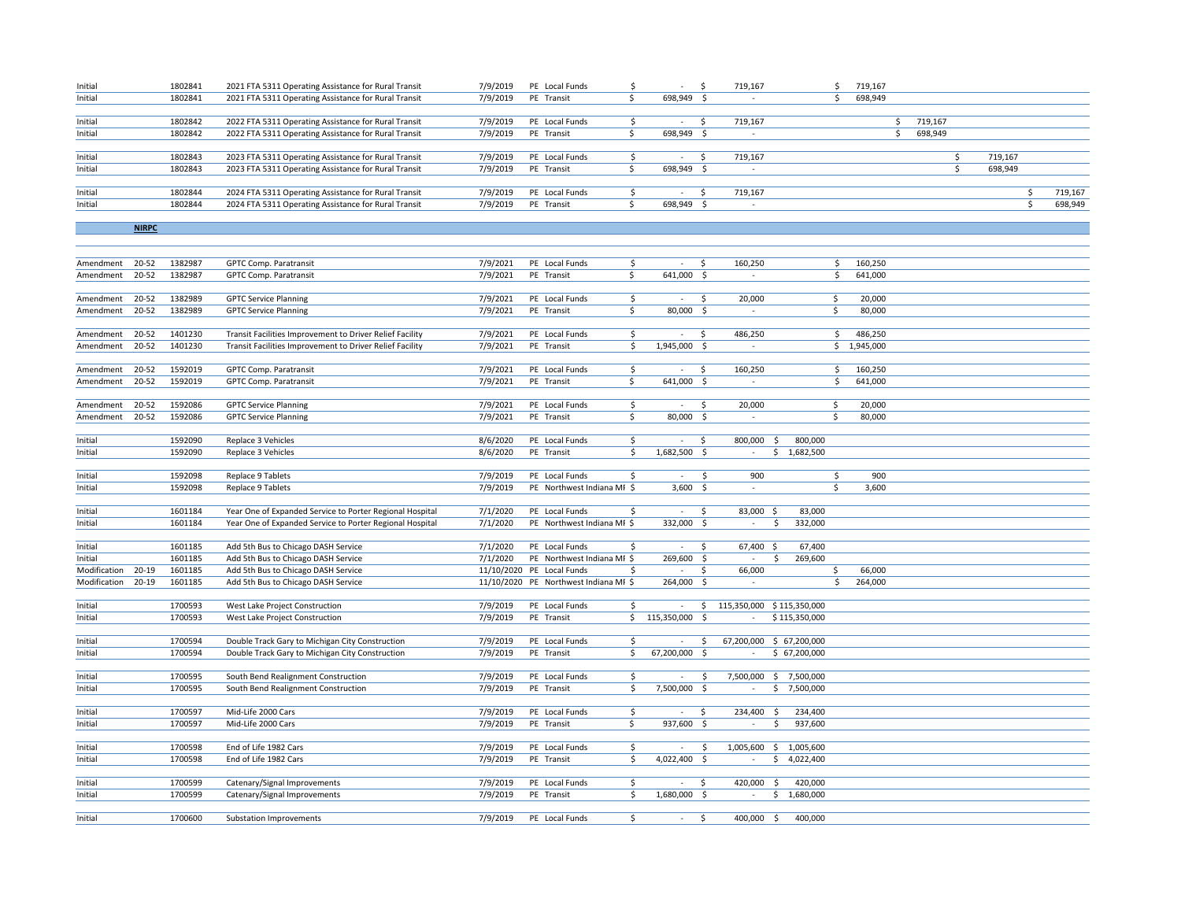| Initial | 1802841 | 2021 FTA 5311 Operating Assistance for Rural Transit | 7/9/2019 | PE Local Funds |            | 719,167 | 719,167 |         |         |         |
|---------|---------|------------------------------------------------------|----------|----------------|------------|---------|---------|---------|---------|---------|
| Initial | 1802841 | 2021 FTA 5311 Operating Assistance for Rural Transit | 7/9/2019 | PE Transit     | 698,949 \$ |         | 698,949 |         |         |         |
|         |         |                                                      |          |                |            |         |         |         |         |         |
| Initial | 1802842 | 2022 FTA 5311 Operating Assistance for Rural Transit | 7/9/2019 | PE Local Funds |            | 719,167 |         | 719.167 |         |         |
| Initial | 1802842 | 2022 FTA 5311 Operating Assistance for Rural Transit | 7/9/2019 | PE Transit     | 698,949 \$ |         |         | 698,949 |         |         |
|         |         |                                                      |          |                |            |         |         |         |         |         |
| Initial | 1802843 | 2023 FTA 5311 Operating Assistance for Rural Transit | 7/9/2019 | PE Local Funds |            | 719.167 |         |         | 719.167 |         |
| Initial | 1802843 | 2023 FTA 5311 Operating Assistance for Rural Transit | 7/9/2019 | PE Transit     | 698,949 \$ |         |         |         | 698,949 |         |
|         |         |                                                      |          |                |            |         |         |         |         |         |
| Initial | 1802844 | 2024 FTA 5311 Operating Assistance for Rural Transit | 7/9/2019 | PE Local Funds |            | 719,167 |         |         |         | 719.167 |
| Initial | 1802844 | 2024 FTA 5311 Operating Assistance for Rural Transit | 7/9/2019 | PE Transit     | 698,949 \$ |         |         |         |         | 698,949 |
|         |         |                                                      |          |                |            |         |         |         |         |         |

**NIRPC**

| Amendment    | 20-52     | 1382987 | <b>GPTC Comp. Paratransit</b>                            | 7/9/2021 | PE Local Funds                        | \$  | $\sim$          | S.            | 160,250                                     | \$ | 160,250     |  |  |
|--------------|-----------|---------|----------------------------------------------------------|----------|---------------------------------------|-----|-----------------|---------------|---------------------------------------------|----|-------------|--|--|
| Amendment    | 20-52     | 1382987 | GPTC Comp. Paratransit                                   | 7/9/2021 | PE Transit                            | Ś.  | 641,000 \$      |               | ×,                                          | Ś. | 641,000     |  |  |
|              |           |         |                                                          |          |                                       |     |                 |               |                                             |    |             |  |  |
| Amendment    | $20 - 52$ | 1382989 | <b>GPTC Service Planning</b>                             | 7/9/2021 | PE Local Funds                        | S.  | $\sim$          | $\zeta$       | 20,000                                      | \$ | 20,000      |  |  |
| Amendment    | $20 - 52$ | 1382989 | <b>GPTC Service Planning</b>                             | 7/9/2021 | PE Transit                            | \$  | 80,000 \$       |               | $\overline{\phantom{a}}$                    | \$ | 80,000      |  |  |
|              |           |         |                                                          |          |                                       |     |                 |               |                                             |    |             |  |  |
| Amendment    | 20-52     | 1401230 | Transit Facilities Improvement to Driver Relief Facility | 7/9/2021 | PE Local Funds                        | Ś   | $\sim$          | S.            | 486,250                                     | Ś. | 486,250     |  |  |
| Amendment    | 20-52     | 1401230 | Transit Facilities Improvement to Driver Relief Facility | 7/9/2021 | PE Transit                            | Ŝ   | 1,945,000 \$    |               | $\sim$                                      |    | \$1,945,000 |  |  |
|              |           |         |                                                          |          |                                       |     |                 |               |                                             |    |             |  |  |
| Amendment    | 20-52     | 1592019 | <b>GPTC Comp. Paratransit</b>                            | 7/9/2021 | PE Local Funds                        | \$  | $\sim$          | - \$          | 160,250                                     | \$ | 160,250     |  |  |
| Amendment    | $20 - 52$ | 1592019 | GPTC Comp. Paratransit                                   | 7/9/2021 | PE Transit                            | Ŝ.  | 641,000 \$      |               | $\sim$                                      | \$ | 641,000     |  |  |
|              |           |         |                                                          |          |                                       |     |                 |               |                                             |    |             |  |  |
| Amendment    | 20-52     | 1592086 | <b>GPTC Service Planning</b>                             | 7/9/2021 | PE Local Funds                        | \$  | $\sim$          | $\mathsf{S}$  | 20,000                                      | \$ | 20,000      |  |  |
| Amendment    | $20 - 52$ | 1592086 | <b>GPTC Service Planning</b>                             | 7/9/2021 | PE Transit                            | Ś   | 80,000 \$       |               | ÷                                           | Ś. | 80,000      |  |  |
|              |           |         |                                                          |          |                                       |     |                 |               |                                             |    |             |  |  |
| Initial      |           | 1592090 | Replace 3 Vehicles                                       | 8/6/2020 | PE Local Funds                        | Ś.  | $\sim$          | S.            | 800,000<br>800,000<br>-S                    |    |             |  |  |
| Initial      |           | 1592090 | Replace 3 Vehicles                                       | 8/6/2020 | PE Transit                            | \$  | 1,682,500 \$    |               | \$1,682,500<br>٠                            |    |             |  |  |
|              |           |         |                                                          |          |                                       |     |                 |               |                                             |    |             |  |  |
| Initial      |           | 1592098 | Replace 9 Tablets                                        | 7/9/2019 | PE Local Funds                        | \$  | $\sim$          | Ŝ.            | 900                                         | \$ | 900         |  |  |
| Initial      |           | 1592098 | Replace 9 Tablets                                        | 7/9/2019 | PE Northwest Indiana MI \$            |     | $3,600$ \$      |               | $\sim$                                      | \$ | 3,600       |  |  |
|              |           |         |                                                          |          |                                       |     |                 |               |                                             |    |             |  |  |
| Initial      |           | 1601184 | Year One of Expanded Service to Porter Regional Hospital | 7/1/2020 | PE Local Funds                        | \$  | $\sim$          | $\frac{1}{2}$ | 83,000 \$<br>83,000                         |    |             |  |  |
| Initial      |           | 1601184 | Year One of Expanded Service to Porter Regional Hospital | 7/1/2020 | PE Northwest Indiana MI \$            |     | 332,000 \$      |               | Ŝ<br>332,000<br>$\sim$                      |    |             |  |  |
|              |           |         |                                                          |          |                                       |     |                 |               |                                             |    |             |  |  |
| Initial      |           | 1601185 | Add 5th Bus to Chicago DASH Service                      | 7/1/2020 | PE Local Funds                        | Ś.  | $\sim 100$      | S.            | 67,400 \$<br>67,400                         |    |             |  |  |
| Initial      |           | 1601185 | Add 5th Bus to Chicago DASH Service                      | 7/1/2020 | PE Northwest Indiana MI \$            |     | 269,600 \$      |               | 269,600<br>×.<br>.s                         |    |             |  |  |
| Modification | $20 - 19$ | 1601185 | Add 5th Bus to Chicago DASH Service                      |          | 11/10/2020 PE Local Funds             | \$. | $\sim$          | -S            | 66,000                                      | \$ | 66,000      |  |  |
| Modification | 20-19     | 1601185 | Add 5th Bus to Chicago DASH Service                      |          | 11/10/2020 PE Northwest Indiana MI \$ |     | 264,000 \$      |               |                                             | Ŝ. | 264,000     |  |  |
|              |           |         |                                                          |          |                                       |     |                 |               |                                             |    |             |  |  |
| Initial      |           | 1700593 | West Lake Project Construction                           | 7/9/2019 | PE Local Funds                        | \$  | $\sim$          | Ŝ.            | 115,350,000 \$115,350,000                   |    |             |  |  |
| Initial      |           | 1700593 | West Lake Project Construction                           | 7/9/2019 | PE Transit                            |     | \$115,350,000\$ |               | \$115,350,000<br>$\sim$                     |    |             |  |  |
|              |           |         |                                                          |          |                                       |     |                 |               |                                             |    |             |  |  |
| Initial      |           | 1700594 | Double Track Gary to Michigan City Construction          | 7/9/2019 | PE Local Funds                        | \$  | $\sim$          | \$            | 67,200,000 \$ 67,200,000                    |    |             |  |  |
| Initial      |           | 1700594 | Double Track Gary to Michigan City Construction          | 7/9/2019 | PE Transit                            | Ś.  | 67,200,000 \$   |               | \$ 67,200,000<br>$\sim$                     |    |             |  |  |
|              |           |         |                                                          |          |                                       |     |                 |               |                                             |    |             |  |  |
| Initial      |           | 1700595 | South Bend Realignment Construction                      | 7/9/2019 | PE Local Funds                        | \$  | $\sim$          | - \$          | 7,500,000 \$ 7,500,000                      |    |             |  |  |
| Initial      |           | 1700595 | South Bend Realignment Construction                      | 7/9/2019 | PE Transit                            | Ś.  | 7,500,000 \$    |               | \$7,500,000<br>$\sim$                       |    |             |  |  |
|              |           |         |                                                          |          |                                       |     |                 |               |                                             |    |             |  |  |
| Initial      |           | 1700597 | Mid-Life 2000 Cars                                       | 7/9/2019 | PE Local Funds                        | Ŝ.  | $\sim$          | S.            | 234,400<br>234,400<br>- Ś                   |    |             |  |  |
| Initial      |           | 1700597 | Mid-Life 2000 Cars                                       | 7/9/2019 | PE Transit                            | \$  | 937,600 \$      |               | S.<br>937,600<br>$\sim$                     |    |             |  |  |
|              |           |         |                                                          |          |                                       |     |                 |               |                                             |    |             |  |  |
| Initial      |           | 1700598 | End of Life 1982 Cars                                    | 7/9/2019 | PE Local Funds                        | \$  | $\sim$          | \$            | 1,005,600 \$ 1,005,600                      |    |             |  |  |
| Initial      |           | 1700598 | End of Life 1982 Cars                                    | 7/9/2019 | PE Transit                            | Ŝ   | 4,022,400 \$    |               | \$<br>4,022,400<br>$\overline{\phantom{a}}$ |    |             |  |  |
|              |           |         |                                                          |          |                                       |     |                 |               |                                             |    |             |  |  |
| Initial      |           | 1700599 | Catenary/Signal Improvements                             | 7/9/2019 | PE Local Funds                        | \$  | $\sim$          | - Ś           | 420,000<br>420,000<br>-S                    |    |             |  |  |
| Initial      |           | 1700599 | Catenary/Signal Improvements                             | 7/9/2019 | PE Transit                            | Ś.  | 1,680,000 \$    |               | \$1,680,000<br>$\sim$                       |    |             |  |  |
|              |           |         |                                                          |          |                                       |     |                 |               |                                             |    |             |  |  |
| Initial      |           | 1700600 | Substation Improvements                                  | 7/9/2019 | PE Local Funds                        | Ŝ.  | $\sim$          | S.            | 400.000<br>400,000<br>- Ś                   |    |             |  |  |
|              |           |         |                                                          |          |                                       |     |                 |               |                                             |    |             |  |  |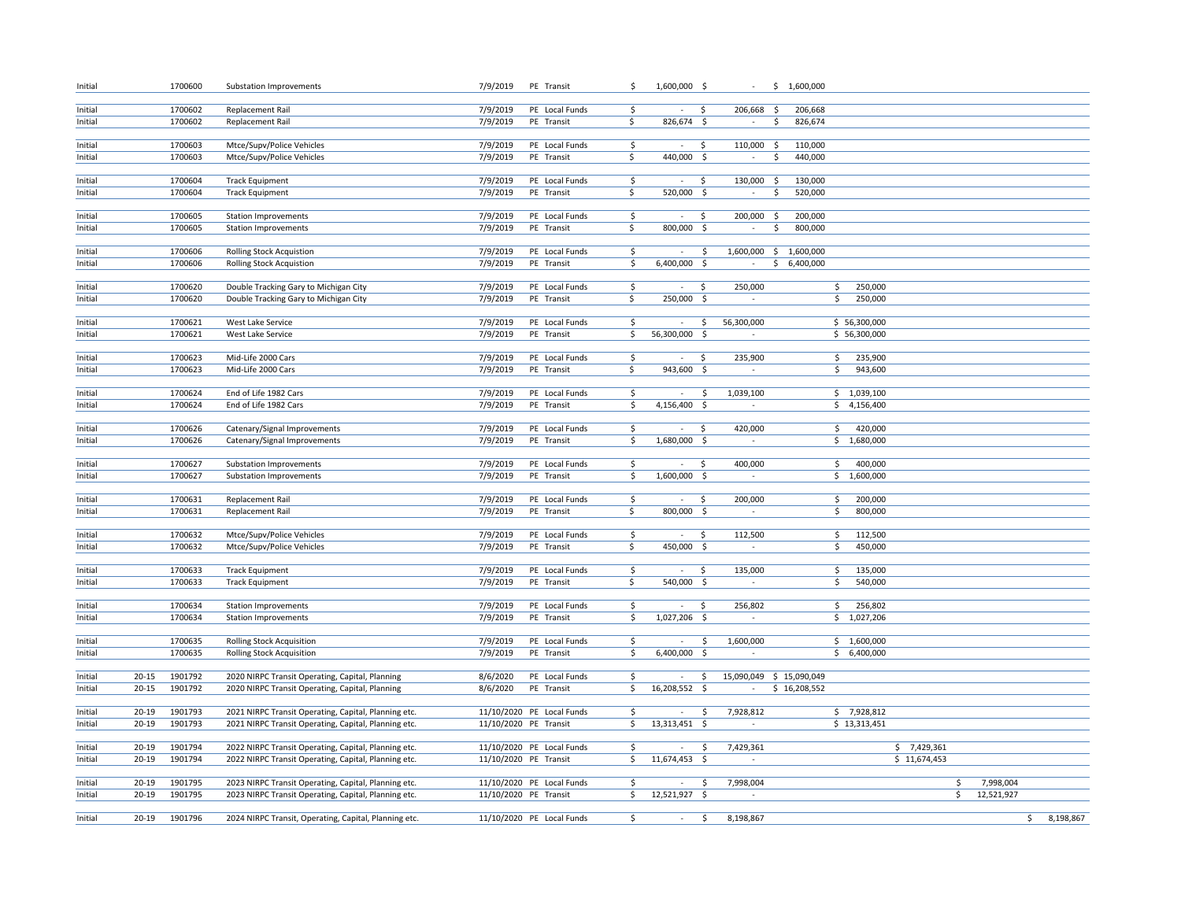| Initial            |           | 1700600 | Substation Improvements                                            | 7/9/2019              | PE Transit                | \$                      | 1,600,000 \$             |                     | $\sim$                   | \$1,600,000    |                |              |                  |    |           |
|--------------------|-----------|---------|--------------------------------------------------------------------|-----------------------|---------------------------|-------------------------|--------------------------|---------------------|--------------------------|----------------|----------------|--------------|------------------|----|-----------|
|                    |           |         |                                                                    |                       |                           |                         |                          |                     |                          |                |                |              |                  |    |           |
| Initial            |           | 1700602 | Replacement Rail                                                   | 7/9/2019              | PE Local Funds            | \$                      |                          | \$                  | 206,668                  | - Ś<br>206,668 |                |              |                  |    |           |
| Initial            |           | 1700602 | Replacement Rail                                                   | 7/9/2019              | PE Transit                | \$                      | 826,674 \$               |                     | $\sim$                   | \$<br>826,674  |                |              |                  |    |           |
| Initial            |           | 1700603 | Mtce/Supv/Police Vehicles                                          | 7/9/2019              | PE Local Funds            | \$                      | $\sim$                   | $\ddot{\mathsf{S}}$ | 110,000 \$               | 110,000        |                |              |                  |    |           |
| Initial            |           | 1700603 | Mtce/Supv/Police Vehicles                                          | 7/9/2019              | PE Transit                | \$                      | 440,000 \$               |                     | $\sim$                   | 440,000<br>\$  |                |              |                  |    |           |
|                    |           |         |                                                                    |                       |                           |                         |                          |                     |                          |                |                |              |                  |    |           |
| Initial            |           | 1700604 | <b>Track Equipment</b>                                             | 7/9/2019              | PE Local Funds            | \$                      | $\sim$                   | -\$                 | 130,000 \$               | 130,000        |                |              |                  |    |           |
| Initial            |           | 1700604 | <b>Track Equipment</b>                                             | 7/9/2019              | PE Transit                | \$                      | 520,000 \$               |                     | $\sim$                   | \$<br>520,000  |                |              |                  |    |           |
|                    |           |         |                                                                    |                       |                           |                         |                          |                     |                          |                |                |              |                  |    |           |
| Initial            |           | 1700605 | <b>Station Improvements</b>                                        | 7/9/2019              | PE Local Funds            | \$                      | $\sim$                   | S.                  | 200,000 \$               | 200,000        |                |              |                  |    |           |
| Initial            |           | 1700605 | <b>Station Improvements</b>                                        | 7/9/2019              | PE Transit                | \$                      | 800,000 \$               |                     |                          | \$<br>800,000  |                |              |                  |    |           |
|                    |           | 1700606 |                                                                    | 7/9/2019              | PE Local Funds            | \$                      |                          |                     | 1,600,000 \$ 1,600,000   |                |                |              |                  |    |           |
| Initial<br>Initial |           | 1700606 | <b>Rolling Stock Acquistion</b><br><b>Rolling Stock Acquistion</b> | 7/9/2019              | PE Transit                | $\overline{\mathsf{S}}$ | $\sim$<br>$6,400,000$ \$ | \$                  | $\sim$                   | \$6,400,000    |                |              |                  |    |           |
|                    |           |         |                                                                    |                       |                           |                         |                          |                     |                          |                |                |              |                  |    |           |
| Initial            |           | 1700620 | Double Tracking Gary to Michigan City                              | 7/9/2019              | PE Local Funds            | \$                      | $\sim$                   | S.                  | 250,000                  |                | \$.<br>250,000 |              |                  |    |           |
| Initial            |           | 1700620 | Double Tracking Gary to Michigan City                              | 7/9/2019              | PE Transit                | \$                      | 250,000                  | $\ddot{\varsigma}$  |                          |                | 250,000<br>\$  |              |                  |    |           |
|                    |           |         |                                                                    |                       |                           |                         |                          |                     |                          |                |                |              |                  |    |           |
| Initial            |           | 1700621 | West Lake Service                                                  | 7/9/2019              | PE Local Funds            | \$                      |                          | \$                  | 56,300,000               |                | \$56,300,000   |              |                  |    |           |
| Initial            |           | 1700621 | West Lake Service                                                  | 7/9/2019              | PE Transit                | S.                      | 56,300,000 \$            |                     | $\sim$                   |                | \$56,300,000   |              |                  |    |           |
|                    |           |         |                                                                    |                       |                           |                         |                          |                     |                          |                |                |              |                  |    |           |
| Initial            |           | 1700623 | Mid-Life 2000 Cars                                                 | 7/9/2019              | PE Local Funds            | \$                      | $\sim$                   | \$                  | 235,900                  |                | \$<br>235,900  |              |                  |    |           |
| Initial            |           | 1700623 | Mid-Life 2000 Cars                                                 | 7/9/2019              | PE Transit                | \$                      | 943,600 \$               |                     | $\overline{\phantom{a}}$ |                | \$<br>943,600  |              |                  |    |           |
| Initial            |           | 1700624 | End of Life 1982 Cars                                              | 7/9/2019              | PE Local Funds            | $\overline{\mathsf{S}}$ | $\sim$                   | $\ddot{\varsigma}$  | 1,039,100                |                | \$1,039,100    |              |                  |    |           |
| Initial            |           | 1700624 | End of Life 1982 Cars                                              | 7/9/2019              | PE Transit                | \$                      | 4,156,400 \$             |                     | $\sim$                   |                | \$4,156,400    |              |                  |    |           |
|                    |           |         |                                                                    |                       |                           |                         |                          |                     |                          |                |                |              |                  |    |           |
| Initial            |           | 1700626 | Catenary/Signal Improvements                                       | 7/9/2019              | PE Local Funds            | \$                      | $\sim$                   | -\$                 | 420,000                  |                | 420,000<br>\$  |              |                  |    |           |
| Initial            |           | 1700626 | Catenary/Signal Improvements                                       | 7/9/2019              | PE Transit                | \$                      | 1,680,000 \$             |                     | $\sim$                   |                | \$1,680,000    |              |                  |    |           |
|                    |           |         |                                                                    |                       |                           |                         |                          |                     |                          |                |                |              |                  |    |           |
| Initial            |           | 1700627 | Substation Improvements                                            | 7/9/2019              | PE Local Funds            | \$                      | $\sim$                   | $\ddot{\mathsf{S}}$ | 400,000                  |                | \$<br>400,000  |              |                  |    |           |
| Initial            |           | 1700627 | Substation Improvements                                            | 7/9/2019              | PE Transit                | \$                      | 1,600,000 \$             |                     | $\sim$                   |                | \$1,600,000    |              |                  |    |           |
| Initial            |           | 1700631 | Replacement Rail                                                   | 7/9/2019              | PE Local Funds            | \$                      | $\sim$                   | -S                  | 200,000                  |                | 200,000<br>\$  |              |                  |    |           |
| Initial            |           | 1700631 | Replacement Rail                                                   | 7/9/2019              | PE Transit                | \$.                     | 800,000 \$               |                     |                          |                | \$<br>800,000  |              |                  |    |           |
|                    |           |         |                                                                    |                       |                           |                         |                          |                     |                          |                |                |              |                  |    |           |
| Initial            |           | 1700632 | Mtce/Supv/Police Vehicles                                          | 7/9/2019              | PE Local Funds            | \$                      |                          | S.                  | 112,500                  |                | 112,500<br>\$  |              |                  |    |           |
| Initial            |           | 1700632 | Mtce/Supv/Police Vehicles                                          | 7/9/2019              | PE Transit                | \$                      | 450,000                  | - \$                |                          |                | 450,000<br>Ś   |              |                  |    |           |
|                    |           |         |                                                                    |                       |                           |                         |                          |                     |                          |                |                |              |                  |    |           |
| Initial            |           | 1700633 | <b>Track Equipment</b>                                             | 7/9/2019              | PE Local Funds            | \$                      | $\sim$                   | S.                  | 135,000                  |                | 135,000<br>\$  |              |                  |    |           |
| Initial            |           | 1700633 | <b>Track Equipment</b>                                             | 7/9/2019              | PE Transit                | \$                      | 540,000 \$               |                     | $\overline{\phantom{a}}$ |                | \$<br>540,000  |              |                  |    |           |
|                    |           |         |                                                                    |                       |                           |                         |                          |                     |                          |                |                |              |                  |    |           |
| Initial            |           | 1700634 | <b>Station Improvements</b>                                        | 7/9/2019              | PE Local Funds            | \$                      | $\sim$                   | \$                  | 256,802<br>$\sim$        |                | \$<br>256,802  |              |                  |    |           |
| Initial            |           | 1700634 | <b>Station Improvements</b>                                        | 7/9/2019              | PE Transit                | \$                      | 1,027,206 \$             |                     |                          |                | \$1,027,206    |              |                  |    |           |
| Initial            |           | 1700635 | Rolling Stock Acquisition                                          | 7/9/2019              | PE Local Funds            | \$                      | $\sim$                   | \$                  | 1,600,000                |                | \$1,600,000    |              |                  |    |           |
| Initial            |           | 1700635 | Rolling Stock Acquisition                                          | 7/9/2019              | PE Transit                | \$                      | 6,400,000                | S.                  | $\sim$                   |                | \$6,400,000    |              |                  |    |           |
|                    |           |         |                                                                    |                       |                           |                         |                          |                     |                          |                |                |              |                  |    |           |
| Initial            | $20 - 15$ | 1901792 | 2020 NIRPC Transit Operating, Capital, Planning                    | 8/6/2020              | PE Local Funds            | \$                      | $\sim$                   | \$                  | 15,090,049 \$ 15,090,049 |                |                |              |                  |    |           |
| Initial            | $20 - 15$ | 1901792 | 2020 NIRPC Transit Operating, Capital, Planning                    | 8/6/2020              | PE Transit                | \$                      | $16,208,552$ \$          |                     | $\sim$                   | \$16,208,552   |                |              |                  |    |           |
|                    |           |         |                                                                    |                       |                           |                         |                          |                     |                          |                |                |              |                  |    |           |
| Initial            | $20 - 19$ | 1901793 | 2021 NIRPC Transit Operating, Capital, Planning etc.               |                       | 11/10/2020 PE Local Funds | \$                      | $\sim$                   | \$                  | 7,928,812                |                | \$7,928,812    |              |                  |    |           |
| Initial            | $20 - 19$ | 1901793 | 2021 NIRPC Transit Operating, Capital, Planning etc.               | 11/10/2020 PE Transit |                           | \$                      | 13,313,451               | - \$                | $\sim$                   |                | \$13,313,451   |              |                  |    |           |
| Initial            | $20 - 19$ | 1901794 | 2022 NIRPC Transit Operating, Capital, Planning etc.               |                       | 11/10/2020 PE Local Funds | \$                      | $\sim$                   | $\ddot{\varsigma}$  | 7,429,361                |                |                | \$7,429,361  |                  |    |           |
| Initial            | $20 - 19$ | 1901794 | 2022 NIRPC Transit Operating, Capital, Planning etc.               | 11/10/2020 PE Transit |                           | \$                      | 11,674,453 \$            |                     |                          |                |                | \$11,674,453 |                  |    |           |
|                    |           |         |                                                                    |                       |                           |                         |                          |                     |                          |                |                |              |                  |    |           |
| Initial            | $20 - 19$ | 1901795 | 2023 NIRPC Transit Operating, Capital, Planning etc.               |                       | 11/10/2020 PE Local Funds | \$                      | $\sim$                   | \$                  | 7,998,004                |                |                |              | \$<br>7,998,004  |    |           |
| Initial            | $20 - 19$ | 1901795 | 2023 NIRPC Transit Operating, Capital, Planning etc.               | 11/10/2020 PE Transit |                           | \$                      | 12,521,927               | $\ddot{\varsigma}$  |                          |                |                |              | \$<br>12,521,927 |    |           |
|                    |           |         |                                                                    |                       |                           |                         |                          |                     |                          |                |                |              |                  |    |           |
| Initial            | $20 - 19$ | 1901796 | 2024 NIRPC Transit, Operating, Capital, Planning etc.              |                       | 11/10/2020 PE Local Funds | \$                      | $\sim$                   | S.                  | 8,198,867                |                |                |              |                  | S. | 8,198,867 |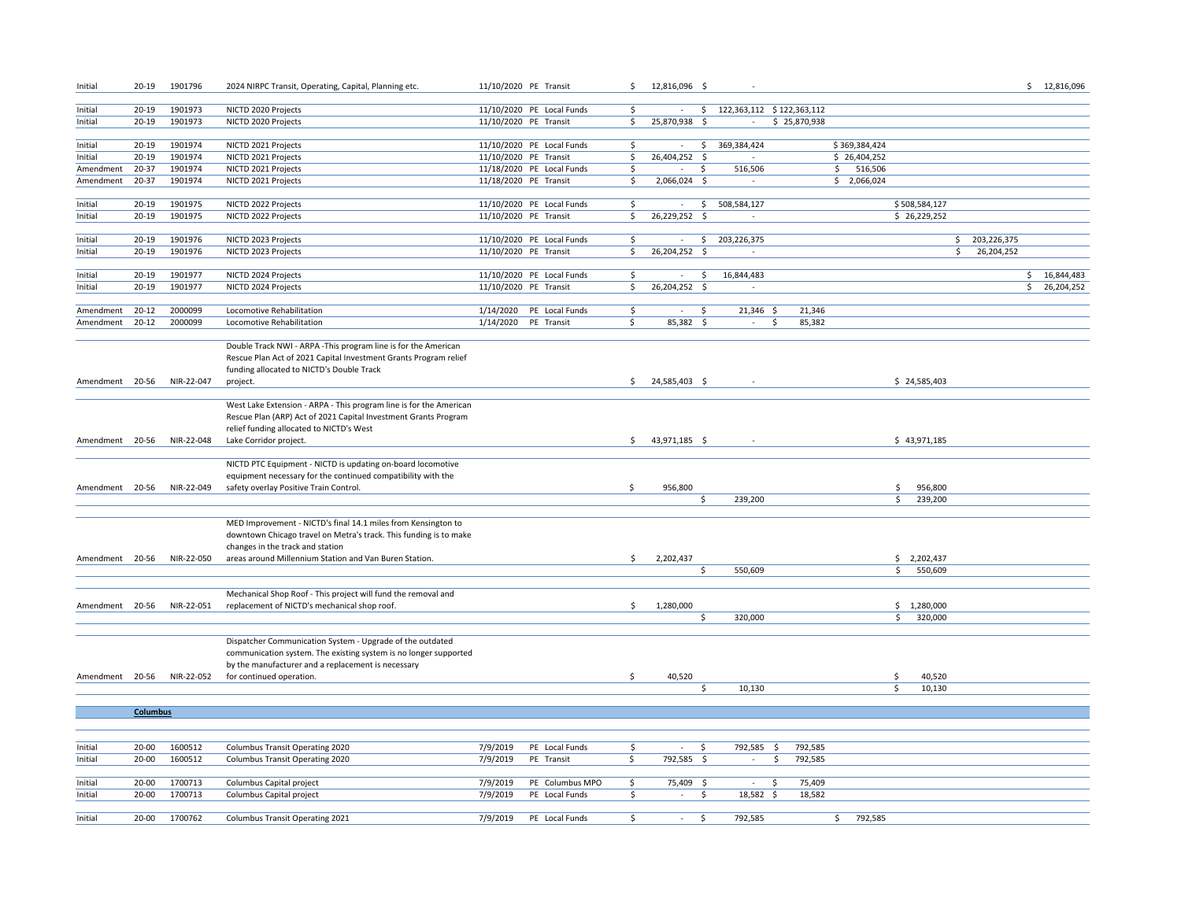| Initial         | 20-19                  | 1901796    | 2024 NIRPC Transit, Operating, Capital, Planning etc.              | 11/10/2020 PE Transit |                           | \$  | 12,816,096 \$ |      |                              |                |               |               |     |               | \$12,816,096 |
|-----------------|------------------------|------------|--------------------------------------------------------------------|-----------------------|---------------------------|-----|---------------|------|------------------------------|----------------|---------------|---------------|-----|---------------|--------------|
| Initial         | $20 - 19$              | 1901973    | NICTD 2020 Projects                                                |                       | 11/10/2020 PE Local Funds | Ŝ.  | $\sim$        |      | \$ 122,363,112 \$122,363,112 |                |               |               |     |               |              |
| Initial         | 20-19                  | 1901973    | NICTD 2020 Projects                                                | 11/10/2020 PE Transit |                           | \$  | 25,870,938    | - \$ | $\sim$                       | \$25,870,938   |               |               |     |               |              |
|                 |                        |            |                                                                    |                       |                           |     |               |      |                              |                |               |               |     |               |              |
| Initial         | $20 - 19$              | 1901974    | NICTD 2021 Projects                                                |                       | 11/10/2020 PE Local Funds | \$  |               | \$   | 369,384,424                  |                | \$369,384,424 |               |     |               |              |
| Initial         | 20-19                  | 1901974    | NICTD 2021 Projects                                                | 11/10/2020 PE Transit |                           | \$  | 26,404,252 \$ |      |                              |                | \$26,404,252  |               |     |               |              |
| Amendment       | 20-37                  | 1901974    | NICTD 2021 Projects                                                |                       | 11/18/2020 PE Local Funds | \$  | $\sim$        | \$.  | 516,506                      |                | 516,506<br>S. |               |     |               |              |
| Amendment       | $20 - 37$              | 1901974    | NICTD 2021 Projects                                                | 11/18/2020 PE Transit |                           | Ś   | 2,066,024 \$  |      |                              |                | \$2,066,024   |               |     |               |              |
|                 |                        |            |                                                                    |                       |                           |     |               |      |                              |                |               |               |     |               |              |
| Initial         | $20 - 19$              | 1901975    | NICTD 2022 Projects                                                |                       | 11/10/2020 PE Local Funds | \$  | $\sim$        | \$   | 508,584,127                  |                |               | \$508,584,127 |     |               |              |
| Initial         | $20 - 19$              | 1901975    | NICTD 2022 Projects                                                | 11/10/2020 PE Transit |                           | Ŝ.  | 26,229,252 \$ |      |                              |                |               | \$26,229,252  |     |               |              |
|                 |                        |            |                                                                    |                       |                           |     |               |      |                              |                |               |               |     |               |              |
| Initial         | 20-19                  | 1901976    | NICTD 2023 Projects                                                |                       | 11/10/2020 PE Local Funds | \$  | $\sim$        | \$   | 203,226,375                  |                |               |               |     | \$203,226,375 |              |
| Initial         | 20-19                  | 1901976    | NICTD 2023 Projects                                                | 11/10/2020 PE Transit |                           | S.  | 26,204,252 \$ |      | $\sim$                       |                |               |               | \$. | 26,204,252    |              |
|                 |                        |            |                                                                    |                       |                           |     |               |      |                              |                |               |               |     |               |              |
| Initial         | $20 - 19$              | 1901977    | NICTD 2024 Projects                                                |                       | 11/10/2020 PE Local Funds | \$  | $\sim$        | \$   | 16,844,483                   |                |               |               |     | \$            | 16,844,483   |
| Initial         | $20 - 19$              | 1901977    | NICTD 2024 Projects                                                | 11/10/2020 PE Transit |                           | \$  | 26,204,252 \$ |      |                              |                |               |               |     |               | \$26,204,252 |
|                 |                        | 2000099    |                                                                    |                       |                           | \$  | $\sim$        | \$.  |                              | 21,346         |               |               |     |               |              |
| Amendment       | $20 - 12$<br>$20 - 12$ | 2000099    | Locomotive Rehabilitation<br>Locomotive Rehabilitation             | 1/14/2020 PE Transit  | 1/14/2020 PE Local Funds  | \$  | 85,382 \$     |      | $21,346$ \$<br>$\sim$        | 85,382<br>\$   |               |               |     |               |              |
| Amendment       |                        |            |                                                                    |                       |                           |     |               |      |                              |                |               |               |     |               |              |
|                 |                        |            | Double Track NWI - ARPA - This program line is for the American    |                       |                           |     |               |      |                              |                |               |               |     |               |              |
|                 |                        |            | Rescue Plan Act of 2021 Capital Investment Grants Program relief   |                       |                           |     |               |      |                              |                |               |               |     |               |              |
|                 |                        |            | funding allocated to NICTD's Double Track                          |                       |                           |     |               |      |                              |                |               |               |     |               |              |
| Amendment 20-56 |                        | NIR-22-047 | project.                                                           |                       |                           | S.  | 24,585,403 \$ |      |                              |                |               | \$24,585,403  |     |               |              |
|                 |                        |            |                                                                    |                       |                           |     |               |      |                              |                |               |               |     |               |              |
|                 |                        |            | West Lake Extension - ARPA - This program line is for the American |                       |                           |     |               |      |                              |                |               |               |     |               |              |
|                 |                        |            | Rescue Plan (ARP) Act of 2021 Capital Investment Grants Program    |                       |                           |     |               |      |                              |                |               |               |     |               |              |
|                 |                        |            | relief funding allocated to NICTD's West                           |                       |                           |     |               |      |                              |                |               |               |     |               |              |
| Amendment 20-56 |                        | NIR-22-048 | Lake Corridor project.                                             |                       |                           | Ś.  | 43,971,185 \$ |      |                              |                |               | \$43,971,185  |     |               |              |
|                 |                        |            |                                                                    |                       |                           |     |               |      |                              |                |               |               |     |               |              |
|                 |                        |            | NICTD PTC Equipment - NICTD is updating on-board locomotive        |                       |                           |     |               |      |                              |                |               |               |     |               |              |
|                 |                        |            | equipment necessary for the continued compatibility with the       |                       |                           |     |               |      |                              |                |               |               |     |               |              |
| Amendment 20-56 |                        | NIR-22-049 | safety overlay Positive Train Control.                             |                       |                           | \$. | 956,800       |      |                              |                |               | 956,800<br>\$ |     |               |              |
|                 |                        |            |                                                                    |                       |                           |     |               | \$   | 239,200                      |                |               | \$<br>239,200 |     |               |              |
|                 |                        |            |                                                                    |                       |                           |     |               |      |                              |                |               |               |     |               |              |
|                 |                        |            | MED Improvement - NICTD's final 14.1 miles from Kensington to      |                       |                           |     |               |      |                              |                |               |               |     |               |              |
|                 |                        |            | downtown Chicago travel on Metra's track. This funding is to make  |                       |                           |     |               |      |                              |                |               |               |     |               |              |
|                 |                        |            | changes in the track and station                                   |                       |                           |     |               |      |                              |                |               |               |     |               |              |
| Amendment 20-56 |                        | NIR-22-050 | areas around Millennium Station and Van Buren Station.             |                       |                           | \$  | 2,202,437     |      |                              |                |               | $5$ 2,202,437 |     |               |              |
|                 |                        |            |                                                                    |                       |                           |     |               | Ŝ.   | 550,609                      |                |               | \$<br>550,609 |     |               |              |
|                 |                        |            | Mechanical Shop Roof - This project will fund the removal and      |                       |                           |     |               |      |                              |                |               |               |     |               |              |
| Amendment 20-56 |                        | NIR-22-051 | replacement of NICTD's mechanical shop roof.                       |                       |                           | \$  | 1,280,000     |      |                              |                |               | \$1,280,000   |     |               |              |
|                 |                        |            |                                                                    |                       |                           |     |               | \$.  | 320,000                      |                |               | \$<br>320,000 |     |               |              |
|                 |                        |            |                                                                    |                       |                           |     |               |      |                              |                |               |               |     |               |              |
|                 |                        |            | Dispatcher Communication System - Upgrade of the outdated          |                       |                           |     |               |      |                              |                |               |               |     |               |              |
|                 |                        |            | communication system. The existing system is no longer supported   |                       |                           |     |               |      |                              |                |               |               |     |               |              |
|                 |                        |            | by the manufacturer and a replacement is necessary                 |                       |                           |     |               |      |                              |                |               |               |     |               |              |
| Amendment 20-56 |                        | NIR-22-052 | for continued operation.                                           |                       |                           | Ŝ.  | 40,520        |      |                              |                |               | 40,520<br>Ŝ   |     |               |              |
|                 |                        |            |                                                                    |                       |                           |     |               | \$   | 10,130                       |                |               | Ŝ.<br>10,130  |     |               |              |
|                 |                        |            |                                                                    |                       |                           |     |               |      |                              |                |               |               |     |               |              |
|                 | Columbus               |            |                                                                    |                       |                           |     |               |      |                              |                |               |               |     |               |              |
|                 |                        |            |                                                                    |                       |                           |     |               |      |                              |                |               |               |     |               |              |
|                 |                        |            |                                                                    |                       |                           |     |               |      |                              |                |               |               |     |               |              |
| Initial         | 20-00                  | 1600512    | Columbus Transit Operating 2020                                    | 7/9/2019              | PE Local Funds            | \$  | $\sim$        | -S   | 792,585                      | 792,585<br>-\$ |               |               |     |               |              |
| Initial         | 20-00                  | 1600512    | Columbus Transit Operating 2020                                    | 7/9/2019              | PE Transit                | \$. | 792,585 \$    |      | $\sim$                       | \$<br>792,585  |               |               |     |               |              |
|                 |                        |            |                                                                    |                       |                           |     |               |      |                              |                |               |               |     |               |              |
| Initial         | 20-00                  | 1700713    | Columbus Capital project                                           | 7/9/2019              | PE Columbus MPO           | Ŝ.  | 75,409 \$     |      | $\sim$                       | \$<br>75,409   |               |               |     |               |              |
| Initial         | 20-00                  | 1700713    | Columbus Capital project                                           | 7/9/2019              | PE Local Funds            | \$  | $\sim$        | \$   | 18,582                       | 18,582<br>\$   |               |               |     |               |              |
|                 |                        |            |                                                                    |                       |                           |     |               |      |                              |                |               |               |     |               |              |
| Initial         | 20-00                  | 1700762    | Columbus Transit Operating 2021                                    | 7/9/2019              | PE Local Funds            | \$  | $\sim$        | Ŝ.   | 792,585                      |                | 792,585<br>\$ |               |     |               |              |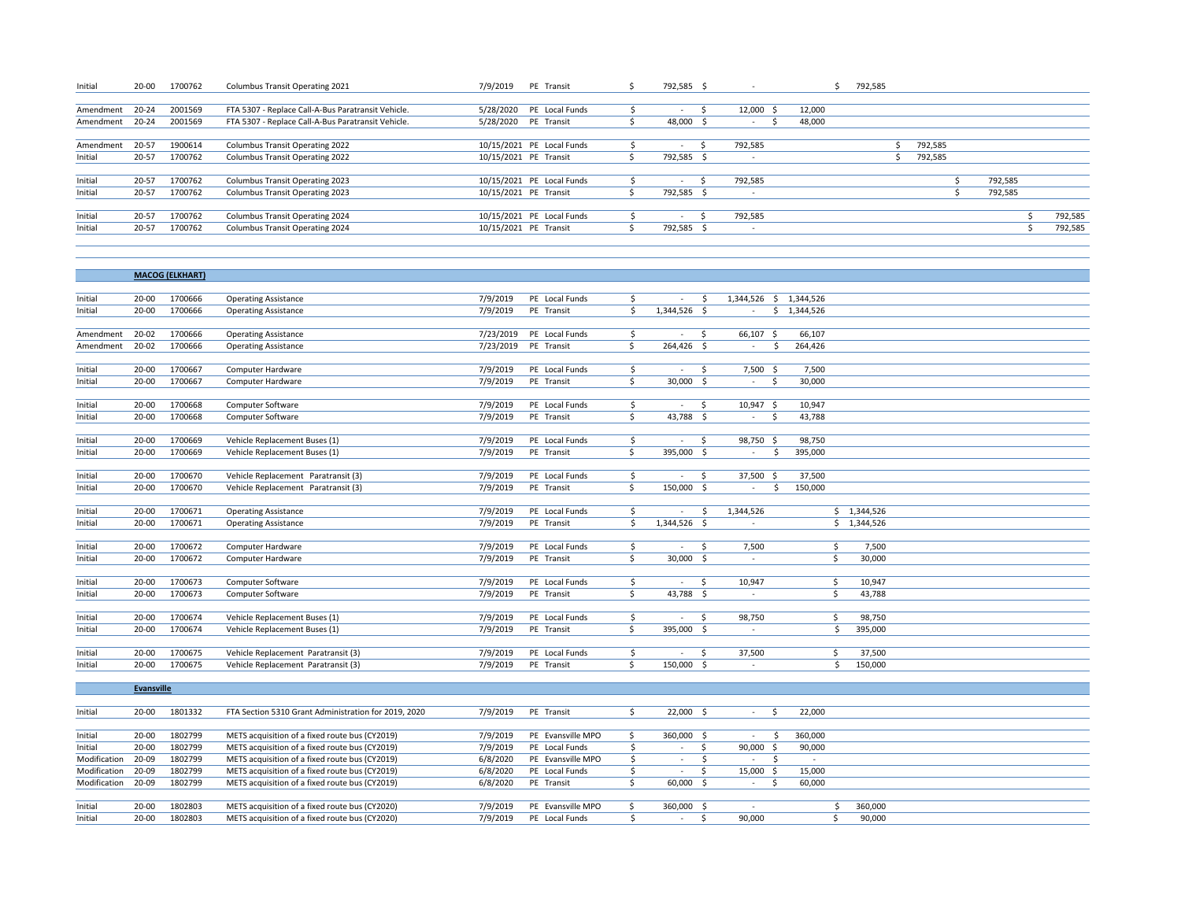| Initial         | 20-00     | 1700762 | Columbus Transit Operating 2021                    | 7/9/2019 PE Transit       | 792,585 \$ |     |           |        | 792,585 |         |         |         |
|-----------------|-----------|---------|----------------------------------------------------|---------------------------|------------|-----|-----------|--------|---------|---------|---------|---------|
|                 |           |         |                                                    |                           |            |     |           |        |         |         |         |         |
| Amendment 20-24 |           | 2001569 | FTA 5307 - Replace Call-A-Bus Paratransit Vehicle. | 5/28/2020 PE Local Funds  |            |     | 12,000 \$ | 12,000 |         |         |         |         |
| Amendment 20-24 |           | 2001569 | FTA 5307 - Replace Call-A-Bus Paratransit Vehicle. | 5/28/2020 PE Transit      | 48,000     | - 5 | $\sim$    | 48,000 |         |         |         |         |
|                 |           |         |                                                    |                           |            |     |           |        |         |         |         |         |
| Amendment       | 20-57     | 1900614 | Columbus Transit Operating 2022                    | 10/15/2021 PE Local Funds |            |     | 792,585   |        |         | 792,585 |         |         |
| Initial         | $20 - 57$ | 1700762 | Columbus Transit Operating 2022                    | 10/15/2021 PE Transit     | 792,585 \$ |     |           |        |         | 792,585 |         |         |
|                 |           |         |                                                    |                           |            |     |           |        |         |         |         |         |
| Initial         | 20-57     | 1700762 | Columbus Transit Operating 2023                    | 10/15/2021 PE Local Funds |            |     | 792,585   |        |         |         | 792,585 |         |
| Initial         | 20-57     | 1700762 | <b>Columbus Transit Operating 2023</b>             | 10/15/2021 PE Transit     | 792,585 \$ |     |           |        |         |         | 792,585 |         |
|                 |           |         |                                                    |                           |            |     |           |        |         |         |         |         |
| Initial         | $20 - 57$ | 1700762 | Columbus Transit Operating 2024                    | 10/15/2021 PE Local Funds |            |     | 792,585   |        |         |         |         | 792,585 |
| Initial         | 20-57     | 1700762 | Columbus Transit Operating 2024                    | 10/15/2021 PE Transit     | 792,585 \$ |     |           |        |         |         |         | 792,585 |
|                 |           |         |                                                    |                           |            |     |           |        |         |         |         |         |

|                    |                        | <b>MACOG (ELKHART)</b> |                                                      |           |                              |          |              |      |                        |                 |             |  |  |
|--------------------|------------------------|------------------------|------------------------------------------------------|-----------|------------------------------|----------|--------------|------|------------------------|-----------------|-------------|--|--|
|                    |                        |                        |                                                      |           |                              |          |              |      |                        |                 |             |  |  |
| Initial            | 20-00                  | 1700666                | <b>Operating Assistance</b>                          | 7/9/2019  | PE Local Funds               | \$       | $\sim$       | - \$ | 1,344,526 \$ 1,344,526 |                 |             |  |  |
| Initial            | $20 - 00$              | 1700666                | <b>Operating Assistance</b>                          | 7/9/2019  | PE Transit                   | Ś.       | 1,344,526 \$ |      | $\sim$                 | \$1,344,526     |             |  |  |
|                    |                        |                        |                                                      |           |                              |          |              |      |                        |                 |             |  |  |
| Amendment          | 20-02                  | 1700666                | <b>Operating Assistance</b>                          | 7/23/2019 | PE Local Funds               | Ś.       |              | Ŝ    | 66,107 \$              | 66,107          |             |  |  |
| Amendment          | $20 - 02$              | 1700666                | <b>Operating Assistance</b>                          | 7/23/2019 | PE Transit                   | Ś.       | 264,426      | Ŝ.   | -\$<br>$\sim$          | 264,426         |             |  |  |
|                    |                        |                        |                                                      |           |                              |          |              |      |                        |                 |             |  |  |
| Initial            | $20 - 00$              | 1700667                | Computer Hardware                                    | 7/9/2019  | PE Local Funds               | \$       | $\sim$       | -\$  | 7,500 \$               | 7,500           |             |  |  |
| Initial            | $20 - 00$              | 1700667                | Computer Hardware                                    | 7/9/2019  | PE Transit                   | Ś.       | $30,000$ \$  |      | - Ś<br>$\sim$          | 30,000          |             |  |  |
|                    |                        |                        |                                                      |           |                              |          |              |      |                        |                 |             |  |  |
| Initial            | $20 - 00$              | 1700668                | Computer Software                                    | 7/9/2019  | PE Local Funds               | S.       | $\sim$       | - Ś  | 10,947 \$              | 10,947          |             |  |  |
| Initial            | $20 - 00$              | 1700668                | Computer Software                                    | 7/9/2019  | PE Transit                   | Ś.       | 43,788 \$    |      | S.<br>$\sim$           | 43,788          |             |  |  |
|                    |                        |                        |                                                      |           |                              |          |              |      |                        |                 |             |  |  |
| Initial            | $20 - 00$              | 1700669                | Vehicle Replacement Buses (1)                        | 7/9/2019  | PE Local Funds               | S.       | $\sim$       | S.   | 98,750 \$              | 98,750          |             |  |  |
| Initial            | $20 - 00$              | 1700669                | Vehicle Replacement Buses (1)                        | 7/9/2019  | PE Transit                   | Ŝ.       | 395,000 \$   |      | -Ś<br>$\sim$           | 395,000         |             |  |  |
|                    |                        |                        |                                                      |           |                              |          |              |      |                        |                 |             |  |  |
| Initial            | $20 - 00$              | 1700670                | Vehicle Replacement Paratransit (3)                  | 7/9/2019  | PE Local Funds               | \$       | $\sim$       | -\$  | 37,500 \$              | 37,500          |             |  |  |
| Initial            | 20-00                  | 1700670                | Vehicle Replacement Paratransit (3)                  | 7/9/2019  | PE Transit                   | Ŝ.       | 150,000 \$   |      | -Ś<br>$\sim$           | 150,000         |             |  |  |
|                    |                        |                        |                                                      |           |                              |          |              |      |                        |                 |             |  |  |
| Initial            | $20 - 00$              | 1700671                | <b>Operating Assistance</b>                          | 7/9/2019  | PE Local Funds               | \$       |              | S.   | 1,344,526              |                 | \$1,344,526 |  |  |
| Initial            | $20 - 00$              | 1700671                | <b>Operating Assistance</b>                          | 7/9/2019  | PE Transit                   | Ś        | 1,344,526 \$ |      |                        |                 | \$1,344,526 |  |  |
|                    |                        |                        |                                                      |           |                              |          |              |      |                        |                 |             |  |  |
| Initial            | $20 - 00$              | 1700672                | Computer Hardware                                    | 7/9/2019  | PE Local Funds               | Ś.       | $\sim$       | -\$  | 7,500                  | \$              | 7,500       |  |  |
| Initial            | $20 - 00$              | 1700672                | Computer Hardware                                    | 7/9/2019  | PE Transit                   | Ŝ.       | 30,000 \$    |      | $\sim$                 | Ś.              | 30,000      |  |  |
|                    |                        |                        |                                                      |           |                              |          |              |      |                        |                 |             |  |  |
| Initial            | $20 - 00$<br>$20 - 00$ | 1700673<br>1700673     | Computer Software                                    | 7/9/2019  | PE Local Funds<br>PE Transit | \$<br>Ś. | 43,788 \$    | S.   | 10,947                 | \$.<br><b>S</b> | 10,947      |  |  |
| Initial            |                        |                        | Computer Software                                    | 7/9/2019  |                              |          |              |      |                        |                 | 43,788      |  |  |
|                    | $20 - 00$              | 1700674                | Vehicle Replacement Buses (1)                        | 7/9/2019  | PE Local Funds               | Ŝ.       | $\sim$       | -\$  | 98,750                 | Ŝ.              | 98,750      |  |  |
| Initial<br>Initial | $20 - 00$              | 1700674                | Vehicle Replacement Buses (1)                        | 7/9/2019  | PE Transit                   | Ś.       | 395,000 \$   |      | $\sim$                 | Ś.              | 395,000     |  |  |
|                    |                        |                        |                                                      |           |                              |          |              |      |                        |                 |             |  |  |
| Initial            | $20 - 00$              | 1700675                | Vehicle Replacement Paratransit (3)                  | 7/9/2019  | PE Local Funds               | \$       |              | Ŝ.   | 37,500                 | Ŝ.              | 37,500      |  |  |
| Initial            | $20 - 00$              | 1700675                | Vehicle Replacement Paratransit (3)                  | 7/9/2019  | PE Transit                   | Ś.       | 150,000 \$   |      | $\sim$                 | Ś.              | 150,000     |  |  |
|                    |                        |                        |                                                      |           |                              |          |              |      |                        |                 |             |  |  |
|                    | Evansville             |                        |                                                      |           |                              |          |              |      |                        |                 |             |  |  |
|                    |                        |                        |                                                      |           |                              |          |              |      |                        |                 |             |  |  |
| Initial            | $20 - 00$              | 1801332                | FTA Section 5310 Grant Administration for 2019, 2020 | 7/9/2019  | PE Transit                   | S.       | 22,000 \$    |      | -S<br>$\sim$           | 22,000          |             |  |  |
|                    |                        |                        |                                                      |           |                              |          |              |      |                        |                 |             |  |  |
| Initial            | 20-00                  | 1802799                | METS acquisition of a fixed route bus (CY2019)       | 7/9/2019  | PE Evansville MPO            | Ŝ.       | 360,000 \$   |      | \$<br>$\sim$           | 360,000         |             |  |  |
|                    |                        |                        |                                                      |           |                              |          |              |      |                        |                 |             |  |  |

| Initial      | 20-00 | 1802799 | METS acquisition of a fixed route bus (CY2019) |          | 7/9/2019 PE Evansville MPO | 360,000 |        | 360,000 |         |  |  |
|--------------|-------|---------|------------------------------------------------|----------|----------------------------|---------|--------|---------|---------|--|--|
| Initial      | 20-00 | 1802799 | METS acquisition of a fixed route bus (CY2019) |          | 7/9/2019 PE Local Funds    |         | 90.000 | 90,000  |         |  |  |
| Modification | 20-09 | 1802799 | METS acquisition of a fixed route bus (CY2019) |          | 6/8/2020 PE Evansville MPO |         |        |         |         |  |  |
| Modification | 20-09 | 1802799 | METS acquisition of a fixed route bus (CY2019) |          | 6/8/2020 PE Local Funds    |         | 15,000 | 15,000  |         |  |  |
| Modification | 20-09 | 1802799 | METS acquisition of a fixed route bus (CY2019) |          | 6/8/2020 PE Transit        | 60,000  |        | 60,000  |         |  |  |
|              |       |         |                                                |          |                            |         |        |         |         |  |  |
| Initial      | 20-00 | 1802803 | METS acquisition of a fixed route bus (CY2020) |          | 7/9/2019 PE Evansville MPO | 360,000 |        |         | 360,000 |  |  |
| Initial      | 20-00 | 1802803 | METS acquisition of a fixed route bus (CY2020) | 7/9/2019 | PE Local Funds             |         | 90.000 |         | 90,000  |  |  |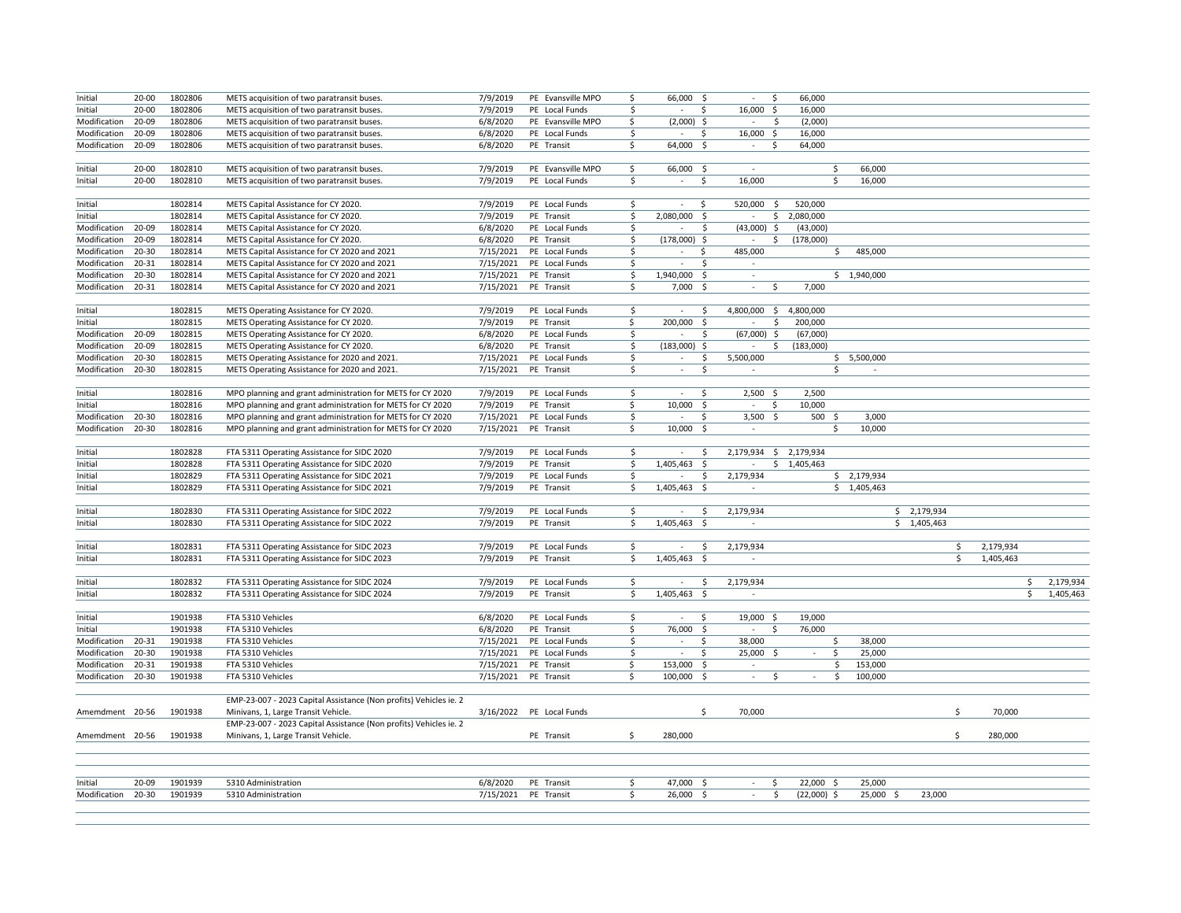| Initial            | $20 - 00$ | 1802806 |                                                                   | 7/9/2019             | PE Evansville MPO        | \$                      |                          |                        | Ś<br>$\sim$                     | 66,000                        |             |             |    |           |           |
|--------------------|-----------|---------|-------------------------------------------------------------------|----------------------|--------------------------|-------------------------|--------------------------|------------------------|---------------------------------|-------------------------------|-------------|-------------|----|-----------|-----------|
|                    |           |         | METS acquisition of two paratransit buses.                        |                      |                          |                         | 66,000 \$                |                        |                                 |                               |             |             |    |           |           |
| Initial            | $20 - 00$ | 1802806 | METS acquisition of two paratransit buses.                        | 7/9/2019             | PE Local Funds           | \$                      | $\sim$                   | \$                     | 16,000 \$                       | 16,000                        |             |             |    |           |           |
| Modification       | 20-09     | 1802806 | METS acquisition of two paratransit buses.                        | 6/8/2020             | PE Evansville MPO        | \$                      | $(2,000)$ \$             |                        | \$<br>$\sim$                    | (2,000)                       |             |             |    |           |           |
| Modification       | $20 - 09$ | 1802806 | METS acquisition of two paratransit buses.                        | 6/8/2020             | PE Local Funds           | \$                      | $\sim$                   | \$                     | 16,000 \$                       | 16,000                        |             |             |    |           |           |
| Modification       | 20-09     | 1802806 | METS acquisition of two paratransit buses.                        | 6/8/2020             | PE Transit               | Ŝ.                      | 64,000 \$                |                        | S.<br>$\sim$                    | 64,000                        |             |             |    |           |           |
|                    |           |         |                                                                   |                      |                          |                         |                          |                        |                                 |                               |             |             |    |           |           |
| Initial            | $20 - 00$ | 1802810 | METS acquisition of two paratransit buses.                        | 7/9/2019             | PE Evansville MPO        | \$                      | 66,000 \$                |                        | $\sim$                          | \$                            | 66,000      |             |    |           |           |
| Initial            | $20 - 00$ | 1802810 | METS acquisition of two paratransit buses.                        | 7/9/2019             | PE Local Funds           | \$                      | $\sim$                   | \$                     | 16,000                          | \$                            | 16,000      |             |    |           |           |
|                    |           |         |                                                                   |                      |                          |                         |                          |                        |                                 |                               |             |             |    |           |           |
| Initial            |           | 1802814 | METS Capital Assistance for CY 2020.                              | 7/9/2019             | PE Local Funds           | \$                      | $\sim$                   | \$                     | 520,000 \$                      | 520,000                       |             |             |    |           |           |
| Initial            |           | 1802814 | METS Capital Assistance for CY 2020.                              | 7/9/2019             | PE Transit               | \$                      | 2,080,000 \$             |                        | $\sim$                          | \$2,080,000                   |             |             |    |           |           |
| Modification       | 20-09     | 1802814 | METS Capital Assistance for CY 2020.                              | 6/8/2020             | PE Local Funds           | \$                      | $\sim$                   | Ŝ.                     | $(43,000)$ \$                   | (43,000)                      |             |             |    |           |           |
|                    |           |         |                                                                   |                      |                          |                         |                          |                        |                                 |                               |             |             |    |           |           |
| Modification       | 20-09     | 1802814 | METS Capital Assistance for CY 2020.                              | 6/8/2020             | PE Transit               | \$                      | $(178,000)$ \$           |                        | \$<br>$\sim$                    | (178,000)                     |             |             |    |           |           |
| Modification       | 20-30     | 1802814 | METS Capital Assistance for CY 2020 and 2021                      | 7/15/2021            | PE Local Funds           | \$                      | $\overline{\phantom{a}}$ | Ŝ                      | 485,000                         | \$                            | 485,000     |             |    |           |           |
| Modification       | 20-31     | 1802814 | METS Capital Assistance for CY 2020 and 2021                      | 7/15/2021            | PE Local Funds           | \$                      | $\sim$                   | \$.                    | $\sim$                          |                               |             |             |    |           |           |
| Modification       | 20-30     | 1802814 | METS Capital Assistance for CY 2020 and 2021                      | 7/15/2021            | PE Transit               | $\overline{\mathsf{s}}$ | 1,940,000                | $\overline{\varsigma}$ | $\sim$                          |                               | \$1,940,000 |             |    |           |           |
| Modification       | 20-31     | 1802814 | METS Capital Assistance for CY 2020 and 2021                      | 7/15/2021            | PE Transit               | \$.                     | $7,000$ \$               |                        | \$<br>$\sim$                    | 7,000                         |             |             |    |           |           |
|                    |           |         |                                                                   |                      |                          |                         |                          |                        |                                 |                               |             |             |    |           |           |
| Initial            |           | 1802815 | METS Operating Assistance for CY 2020.                            | 7/9/2019             | PE Local Funds           | \$                      | $\sim$                   | \$                     | 4,800,000 \$ 4,800,000          |                               |             |             |    |           |           |
| Initial            |           | 1802815 | METS Operating Assistance for CY 2020.                            | 7/9/2019             | PE Transit               | \$                      | 200,000 \$               |                        | \$<br>$\sim$                    | 200,000                       |             |             |    |           |           |
| Modification       | 20-09     | 1802815 | METS Operating Assistance for CY 2020.                            | 6/8/2020             | PE Local Funds           | \$                      | $\sim$                   | \$                     | $(67,000)$ \$                   | (67,000)                      |             |             |    |           |           |
| Modification       | 20-09     | 1802815 | METS Operating Assistance for CY 2020.                            | 6/8/2020             | PE Transit               | \$                      | $(183,000)$ \$           |                        | \$<br>$\sim$                    | (183,000)                     |             |             |    |           |           |
| Modification       | 20-30     | 1802815 | METS Operating Assistance for 2020 and 2021.                      | 7/15/2021            | PE Local Funds           | \$                      |                          | \$                     | 5,500,000                       |                               | \$5,500,000 |             |    |           |           |
|                    |           |         |                                                                   |                      |                          |                         |                          |                        |                                 |                               |             |             |    |           |           |
| Modification       | 20-30     | 1802815 | METS Operating Assistance for 2020 and 2021.                      | 7/15/2021            | PE Transit               | \$                      | $\sim$                   | \$                     | $\sim$                          | \$.                           | $\sim$      |             |    |           |           |
|                    |           |         |                                                                   |                      |                          |                         |                          |                        |                                 |                               |             |             |    |           |           |
| Initial            |           | 1802816 | MPO planning and grant administration for METS for CY 2020        | 7/9/2019             | PE Local Funds           | \$                      | $\sim$                   | \$                     | $2,500$ \$                      | 2,500                         |             |             |    |           |           |
| Initial            |           | 1802816 | MPO planning and grant administration for METS for CY 2020        | 7/9/2019             | PE Transit               | Ŝ.                      | $\overline{10,000}$ \$   |                        | $\mathcal{L}$<br>\$             | 10,000                        |             |             |    |           |           |
| Modification 20-30 |           | 1802816 | MPO planning and grant administration for METS for CY 2020        | 7/15/2021            | PE Local Funds           | \$                      | $\sim$                   | \$                     | $3,500$ \$                      | $500 \quad $$                 | 3,000       |             |    |           |           |
| Modification       | 20-30     | 1802816 | MPO planning and grant administration for METS for CY 2020        | 7/15/2021            | PE Transit               | \$                      | $10,000$ \$              |                        | $\sim$                          | \$                            | 10,000      |             |    |           |           |
|                    |           |         |                                                                   |                      |                          |                         |                          |                        |                                 |                               |             |             |    |           |           |
| Initial            |           | 1802828 | FTA 5311 Operating Assistance for SIDC 2020                       | 7/9/2019             | PE Local Funds           | \$                      | $\sim$                   | \$                     | 2,179,934 \$ 2,179,934          |                               |             |             |    |           |           |
| Initial            |           | 1802828 | FTA 5311 Operating Assistance for SIDC 2020                       | 7/9/2019             | PE Transit               | Ś                       | 1,405,463                | -\$                    |                                 | \$1,405,463                   |             |             |    |           |           |
| Initial            |           | 1802829 | FTA 5311 Operating Assistance for SIDC 2021                       | 7/9/2019             | PE Local Funds           | \$                      | $\sim$                   | \$                     | 2,179,934                       |                               | \$2,179,934 |             |    |           |           |
| Initial            |           | 1802829 | FTA 5311 Operating Assistance for SIDC 2021                       | 7/9/2019             | PE Transit               | Ŝ                       | 1,405,463 \$             |                        |                                 |                               | \$1,405,463 |             |    |           |           |
|                    |           |         |                                                                   |                      |                          |                         |                          |                        |                                 |                               |             |             |    |           |           |
|                    |           |         |                                                                   |                      |                          |                         |                          |                        |                                 |                               |             |             |    |           |           |
| Initial            |           | 1802830 | FTA 5311 Operating Assistance for SIDC 2022                       | 7/9/2019             | PE Local Funds           | \$                      | $\sim$                   | S.                     | 2,179,934                       |                               |             | \$2,179,934 |    |           |           |
| Initial            |           | 1802830 | FTA 5311 Operating Assistance for SIDC 2022                       | 7/9/2019             | PE Transit               | \$                      | 1,405,463 \$             |                        | $\sim$                          |                               |             | \$1,405,463 |    |           |           |
|                    |           |         |                                                                   |                      |                          |                         |                          |                        |                                 |                               |             |             |    |           |           |
| Initial            |           | 1802831 | FTA 5311 Operating Assistance for SIDC 2023                       | 7/9/2019             | PE Local Funds           | \$                      | $\sim$                   | \$                     | 2,179,934                       |                               |             |             | \$ | 2,179,934 |           |
| Initial            |           | 1802831 | FTA 5311 Operating Assistance for SIDC 2023                       | 7/9/2019             | PE Transit               | \$                      | 1,405,463 \$             |                        | $\sim$                          |                               |             |             | \$ | 1,405,463 |           |
|                    |           |         |                                                                   |                      |                          |                         |                          |                        |                                 |                               |             |             |    |           |           |
| Initial            |           | 1802832 | FTA 5311 Operating Assistance for SIDC 2024                       | 7/9/2019             | PE Local Funds           | \$                      | $\sim$                   | \$                     | 2,179,934                       |                               |             |             |    | \$        | 2,179,934 |
| Initial            |           | 1802832 | FTA 5311 Operating Assistance for SIDC 2024                       | 7/9/2019             | PE Transit               | \$                      | 1,405,463 \$             |                        | $\overline{\phantom{a}}$        |                               |             |             |    | \$        | 1,405,463 |
|                    |           |         |                                                                   |                      |                          |                         |                          |                        |                                 |                               |             |             |    |           |           |
| Initial            |           | 1901938 | FTA 5310 Vehicles                                                 | 6/8/2020             | PE Local Funds           | \$                      | $\sim$                   | Ŝ.                     | 19,000 \$                       | 19,000                        |             |             |    |           |           |
| Initial            |           | 1901938 | FTA 5310 Vehicles                                                 | 6/8/2020             | PE Transit               | \$.                     | 76,000 \$                |                        | \$.<br>$\overline{\phantom{a}}$ | 76,000                        |             |             |    |           |           |
|                    |           |         |                                                                   |                      |                          |                         |                          |                        |                                 |                               |             |             |    |           |           |
| Modification       | 20-31     | 1901938 | FTA 5310 Vehicles                                                 | 7/15/2021            | PE Local Funds           | \$                      | $\sim$                   | S.                     | 38,000                          | \$                            | 38,000      |             |    |           |           |
| Modification       | 20-30     | 1901938 | FTA 5310 Vehicles                                                 | 7/15/2021            | PE Local Funds           | \$                      | $\overline{\phantom{a}}$ | \$                     | 25,000 \$                       | Ś<br>$\overline{\phantom{a}}$ | 25,000      |             |    |           |           |
| Modification       | 20-31     | 1901938 | FTA 5310 Vehicles                                                 | 7/15/2021            | PE Transit               | \$                      | 153,000 \$               |                        | $\sim$                          | \$                            | 153,000     |             |    |           |           |
| Modification       | 20-30     | 1901938 | FTA 5310 Vehicles                                                 | 7/15/2021            | PE Transit               | Ś                       | 100,000 \$               |                        | \$<br>$\sim$                    | \$.<br>$\sim$                 | 100,000     |             |    |           |           |
|                    |           |         |                                                                   |                      |                          |                         |                          |                        |                                 |                               |             |             |    |           |           |
|                    |           |         | EMP-23-007 - 2023 Capital Assistance (Non profits) Vehicles ie. 2 |                      |                          |                         |                          |                        |                                 |                               |             |             |    |           |           |
| Amemdment 20-56    |           | 1901938 | Minivans, 1, Large Transit Vehicle.                               |                      | 3/16/2022 PE Local Funds |                         |                          | \$                     | 70,000                          |                               |             |             | \$ | 70,000    |           |
|                    |           |         | EMP-23-007 - 2023 Capital Assistance (Non profits) Vehicles ie. 2 |                      |                          |                         |                          |                        |                                 |                               |             |             |    |           |           |
| Amemdment 20-56    |           | 1901938 | Minivans, 1, Large Transit Vehicle.                               |                      | PE Transit               | Ś                       | 280,000                  |                        |                                 |                               |             |             | Ś. | 280,000   |           |
|                    |           |         |                                                                   |                      |                          |                         |                          |                        |                                 |                               |             |             |    |           |           |
|                    |           |         |                                                                   |                      |                          |                         |                          |                        |                                 |                               |             |             |    |           |           |
|                    |           |         |                                                                   |                      |                          |                         |                          |                        |                                 |                               |             |             |    |           |           |
|                    |           |         |                                                                   |                      |                          |                         |                          |                        |                                 |                               |             |             |    |           |           |
| Initial            | 20-09     | 1901939 | 5310 Administration                                               | 6/8/2020             | PE Transit               | \$                      | 47,000 \$                |                        | \$<br>$\sim$                    | 22,000 \$                     | 25,000      |             |    |           |           |
| Modification 20-30 |           | 1901939 | 5310 Administration                                               | 7/15/2021 PE Transit |                          | \$                      | $26,000$ \$              |                        | \$                              | $(22,000)$ \$                 | 25,000 \$   | 23,000      |    |           |           |
|                    |           |         |                                                                   |                      |                          |                         |                          |                        |                                 |                               |             |             |    |           |           |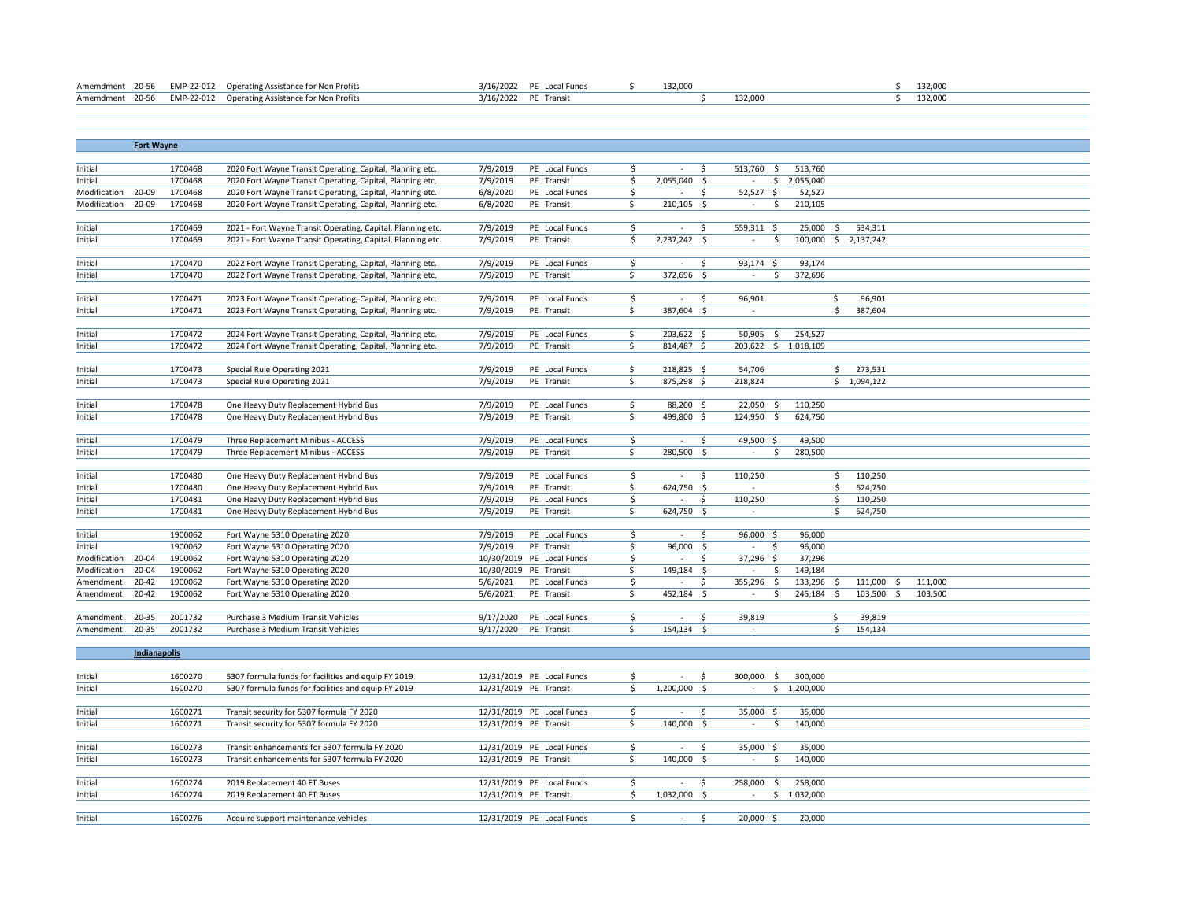| Amemdment 20-56 EMP-22-012 Operating Assistance for Non Profits | 3/16/2022 PE Local Funds |  | 132.000 |         | 132,000 |  |
|-----------------------------------------------------------------|--------------------------|--|---------|---------|---------|--|
| Amemdment 20-56 EMP-22-012 Operating Assistance for Non Profits | 3/16/2022 PE Transit     |  |         | 132.000 | 132,000 |  |

|                    | <b>Fort Wayne</b> |         |                                                             |           |                           |                         |                |              |                        |             |                     |                      |         |  |  |
|--------------------|-------------------|---------|-------------------------------------------------------------|-----------|---------------------------|-------------------------|----------------|--------------|------------------------|-------------|---------------------|----------------------|---------|--|--|
|                    |                   |         |                                                             |           |                           |                         |                |              |                        |             |                     |                      |         |  |  |
| Initial            |                   | 1700468 | 2020 Fort Wayne Transit Operating, Capital, Planning etc.   | 7/9/2019  | PE Local Funds            | S.                      | $\sim$         | S.           | 513,760<br>- \$        | 513,760     |                     |                      |         |  |  |
| Initial            |                   | 1700468 | 2020 Fort Wayne Transit Operating, Capital, Planning etc.   | 7/9/2019  | PE Transit                | \$                      | $2,055,040$ \$ |              | \$<br>$\sim$           | 2,055,040   |                     |                      |         |  |  |
| Modification       | 20-09             | 1700468 | 2020 Fort Wayne Transit Operating, Capital, Planning etc.   | 6/8/2020  | PE Local Funds            | $\overline{\mathsf{S}}$ | $\sim$         | Ŝ.           | $52,527$ \$            | 52,527      |                     |                      |         |  |  |
| Modification 20-09 |                   | 1700468 | 2020 Fort Wayne Transit Operating, Capital, Planning etc.   | 6/8/2020  | PE Transit                | Ś.                      | 210,105 \$     |              | - \$<br>$\sim$         | 210,105     |                     |                      |         |  |  |
|                    |                   |         |                                                             |           |                           |                         |                |              |                        |             |                     |                      |         |  |  |
| Initial            |                   | 1700469 | 2021 - Fort Wayne Transit Operating, Capital, Planning etc. | 7/9/2019  | PE Local Funds            | \$                      | $\sim$         | \$           | 559,311 \$             | 25,000      | $\ddot{\mathsf{S}}$ | 534,311              |         |  |  |
| Initial            |                   | 1700469 | 2021 - Fort Wayne Transit Operating, Capital, Planning etc. | 7/9/2019  | PE Transit                | \$                      | 2,237,242 \$   |              | S.<br>$\sim$           |             |                     | 100,000 \$ 2,137,242 |         |  |  |
|                    |                   |         |                                                             |           |                           |                         |                |              |                        |             |                     |                      |         |  |  |
| Initial            |                   | 1700470 | 2022 Fort Wayne Transit Operating, Capital, Planning etc.   | 7/9/2019  | PE Local Funds            | \$                      | $\sim$         | S.           | 93,174 \$              | 93,174      |                     |                      |         |  |  |
| Initial            |                   | 1700470 | 2022 Fort Wayne Transit Operating, Capital, Planning etc.   | 7/9/2019  | PE Transit                | \$                      | 372,696 \$     |              | $\mathsf{S}$<br>$\sim$ | 372,696     |                     |                      |         |  |  |
|                    |                   |         |                                                             |           |                           |                         |                |              |                        |             |                     |                      |         |  |  |
| Initial            |                   | 1700471 | 2023 Fort Wayne Transit Operating, Capital, Planning etc.   | 7/9/2019  | PE Local Funds            | \$                      | $\sim$         | \$           | 96,901                 |             | \$                  | 96,901               |         |  |  |
| Initial            |                   | 1700471 | 2023 Fort Wayne Transit Operating, Capital, Planning etc.   | 7/9/2019  | PE Transit                | \$                      | 387,604 \$     |              | ÷                      |             | \$                  | 387,604              |         |  |  |
|                    |                   |         |                                                             |           |                           |                         |                |              |                        |             |                     |                      |         |  |  |
| Initial            |                   | 1700472 | 2024 Fort Wayne Transit Operating, Capital, Planning etc.   | 7/9/2019  | PE Local Funds            | \$                      | 203,622 \$     |              | 50,905<br>- Ś          | 254,527     |                     |                      |         |  |  |
| Initial            |                   | 1700472 | 2024 Fort Wayne Transit Operating, Capital, Planning etc.   | 7/9/2019  | PE Transit                | \$                      | 814,487 \$     |              | 203,622 \$ 1,018,109   |             |                     |                      |         |  |  |
|                    |                   |         |                                                             |           |                           |                         |                |              |                        |             |                     |                      |         |  |  |
| Initial            |                   | 1700473 | Special Rule Operating 2021                                 | 7/9/2019  | PE Local Funds            | \$                      | 218,825 \$     |              | 54,706                 |             | \$                  | 273,531              |         |  |  |
| Initial            |                   | 1700473 | Special Rule Operating 2021                                 | 7/9/2019  | PE Transit                | Ŝ.                      | 875,298 \$     |              | 218,824                |             |                     | \$1,094,122          |         |  |  |
|                    |                   |         |                                                             |           |                           |                         |                |              |                        |             |                     |                      |         |  |  |
| Initial            |                   | 1700478 | One Heavy Duty Replacement Hybrid Bus                       | 7/9/2019  | PE Local Funds            | \$                      | 88,200 \$      |              | 22,050<br>- \$         | 110,250     |                     |                      |         |  |  |
| Initial            |                   | 1700478 | One Heavy Duty Replacement Hybrid Bus                       | 7/9/2019  | PE Transit                | Ś.                      | 499,800 \$     |              | 124,950 \$             | 624,750     |                     |                      |         |  |  |
|                    |                   |         |                                                             |           |                           |                         |                |              |                        |             |                     |                      |         |  |  |
| Initial            |                   | 1700479 | Three Replacement Minibus - ACCESS                          | 7/9/2019  | PE Local Funds            | \$                      | $-5$           |              | 49,500 \$              | 49,500      |                     |                      |         |  |  |
| Initial            |                   | 1700479 | Three Replacement Minibus - ACCESS                          | 7/9/2019  | PE Transit                | Ŝ.                      | 280,500 \$     |              | -\$                    | 280,500     |                     |                      |         |  |  |
|                    |                   |         |                                                             |           |                           |                         |                |              |                        |             |                     |                      |         |  |  |
| Initial            |                   | 1700480 | One Heavy Duty Replacement Hybrid Bus                       | 7/9/2019  | PE Local Funds            | \$                      | $\sim$         | -S           | 110,250                |             | \$                  | 110,250              |         |  |  |
| Initial            |                   | 1700480 | One Heavy Duty Replacement Hybrid Bus                       | 7/9/2019  | PE Transit                | \$                      | $624,750$ \$   |              | $\sim$                 |             | \$                  | 624,750              |         |  |  |
| Initial            |                   | 1700481 | One Heavy Duty Replacement Hybrid Bus                       | 7/9/2019  | PE Local Funds            | \$                      | $-5$           |              | 110,250                |             | \$                  | 110,250              |         |  |  |
| Initial            |                   | 1700481 | One Heavy Duty Replacement Hybrid Bus                       | 7/9/2019  | PE Transit                | Ś.                      | 624,750 \$     |              | $\sim$                 |             | Ŝ.                  | 624,750              |         |  |  |
|                    |                   |         |                                                             |           |                           |                         |                |              |                        |             |                     |                      |         |  |  |
| Initial            |                   | 1900062 | Fort Wayne 5310 Operating 2020                              | 7/9/2019  | PE Local Funds            | \$                      | $\sim$         | Ŝ.           | 96,000 \$              | 96,000      |                     |                      |         |  |  |
| Initial            |                   | 1900062 | Fort Wayne 5310 Operating 2020                              | 7/9/2019  | PE Transit                | \$.                     | 96,000 \$      |              | - \$<br>$\sim 100$     | 96,000      |                     |                      |         |  |  |
| Modification       | 20-04             | 1900062 | Fort Wayne 5310 Operating 2020                              |           | 10/30/2019 PE Local Funds | \$                      | $\sim$         | S.           | 37,296 \$              | 37,296      |                     |                      |         |  |  |
| Modification       | 20-04             | 1900062 | Fort Wayne 5310 Operating 2020                              |           | 10/30/2019 PE Transit     | \$                      | 149,184 \$     |              | -\$<br>$\sim$          | 149,184     |                     |                      |         |  |  |
| Amendment          | 20-42             | 1900062 | Fort Wayne 5310 Operating 2020                              | 5/6/2021  | PE Local Funds            | \$                      | $\sim$         | S.           | 355,296 \$             | 133,296 \$  |                     | 111,000 \$           | 111,000 |  |  |
| Amendment          | $20 - 42$         | 1900062 | Fort Wayne 5310 Operating 2020                              | 5/6/2021  | PE Transit                | \$                      | $452,184$ \$   |              | -S<br>$\sim$           | 245,184 \$  |                     | 103,500 \$           | 103,500 |  |  |
|                    |                   |         |                                                             |           |                           |                         |                |              |                        |             |                     |                      |         |  |  |
| Amendment          | 20-35             | 2001732 | Purchase 3 Medium Transit Vehicles                          | 9/17/2020 | PE Local Funds            | \$                      | $\sim$         | $\mathsf{S}$ | 39,819                 |             | \$                  | 39,819               |         |  |  |
| Amendment          | 20-35             | 2001732 | Purchase 3 Medium Transit Vehicles                          |           | 9/17/2020 PE Transit      | Ś.                      | 154,134 \$     |              | ÷                      |             | Ŝ.                  | 154,134              |         |  |  |
|                    |                   |         |                                                             |           |                           |                         |                |              |                        |             |                     |                      |         |  |  |
|                    | Indianapolis      |         |                                                             |           |                           |                         |                |              |                        |             |                     |                      |         |  |  |
|                    |                   |         |                                                             |           |                           |                         |                |              |                        |             |                     |                      |         |  |  |
| Initial            |                   | 1600270 | 5307 formula funds for facilities and equip FY 2019         |           | 12/31/2019 PE Local Funds | \$                      | $\sim$         | S.           | 300,000<br>-Ś          | 300,000     |                     |                      |         |  |  |
| Initial            |                   | 1600270 | 5307 formula funds for facilities and equip FY 2019         |           | 12/31/2019 PE Transit     | \$                      | 1,200,000 \$   |              |                        | \$1,200,000 |                     |                      |         |  |  |
|                    |                   |         |                                                             |           |                           |                         |                |              |                        |             |                     |                      |         |  |  |
| $1 - 24 + 1$       |                   | 1000000 | $\tau = 0$ $\tau = 0.05$ $\tau = 0.000$                     |           | $\frac{1}{2}$             | $\overline{a}$          |                |              | 2500                   | 25.00       |                     |                      |         |  |  |

| Initial | 1600271 | Transit security for 5307 formula FY 2020     | 12/31/2019 PE Local Funds |              | 35,000     | 35,000    |  |
|---------|---------|-----------------------------------------------|---------------------------|--------------|------------|-----------|--|
| Initial | 1600271 | Transit security for 5307 formula FY 2020     | 12/31/2019 PE Transit     | 140,000      |            | 140,000   |  |
|         |         |                                               |                           |              |            |           |  |
| Initial | 1600273 | Transit enhancements for 5307 formula FY 2020 | 12/31/2019 PE Local Funds |              | 35,000 \$  | 35,000    |  |
| Initial | 1600273 | Transit enhancements for 5307 formula FY 2020 | 12/31/2019 PE Transit     | 140,000      |            | 140,000   |  |
|         |         |                                               |                           |              |            |           |  |
| Initial | 1600274 | 2019 Replacement 40 FT Buses                  | 12/31/2019 PE Local Funds |              | 258,000 \$ | 258,000   |  |
| Initial | 1600274 | 2019 Replacement 40 FT Buses                  | 12/31/2019 PE Transit     | 1,032,000 \$ |            | 1,032,000 |  |
|         |         |                                               |                           |              |            |           |  |
| Initial | 1600276 | Acquire support maintenance vehicles          | 12/31/2019 PE Local Funds |              | 20,000 :   | 20,000    |  |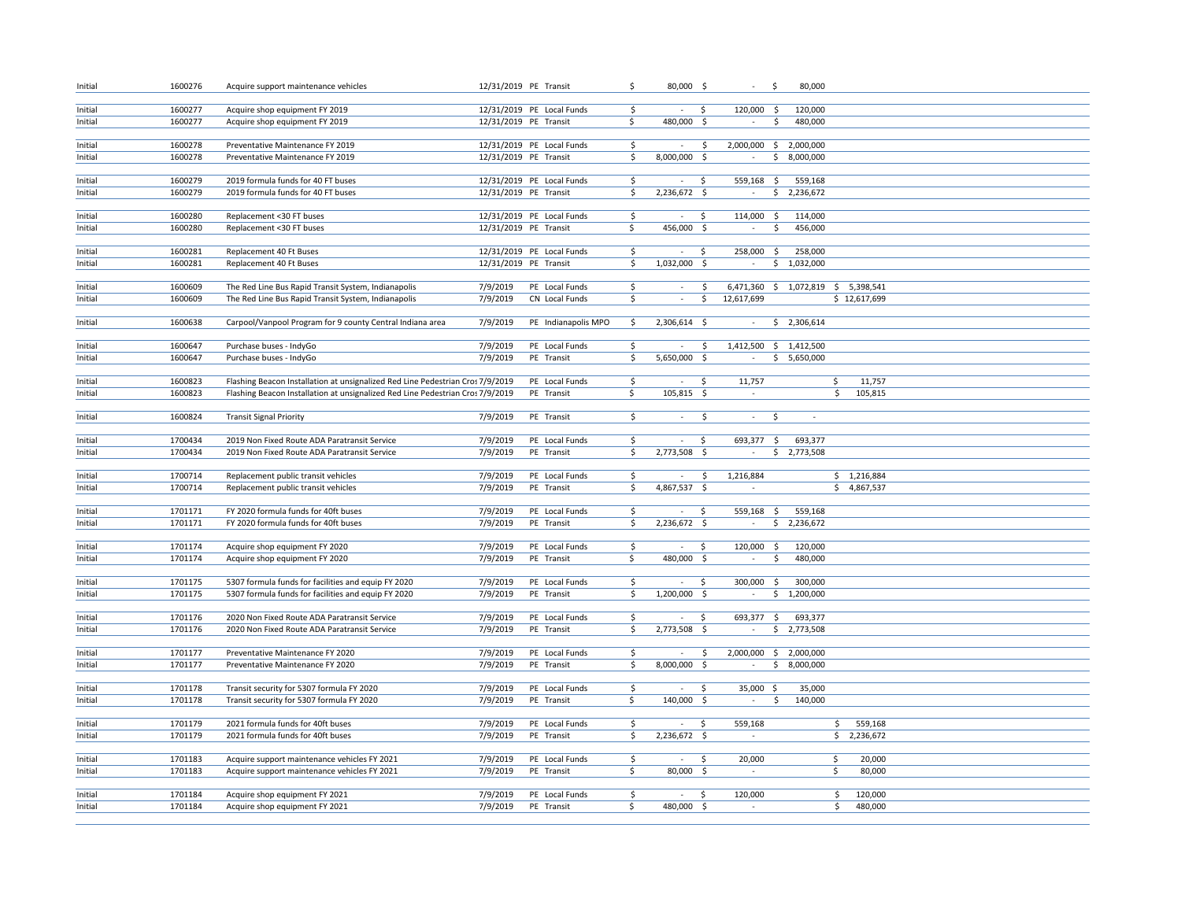| Initial            | 1600276            | Acquire support maintenance vehicles                                                         | 12/31/2019 PE Transit |                              | \$                      | $80,000$ \$              |                     | $\sim$<br>-\$<br>80,000                                |               |  |  |
|--------------------|--------------------|----------------------------------------------------------------------------------------------|-----------------------|------------------------------|-------------------------|--------------------------|---------------------|--------------------------------------------------------|---------------|--|--|
|                    |                    |                                                                                              |                       |                              |                         |                          |                     |                                                        |               |  |  |
| Initial            | 1600277            | Acquire shop equipment FY 2019                                                               |                       | 12/31/2019 PE Local Funds    | \$                      | $\sim$                   | S.                  | 120,000 \$<br>120,000                                  |               |  |  |
| Initial            | 1600277            | Acquire shop equipment FY 2019                                                               | 12/31/2019 PE Transit |                              | \$                      | 480,000 \$               |                     | 480,000<br>$\sim$<br>S.                                |               |  |  |
|                    |                    |                                                                                              |                       |                              |                         |                          |                     |                                                        |               |  |  |
| Initial            | 1600278            | Preventative Maintenance FY 2019                                                             |                       | 12/31/2019 PE Local Funds    | \$                      | $\sim$                   | \$                  | 2,000,000 \$ 2,000,000                                 |               |  |  |
| Initial            | 1600278            | Preventative Maintenance FY 2019                                                             | 12/31/2019 PE Transit |                              | \$                      | 8,000,000                | \$                  | \$8,000,000                                            |               |  |  |
| Initial            | 1600279            | 2019 formula funds for 40 FT buses                                                           |                       | 12/31/2019 PE Local Funds    | \$                      | $\sim$                   | S.                  | 559,168<br>-\$<br>559,168                              |               |  |  |
| Initial            | 1600279            | 2019 formula funds for 40 FT buses                                                           | 12/31/2019 PE Transit |                              | \$                      | 2,236,672 \$             |                     | \$2,236,672<br>$\sim$                                  |               |  |  |
|                    |                    |                                                                                              |                       |                              |                         |                          |                     |                                                        |               |  |  |
| Initial            | 1600280            | Replacement <30 FT buses                                                                     |                       | 12/31/2019 PE Local Funds    | \$                      | $\sim$                   | S.                  | 114,000<br>\$<br>114,000                               |               |  |  |
| Initial            | 1600280            | Replacement <30 FT buses                                                                     | 12/31/2019 PE Transit |                              | \$                      | 456,000                  | - \$                | \$<br>456,000                                          |               |  |  |
|                    |                    |                                                                                              |                       |                              |                         |                          |                     |                                                        |               |  |  |
| Initial            | 1600281            | Replacement 40 Ft Buses                                                                      |                       | 12/31/2019 PE Local Funds    | \$                      | $\sim$                   | S.                  | 258,000 \$<br>258,000                                  |               |  |  |
| Initial            | 1600281            | Replacement 40 Ft Buses                                                                      | 12/31/2019 PE Transit |                              | \$                      | 1,032,000 \$             |                     | \$1,032,000<br>$\sim$                                  |               |  |  |
|                    |                    |                                                                                              |                       |                              |                         |                          |                     |                                                        |               |  |  |
| Initial            | 1600609            | The Red Line Bus Rapid Transit System, Indianapolis                                          | 7/9/2019              | PE Local Funds               | \$                      |                          | \$                  | 6,471,360 \$ 1,072,819 \$ 5,398,541                    |               |  |  |
| Initial            | 1600609            | The Red Line Bus Rapid Transit System, Indianapolis                                          | 7/9/2019              | CN Local Funds               | \$                      | $\overline{\phantom{a}}$ | \$                  | 12,617,699                                             | \$12,617,699  |  |  |
| Initial            | 1600638            | Carpool/Vanpool Program for 9 county Central Indiana area                                    | 7/9/2019              | PE Indianapolis MPO          | \$                      | 2,306,614 \$             |                     | \$2,306,614<br>$\sim$                                  |               |  |  |
|                    |                    |                                                                                              |                       |                              |                         |                          |                     |                                                        |               |  |  |
| Initial            | 1600647            | Purchase buses - IndyGo                                                                      | 7/9/2019              | PE Local Funds               | \$                      | $\sim$                   | $\ddot{\mathsf{S}}$ | 1,412,500 \$ 1,412,500                                 |               |  |  |
| Initial            | 1600647            | Purchase buses - IndyGo                                                                      | 7/9/2019              | PE Transit                   | \$                      | 5,650,000 \$             |                     | \$5,650,000<br>$\sim$                                  |               |  |  |
|                    |                    |                                                                                              |                       |                              |                         |                          |                     |                                                        |               |  |  |
| Initial            | 1600823            | Flashing Beacon Installation at unsignalized Red Line Pedestrian Cros 7/9/2019               |                       | PE Local Funds               | \$                      |                          | .s                  | 11,757                                                 | \$<br>11,757  |  |  |
| Initial            | 1600823            | Flashing Beacon Installation at unsignalized Red Line Pedestrian Cros 7/9/2019               |                       | PE Transit                   | $\overline{\mathsf{S}}$ | 105,815 \$               |                     | $\sim$                                                 | \$<br>105,815 |  |  |
|                    |                    |                                                                                              |                       |                              |                         |                          |                     |                                                        |               |  |  |
| Initial            | 1600824            | <b>Transit Signal Priority</b>                                                               | 7/9/2019              | PE Transit                   | \$                      | $\sim$                   | \$                  | \$<br>$\sim$<br>$\sim$                                 |               |  |  |
|                    |                    |                                                                                              |                       |                              |                         |                          |                     |                                                        |               |  |  |
| Initial<br>Initial | 1700434<br>1700434 | 2019 Non Fixed Route ADA Paratransit Service<br>2019 Non Fixed Route ADA Paratransit Service | 7/9/2019<br>7/9/2019  | PE Local Funds<br>PE Transit | \$<br>\$                | $\sim$<br>2,773,508 \$   | S.                  | 693,377<br>$\zeta$<br>693,377<br>\$2,773,508<br>$\sim$ |               |  |  |
|                    |                    |                                                                                              |                       |                              |                         |                          |                     |                                                        |               |  |  |
| Initial            | 1700714            | Replacement public transit vehicles                                                          | 7/9/2019              | PE Local Funds               | \$                      | $\sim$                   | \$                  | 1,216,884                                              | \$1,216,884   |  |  |
| Initial            | 1700714            | Replacement public transit vehicles                                                          | 7/9/2019              | PE Transit                   | \$                      | 4,867,537 \$             |                     | $\overline{\phantom{a}}$                               | \$4,867,537   |  |  |
|                    |                    |                                                                                              |                       |                              |                         |                          |                     |                                                        |               |  |  |
| Initial            | 1701171            | FY 2020 formula funds for 40ft buses                                                         | 7/9/2019              | PE Local Funds               | \$                      | $\sim$                   | \$.                 | 559,168<br>559,168<br>-\$                              |               |  |  |
| Initial            | 1701171            | FY 2020 formula funds for 40ft buses                                                         | 7/9/2019              | PE Transit                   | \$                      | 2,236,672 \$             |                     | \$<br>2,236,672                                        |               |  |  |
|                    |                    |                                                                                              |                       |                              |                         |                          |                     |                                                        |               |  |  |
| Initial            | 1701174            | Acquire shop equipment FY 2020                                                               | 7/9/2019              | PE Local Funds               | \$                      | $\sim$                   | -S                  | 120,000<br>-\$<br>120,000                              |               |  |  |
| Initial            | 1701174            | Acquire shop equipment FY 2020                                                               | 7/9/2019              | PE Transit                   | \$                      | 480,000 \$               |                     | \$<br>480,000<br>$\overline{\phantom{a}}$              |               |  |  |
| Initial            | 1701175            | 5307 formula funds for facilities and equip FY 2020                                          | 7/9/2019              | PE Local Funds               | \$                      | $\sim$                   | S.                  | 300,000<br>300,000<br>-\$                              |               |  |  |
| Initial            | 1701175            | 5307 formula funds for facilities and equip FY 2020                                          | 7/9/2019              | PE Transit                   | \$                      | 1,200,000                | -\$                 | \$1,200,000<br>$\sim$                                  |               |  |  |
|                    |                    |                                                                                              |                       |                              |                         |                          |                     |                                                        |               |  |  |
| Initial            | 1701176            | 2020 Non Fixed Route ADA Paratransit Service                                                 | 7/9/2019              | PE Local Funds               | \$                      |                          | \$                  | 693,377<br>$\ddot{\varsigma}$<br>693,377               |               |  |  |
| Initial            | 1701176            | 2020 Non Fixed Route ADA Paratransit Service                                                 | 7/9/2019              | PE Transit                   | \$                      | 2,773,508 \$             |                     | \$2,773,508<br>$\sim$                                  |               |  |  |
|                    |                    |                                                                                              |                       |                              |                         |                          |                     |                                                        |               |  |  |
| Initial            | 1701177            | Preventative Maintenance FY 2020                                                             | 7/9/2019              | PE Local Funds               | \$                      |                          | \$                  | 2,000,000 \$ 2,000,000                                 |               |  |  |
| Initial            | 1701177            | Preventative Maintenance FY 2020                                                             | 7/9/2019              | PE Transit                   | $\overline{\mathsf{S}}$ | 8,000,000 \$             |                     | \$8,000,000<br>$\sim$                                  |               |  |  |
|                    |                    |                                                                                              |                       |                              |                         |                          |                     |                                                        |               |  |  |
| Initial            | 1701178            | Transit security for 5307 formula FY 2020                                                    | 7/9/2019              | PE Local Funds               | \$                      | $\sim$                   | \$                  | 35,000 \$<br>35,000                                    |               |  |  |
| Initial            | 1701178            | Transit security for 5307 formula FY 2020                                                    | 7/9/2019              | PE Transit                   | Ŝ.                      | 140,000 \$               |                     | \$<br>140,000<br>$\sim$                                |               |  |  |
| Initial            | 1701179            | 2021 formula funds for 40ft buses                                                            | 7/9/2019              | PE Local Funds               | \$                      | $\sim$                   | S.                  | 559,168                                                | \$<br>559,168 |  |  |
| Initial            | 1701179            | 2021 formula funds for 40ft buses                                                            | 7/9/2019              | PE Transit                   | \$                      | 2,236,672 \$             |                     | $\sim$                                                 | \$2,236,672   |  |  |
|                    |                    |                                                                                              |                       |                              |                         |                          |                     |                                                        |               |  |  |
| Initial            | 1701183            | Acquire support maintenance vehicles FY 2021                                                 | 7/9/2019              | PE Local Funds               | \$                      | $\sim$                   | \$                  | 20,000                                                 | \$<br>20,000  |  |  |
| Initial            | 1701183            | Acquire support maintenance vehicles FY 2021                                                 | 7/9/2019              | PE Transit                   | \$                      | 80,000 \$                |                     |                                                        | \$<br>80,000  |  |  |
|                    |                    |                                                                                              |                       |                              |                         |                          |                     |                                                        |               |  |  |
| Initial            | 1701184            | Acquire shop equipment FY 2021                                                               | 7/9/2019              | PE Local Funds               | \$                      |                          | \$                  | 120,000                                                | \$<br>120,000 |  |  |
| Initial            | 1701184            | Acquire shop equipment FY 2021                                                               | 7/9/2019              | PE Transit                   | \$                      | 480,000 \$               |                     | $\sim$                                                 | \$<br>480,000 |  |  |
|                    |                    |                                                                                              |                       |                              |                         |                          |                     |                                                        |               |  |  |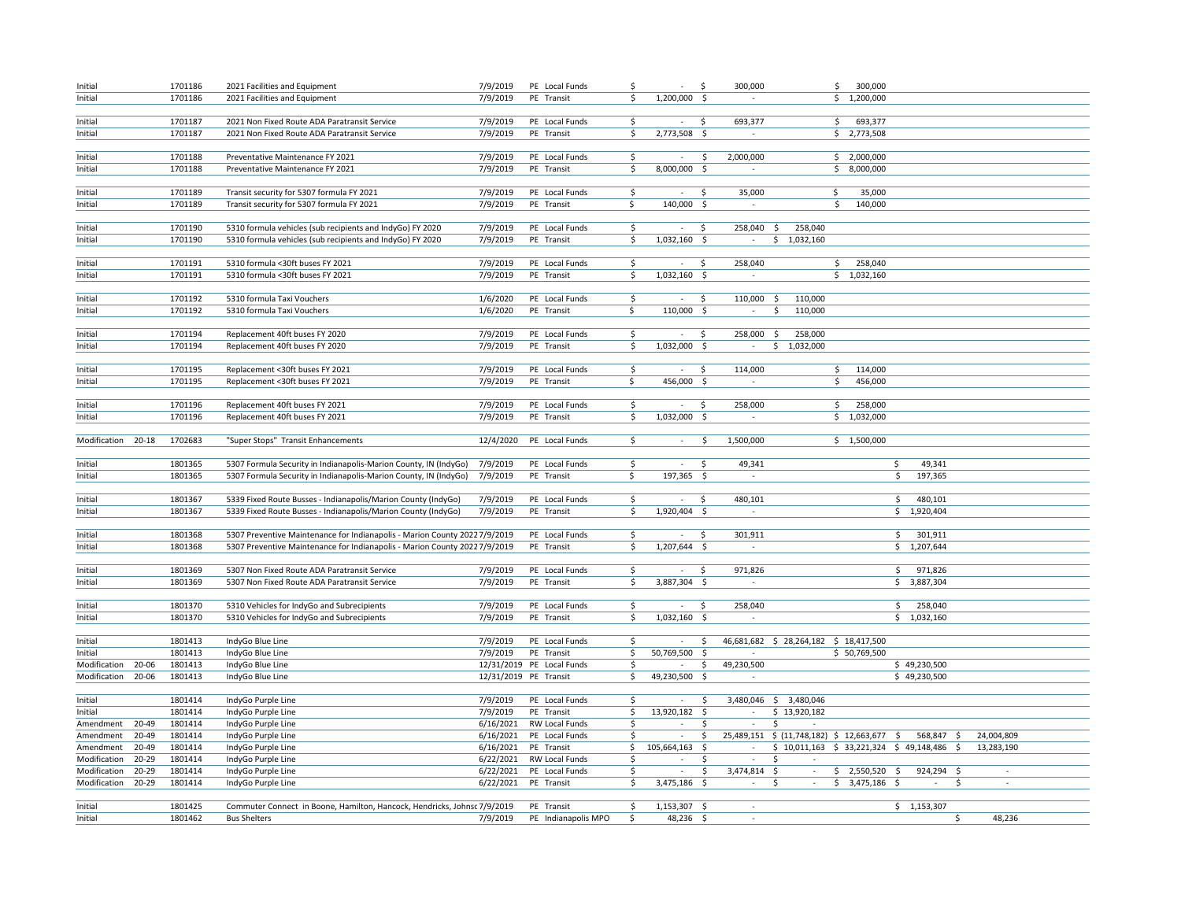| Initial            |       | 1701186 | 2021 Facilities and Equipment                                              | 7/9/2019              | PE Local Funds            | \$ | ÷.             | $\ddot{\varsigma}$  | 300,000                                                | \$<br>300,000   |               |              |  |
|--------------------|-------|---------|----------------------------------------------------------------------------|-----------------------|---------------------------|----|----------------|---------------------|--------------------------------------------------------|-----------------|---------------|--------------|--|
| Initial            |       | 1701186 | 2021 Facilities and Equipment                                              | 7/9/2019              | PE Transit                | \$ | 1,200,000      | - \$                |                                                        | \$1,200,000     |               |              |  |
|                    |       |         |                                                                            |                       |                           |    |                |                     |                                                        |                 |               |              |  |
| Initial            |       | 1701187 | 2021 Non Fixed Route ADA Paratransit Service                               | 7/9/2019              | PE Local Funds            | \$ |                | S.                  | 693,377                                                | \$<br>693,377   |               |              |  |
| Initial            |       | 1701187 | 2021 Non Fixed Route ADA Paratransit Service                               | 7/9/2019              | PE Transit                | \$ | 2,773,508 \$   |                     | $\sim$                                                 | \$2,773,508     |               |              |  |
|                    |       |         |                                                                            |                       |                           |    |                |                     |                                                        |                 |               |              |  |
| Initial            |       | 1701188 | Preventative Maintenance FY 2021                                           | 7/9/2019              | PE Local Funds            | \$ | $\sim$         | $\ddot{\mathsf{S}}$ | 2,000,000                                              | \$2,000,000     |               |              |  |
| Initial            |       | 1701188 | Preventative Maintenance FY 2021                                           | 7/9/2019              | PE Transit                | \$ | 8,000,000 \$   |                     | $\sim$                                                 | \$8,000,000     |               |              |  |
|                    |       |         |                                                                            |                       |                           |    |                |                     |                                                        |                 |               |              |  |
| Initial            |       | 1701189 | Transit security for 5307 formula FY 2021                                  | 7/9/2019              | PE Local Funds            | \$ | $\sim$         | -\$                 | 35,000<br>\$                                           | 35,000          |               |              |  |
| Initial            |       | 1701189 | Transit security for 5307 formula FY 2021                                  | 7/9/2019              | PE Transit                | \$ | 140,000 \$     |                     | $\sim$                                                 | \$<br>140,000   |               |              |  |
|                    |       |         |                                                                            |                       |                           |    |                |                     |                                                        |                 |               |              |  |
| Initial            |       | 1701190 | 5310 formula vehicles (sub recipients and IndyGo) FY 2020                  | 7/9/2019              | PE Local Funds            | \$ | $\sim$         | $\ddot{\varsigma}$  | 258,040 \$<br>258,040                                  |                 |               |              |  |
| Initial            |       | 1701190 | 5310 formula vehicles (sub recipients and IndyGo) FY 2020                  | 7/9/2019              | PE Transit                | \$ | 1,032,160 \$   |                     | \$1,032,160<br>$\sim$                                  |                 |               |              |  |
|                    |       |         |                                                                            |                       |                           |    |                |                     |                                                        |                 |               |              |  |
| Initial            |       | 1701191 | 5310 formula <30ft buses FY 2021                                           | 7/9/2019              | PE Local Funds            | \$ | $\sim$         | S.                  | 258,040                                                | 258,040<br>\$   |               |              |  |
| Initial            |       | 1701191 | 5310 formula <30ft buses FY 2021                                           | 7/9/2019              | PE Transit                | \$ | 1,032,160 \$   |                     | $\sim$                                                 | \$1,032,160     |               |              |  |
|                    |       |         |                                                                            |                       |                           |    |                |                     |                                                        |                 |               |              |  |
| Initial            |       | 1701192 | 5310 formula Taxi Vouchers                                                 | 1/6/2020              | PE Local Funds            | \$ | $\sim$         | \$                  | 110,000 \$<br>110,000                                  |                 |               |              |  |
| Initial            |       | 1701192 | 5310 formula Taxi Vouchers                                                 | 1/6/2020              | PE Transit                | \$ | 110,000 \$     |                     | $\sim$<br>\$<br>110,000                                |                 |               |              |  |
|                    |       |         |                                                                            |                       |                           |    |                |                     |                                                        |                 |               |              |  |
| Initial            |       | 1701194 | Replacement 40ft buses FY 2020                                             | 7/9/2019              | PE Local Funds            | \$ | $\sim$         | S.                  | 258,000<br>S.<br>258,000                               |                 |               |              |  |
| Initial            |       | 1701194 | Replacement 40ft buses FY 2020                                             | 7/9/2019              | PE Transit                | \$ | 1,032,000      | - \$                | \$<br>1,032,000                                        |                 |               |              |  |
|                    |       |         |                                                                            |                       |                           |    |                |                     |                                                        |                 |               |              |  |
| Initial            |       | 1701195 | Replacement <30ft buses FY 2021                                            | 7/9/2019              | PE Local Funds            | S. | $\sim$         | S.                  | 114,000                                                | 114,000<br>\$   |               |              |  |
| Initial            |       | 1701195 | Replacement <30ft buses FY 2021                                            | 7/9/2019              | PE Transit                | \$ | 456,000        | - \$                |                                                        | \$<br>456,000   |               |              |  |
|                    |       |         |                                                                            |                       |                           |    |                |                     |                                                        |                 |               |              |  |
| Initial            |       | 1701196 | Replacement 40ft buses FY 2021                                             | 7/9/2019              | PE Local Funds            | \$ | $\sim$         | \$                  | 258.000                                                | \$<br>258,000   |               |              |  |
| Initial            |       | 1701196 | Replacement 40ft buses FY 2021                                             | 7/9/2019              | PE Transit                | \$ | 1,032,000      | - \$                |                                                        | \$1,032,000     |               |              |  |
|                    |       |         |                                                                            |                       |                           | Ś. | $\sim$         | Ŝ.                  |                                                        |                 |               |              |  |
| Modification 20-18 |       | 1702683 | "Super Stops" Transit Enhancements                                         | 12/4/2020             | PE Local Funds            |    |                |                     | 1,500,000                                              | \$1,500,000     |               |              |  |
| Initial            |       | 1801365 | 5307 Formula Security in Indianapolis-Marion County, IN (IndyGo)           | 7/9/2019              | PE Local Funds            | \$ | $\sim$         | -S                  | 49,341                                                 |                 | 49,341<br>\$  |              |  |
| Initial            |       | 1801365 | 5307 Formula Security in Indianapolis-Marion County, IN (IndyGo)           | 7/9/2019              | PE Transit                | \$ | 197,365 \$     |                     | $\mathcal{L}$                                          |                 | \$<br>197,365 |              |  |
|                    |       |         |                                                                            |                       |                           |    |                |                     |                                                        |                 |               |              |  |
| Initial            |       | 1801367 | 5339 Fixed Route Busses - Indianapolis/Marion County (IndyGo)              | 7/9/2019              | PE Local Funds            | \$ | $\sim$         | S.                  | 480,101                                                |                 | 480,101<br>\$ |              |  |
| Initial            |       | 1801367 | 5339 Fixed Route Busses - Indianapolis/Marion County (IndyGo)              | 7/9/2019              | PE Transit                | \$ | 1,920,404 \$   |                     | $\overline{\phantom{a}}$                               |                 | \$1,920,404   |              |  |
|                    |       |         |                                                                            |                       |                           |    |                |                     |                                                        |                 |               |              |  |
| Initial            |       | 1801368 | 5307 Preventive Maintenance for Indianapolis - Marion County 2022 7/9/2019 |                       | PE Local Funds            | \$ | $\sim$         | S.                  | 301.911                                                |                 | \$301,911     |              |  |
| Initial            |       | 1801368 | 5307 Preventive Maintenance for Indianapolis - Marion County 2022 7/9/2019 |                       | PE Transit                | \$ | 1,207,644 \$   |                     | $\sim$                                                 |                 | \$1,207,644   |              |  |
|                    |       |         |                                                                            |                       |                           |    |                |                     |                                                        |                 |               |              |  |
| Initial            |       | 1801369 | 5307 Non Fixed Route ADA Paratransit Service                               | 7/9/2019              | PE Local Funds            | \$ | $\sim$         | \$                  | 971,826                                                |                 | \$<br>971,826 |              |  |
| Initial            |       | 1801369 | 5307 Non Fixed Route ADA Paratransit Service                               | 7/9/2019              | PE Transit                | \$ | 3,887,304 \$   |                     | $\sim$                                                 |                 | \$3,887,304   |              |  |
|                    |       |         |                                                                            |                       |                           |    |                |                     |                                                        |                 |               |              |  |
| Initial            |       | 1801370 | 5310 Vehicles for IndyGo and Subrecipients                                 | 7/9/2019              | PE Local Funds            | \$ | $\sim$         | $\ddot{\varsigma}$  | 258.040                                                |                 | Ś.<br>258,040 |              |  |
| Initial            |       | 1801370 | 5310 Vehicles for IndyGo and Subrecipients                                 | 7/9/2019              | PE Transit                | \$ | 1,032,160 \$   |                     | $\sim$                                                 |                 | \$1,032,160   |              |  |
|                    |       |         |                                                                            |                       |                           |    |                |                     |                                                        |                 |               |              |  |
| Initial            |       | 1801413 | IndyGo Blue Line                                                           | 7/9/2019              | PE Local Funds            | \$ | $\sim$         | \$                  | 46,681,682 \$ 28,264,182 \$ 18,417,500                 |                 |               |              |  |
| Initial            |       | 1801413 | IndyGo Blue Line                                                           | 7/9/2019              | PE Transit                | \$ | 50,769,500     | $\mathsf{S}$        |                                                        | \$50,769,500    |               |              |  |
| Modification       | 20-06 | 1801413 | IndyGo Blue Line                                                           |                       | 12/31/2019 PE Local Funds | \$ |                | Ś.                  | 49,230,500                                             |                 | \$49,230,500  |              |  |
| Modification       | 20-06 | 1801413 | IndyGo Blue Line                                                           | 12/31/2019 PE Transit |                           | \$ | 49,230,500 \$  |                     | $\sim$                                                 |                 | \$49,230,500  |              |  |
|                    |       |         |                                                                            |                       |                           |    |                |                     |                                                        |                 |               |              |  |
| Initial            |       | 1801414 | IndyGo Purple Line                                                         | 7/9/2019              | PE Local Funds            | \$ |                | Ś.                  | 3,480,046 \$ 3,480,046                                 |                 |               |              |  |
| Initial            |       | 1801414 | IndyGo Purple Line                                                         | 7/9/2019              | PE Transit                | \$ | 13,920,182 \$  |                     | $\sim$<br>\$13,920,182                                 |                 |               |              |  |
| Amendment          | 20-49 | 1801414 | IndyGo Purple Line                                                         | 6/16/2021             | RW Local Funds            | \$ | $\sim$         | S.                  | \$<br>$\overline{\phantom{a}}$                         |                 |               |              |  |
| Amendment          | 20-49 | 1801414 | IndyGo Purple Line                                                         | 6/16/2021             | PE Local Funds            | Ś  |                | Ś                   | 25,489,151 \$ (11,748,182) \$ 12,663,677 \$            |                 | 568,847 \$    | 24,004,809   |  |
| Amendment          | 20-49 | 1801414 | IndyGo Purple Line                                                         | 6/16/2021             | PE Transit                | \$ | 105,664,163 \$ |                     | $$10,011,163$$ $$33,221,324$$ $$49,148,486$$<br>$\sim$ |                 |               | 13,283,190   |  |
| Modification       | 20-29 | 1801414 | IndyGo Purple Line                                                         | 6/22/2021             | RW Local Funds            | S. |                | Ŝ                   | $\sim$<br>S.                                           |                 |               |              |  |
| Modification       | 20-29 | 1801414 | IndyGo Purple Line                                                         | 6/22/2021             | PE Local Funds            | \$ | $\sim$         | \$                  | 3,474,814 \$<br>$\sim$                                 | $$2,550,520$ \$ | 924,294 \$    |              |  |
| Modification       | 20-29 | 1801414 | IndyGo Purple Line                                                         | 6/22/2021 PE Transit  |                           | \$ | 3,475,186 \$   |                     | $\sim$<br>S.<br>$\sim$                                 | \$3,475,186     | $\sim$        | \$<br>$\sim$ |  |
|                    |       |         |                                                                            |                       |                           |    |                |                     |                                                        |                 |               |              |  |
| Initial            |       | 1801425 | Commuter Connect in Boone, Hamilton, Hancock, Hendricks, Johnsc 7/9/2019   |                       | PE Transit                | \$ | 1,153,307 \$   |                     |                                                        |                 | \$1,153,307   |              |  |
| Initial            |       | 1801462 | <b>Bus Shelters</b>                                                        | 7/9/2019              | PE Indianapolis MPO       | \$ | 48,236 \$      |                     | $\overline{\phantom{a}}$                               |                 |               | \$<br>48,236 |  |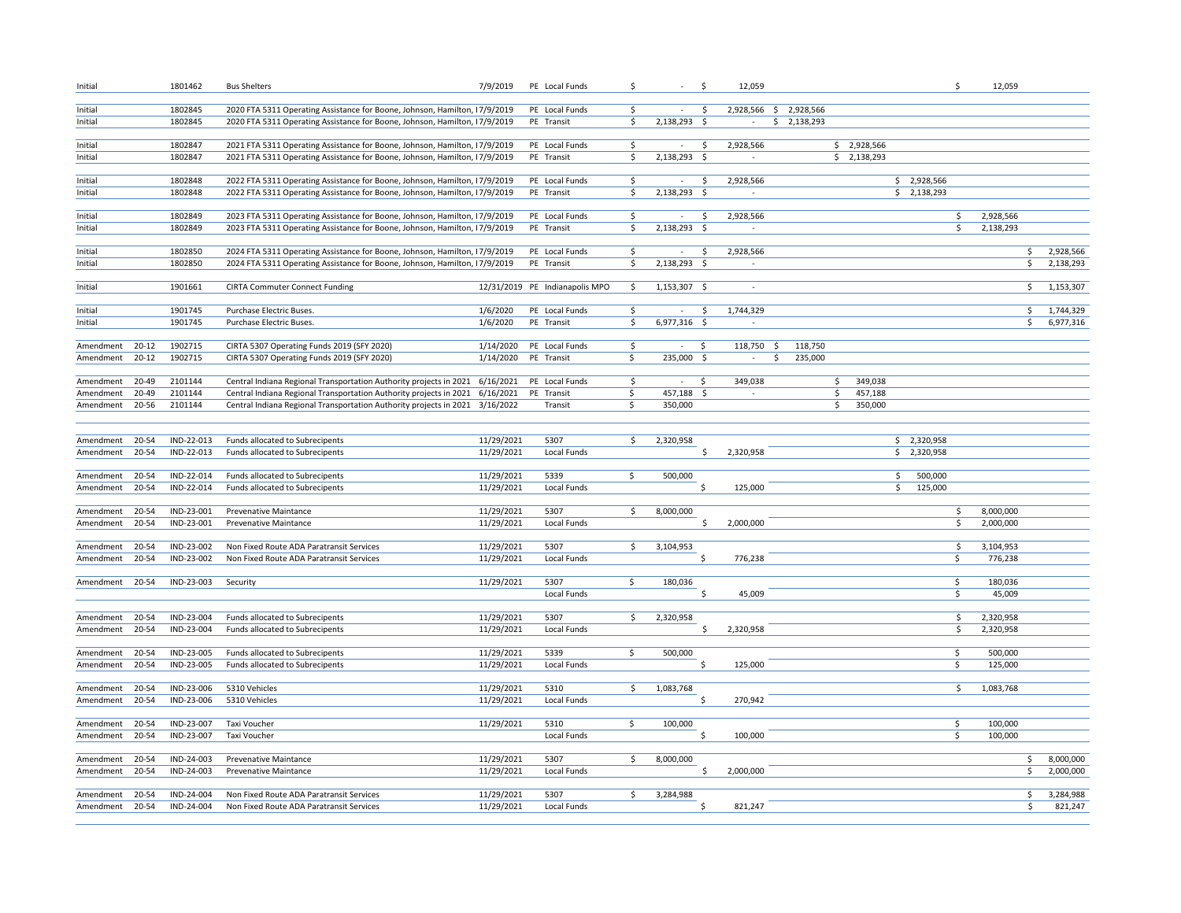| Initial                |                | 1801462                  | <b>Bus Shelters</b>                                                                                                                                      | 7/9/2019                 | PE Local Funds                 | \$                           | $\sim$                   | \$                 | 12,059              |                        |                         |                            |               | \$                      | 12,059               |                        |
|------------------------|----------------|--------------------------|----------------------------------------------------------------------------------------------------------------------------------------------------------|--------------------------|--------------------------------|------------------------------|--------------------------|--------------------|---------------------|------------------------|-------------------------|----------------------------|---------------|-------------------------|----------------------|------------------------|
| Initial                |                | 1802845                  | 2020 FTA 5311 Operating Assistance for Boone, Johnson, Hamilton, 17/9/2019                                                                               |                          | PE Local Funds                 | \$                           | $\sim$                   | -\$                |                     | 2,928,566 \$ 2,928,566 |                         |                            |               |                         |                      |                        |
| Initial                |                | 1802845                  | 2020 FTA 5311 Operating Assistance for Boone, Johnson, Hamilton, 17/9/2019                                                                               |                          | PE Transit                     | \$                           | 2,138,293                | - \$               | $\sim$              | \$2,138,293            |                         |                            |               |                         |                      |                        |
|                        |                |                          |                                                                                                                                                          |                          |                                |                              |                          |                    |                     |                        |                         |                            |               |                         |                      |                        |
| Initial<br>Initial     |                | 1802847<br>1802847       | 2021 FTA 5311 Operating Assistance for Boone, Johnson, Hamilton, 17/9/2019<br>2021 FTA 5311 Operating Assistance for Boone, Johnson, Hamilton, 17/9/2019 |                          | PE Local Funds<br>PE Transit   | \$<br>\$                     | 2,138,293                | \$<br>-\$          | 2,928,566           |                        |                         | \$2,928,566<br>\$2,138,293 |               |                         |                      |                        |
|                        |                |                          |                                                                                                                                                          |                          |                                |                              |                          |                    |                     |                        |                         |                            |               |                         |                      |                        |
| Initial                |                | 1802848                  | 2022 FTA 5311 Operating Assistance for Boone, Johnson, Hamilton, 17/9/2019                                                                               |                          | PE Local Funds                 | \$                           | $\sim$                   | - Ś                | 2,928,566           |                        |                         |                            | \$2,928,566   |                         |                      |                        |
| Initial                |                | 1802848                  | 2022 FTA 5311 Operating Assistance for Boone, Johnson, Hamilton, 17/9/2019                                                                               |                          | PE Transit                     | \$                           | 2,138,293 \$             |                    | $\sim$              |                        |                         |                            | \$2,138,293   |                         |                      |                        |
| Initial                |                | 1802849                  | 2023 FTA 5311 Operating Assistance for Boone, Johnson, Hamilton, 17/9/2019                                                                               |                          | PE Local Funds                 | \$                           | $\sim$                   | \$                 | 2,928,566           |                        |                         |                            |               | \$                      | 2,928,566            |                        |
| Initial                |                | 1802849                  | 2023 FTA 5311 Operating Assistance for Boone, Johnson, Hamilton, 17/9/2019                                                                               |                          | PE Transit                     | \$                           | 2,138,293 \$             |                    | $\sim$              |                        |                         |                            |               | \$                      | 2,138,293            |                        |
|                        |                |                          |                                                                                                                                                          |                          |                                |                              |                          |                    |                     |                        |                         |                            |               |                         |                      |                        |
| Initial                |                | 1802850<br>1802850       | 2024 FTA 5311 Operating Assistance for Boone, Johnson, Hamilton, 17/9/2019                                                                               |                          | PE Local Funds                 | \$<br>$\overline{\varsigma}$ | $\sim$<br>$2,138,293$ \$ | $\ddot{\varsigma}$ | 2,928,566<br>$\sim$ |                        |                         |                            |               |                         | \$                   | 2,928,566<br>2,138,293 |
| Initial                |                |                          | 2024 FTA 5311 Operating Assistance for Boone, Johnson, Hamilton, 17/9/2019                                                                               |                          | PE Transit                     |                              |                          |                    |                     |                        |                         |                            |               |                         | \$                   |                        |
| Initial                |                | 1901661                  | <b>CIRTA Commuter Connect Funding</b>                                                                                                                    |                          | 12/31/2019 PE Indianapolis MPO | \$                           | 1,153,307 \$             |                    | $\sim$              |                        |                         |                            |               |                         | \$                   | 1,153,307              |
|                        |                |                          |                                                                                                                                                          |                          |                                |                              |                          |                    |                     |                        |                         |                            |               |                         |                      |                        |
| Initial                |                | 1901745<br>1901745       | Purchase Electric Buses.                                                                                                                                 | 1/6/2020                 | PE Local Funds                 | \$<br>\$                     | $\sim$                   | \$                 | 1,744,329           |                        |                         |                            |               |                         | \$<br>\$             | 1,744,329              |
| Initial                |                |                          | Purchase Electric Buses.                                                                                                                                 | 1/6/2020                 | PE Transit                     |                              | 6,977,316 \$             |                    | $\sim$              |                        |                         |                            |               |                         |                      | 6,977,316              |
| Amendment              | $20 - 12$      | 1902715                  | CIRTA 5307 Operating Funds 2019 (SFY 2020)                                                                                                               | 1/14/2020                | PE Local Funds                 | \$                           | $\sim$                   | Ŝ.                 | 118,750             | -\$<br>118,750         |                         |                            |               |                         |                      |                        |
| Amendment              | $20 - 12$      | 1902715                  | CIRTA 5307 Operating Funds 2019 (SFY 2020)                                                                                                               | 1/14/2020                | PE Transit                     | \$                           | 235,000 \$               |                    | $\sim$              | \$<br>235,000          |                         |                            |               |                         |                      |                        |
| Amendment              | 20-49          | 2101144                  | Central Indiana Regional Transportation Authority projects in 2021                                                                                       | 6/16/2021                | PE Local Funds                 | \$                           | $\sim$                   | \$                 | 349,038             |                        | \$                      | 349.038                    |               |                         |                      |                        |
| Amendment              | 20-49          | 2101144                  | Central Indiana Regional Transportation Authority projects in 2021 6/16/2021                                                                             |                          | PE Transit                     | $\overline{\mathsf{S}}$      | 457,188                  | - \$               | $\sim$              |                        | $\overline{\mathsf{S}}$ | 457,188                    |               |                         |                      |                        |
| Amendment              | 20-56          | 2101144                  | Central Indiana Regional Transportation Authority projects in 2021                                                                                       | 3/16/2022                | Transit                        | \$                           | 350,000                  |                    |                     |                        | \$                      | 350,000                    |               |                         |                      |                        |
|                        |                |                          |                                                                                                                                                          |                          |                                |                              |                          |                    |                     |                        |                         |                            |               |                         |                      |                        |
| Amendment              | 20-54          | IND-22-013               | Funds allocated to Subrecipents                                                                                                                          | 11/29/2021               | 5307                           | \$                           | 2,320,958                |                    |                     |                        |                         |                            | \$2,320,958   |                         |                      |                        |
| Amendment              | 20-54          | IND-22-013               | Funds allocated to Subrecipents                                                                                                                          | 11/29/2021               | Local Funds                    |                              |                          | \$                 | 2,320,958           |                        |                         |                            | \$2,320,958   |                         |                      |                        |
|                        |                |                          |                                                                                                                                                          |                          |                                |                              |                          |                    |                     |                        |                         |                            |               |                         |                      |                        |
| Amendment              | 20-54          | IND-22-014               | Funds allocated to Subrecipents                                                                                                                          | 11/29/2021               | 5339                           | \$                           | 500,000                  |                    |                     |                        |                         |                            | \$<br>500,000 |                         |                      |                        |
| Amendment              | 20-54          | IND-22-014               | Funds allocated to Subrecipents                                                                                                                          | 11/29/2021               | Local Funds                    |                              |                          | \$                 | 125,000             |                        |                         |                            | \$<br>125,000 |                         |                      |                        |
| Amendment              | 20-54          | IND-23-001               | <b>Prevenative Maintance</b>                                                                                                                             | 11/29/2021               | 5307                           | \$                           | 8,000,000                |                    |                     |                        |                         |                            |               | \$                      | 8,000,000            |                        |
| Amendment              | 20-54          | IND-23-001               | Prevenative Maintance                                                                                                                                    | 11/29/2021               | Local Funds                    |                              |                          | Š.                 | 2,000,000           |                        |                         |                            |               | \$                      | 2,000,000            |                        |
|                        |                |                          |                                                                                                                                                          |                          |                                |                              |                          |                    |                     |                        |                         |                            |               |                         |                      |                        |
| Amendment<br>Amendment | 20-54<br>20-54 | IND-23-002<br>IND-23-002 | Non Fixed Route ADA Paratransit Services<br>Non Fixed Route ADA Paratransit Services                                                                     | 11/29/2021<br>11/29/2021 | 5307<br>Local Funds            | \$                           | 3,104,953                | Ś                  | 776,238             |                        |                         |                            |               | \$<br>$\overline{\xi}$  | 3,104,953<br>776,238 |                        |
|                        |                |                          |                                                                                                                                                          |                          |                                |                              |                          |                    |                     |                        |                         |                            |               |                         |                      |                        |
| Amendment              | 20-54          | IND-23-003               | Security                                                                                                                                                 | 11/29/2021               | 5307                           | \$                           | 180,036                  |                    |                     |                        |                         |                            |               | $\ddot{\mathsf{S}}$     | 180,036              |                        |
|                        |                |                          |                                                                                                                                                          |                          | Local Funds                    |                              |                          | Ŝ                  | 45,009              |                        |                         |                            |               | $\overline{\mathsf{S}}$ | 45,009               |                        |
| Amendment              | 20-54          | IND-23-004               | Funds allocated to Subrecipents                                                                                                                          | 11/29/2021               | 5307                           | \$                           | 2,320,958                |                    |                     |                        |                         |                            |               | \$                      | 2,320,958            |                        |
| Amendment              | 20-54          | IND-23-004               | Funds allocated to Subrecipents                                                                                                                          | 11/29/2021               | Local Funds                    |                              |                          | \$                 | 2,320,958           |                        |                         |                            |               | \$                      | 2,320,958            |                        |
|                        |                |                          |                                                                                                                                                          |                          |                                |                              |                          |                    |                     |                        |                         |                            |               |                         |                      |                        |
| Amendment              | 20-54          | IND-23-005               | Funds allocated to Subrecipents                                                                                                                          | 11/29/2021               | 5339                           | \$                           | 500,000                  |                    |                     |                        |                         |                            |               | \$                      | 500,000              |                        |
| Amendment              | 20-54          | IND-23-005               | Funds allocated to Subrecipents                                                                                                                          | 11/29/2021               | Local Funds                    |                              |                          | Ś.                 | 125,000             |                        |                         |                            |               | \$                      | 125,000              |                        |
| Amendment              | 20-54          | IND-23-006               | 5310 Vehicles                                                                                                                                            | 11/29/2021               | 5310                           | \$                           | 1,083,768                |                    |                     |                        |                         |                            |               | \$                      | 1,083,768            |                        |
| Amendment              | 20-54          | IND-23-006               | 5310 Vehicles                                                                                                                                            | 11/29/2021               | Local Funds                    |                              |                          | \$                 | 270,942             |                        |                         |                            |               |                         |                      |                        |
|                        |                |                          |                                                                                                                                                          |                          |                                |                              |                          |                    |                     |                        |                         |                            |               |                         |                      |                        |
| Amendment<br>Amendment | 20-54<br>20-54 | IND-23-007<br>IND-23-007 | Taxi Voucher<br>Taxi Voucher                                                                                                                             | 11/29/2021               | 5310<br>Local Funds            | \$                           | 100,000                  | Ś.                 | 100,000             |                        |                         |                            |               | \$<br>\$                | 100,000<br>100,000   |                        |
|                        |                |                          |                                                                                                                                                          |                          |                                |                              |                          |                    |                     |                        |                         |                            |               |                         |                      |                        |
| Amendment              | 20-54          | IND-24-003               | Prevenative Maintance                                                                                                                                    | 11/29/2021               | 5307                           | \$                           | 8,000,000                |                    |                     |                        |                         |                            |               |                         | \$                   | 8,000,000              |
| Amendment              | $20 - 54$      | IND-24-003               | <b>Prevenative Maintance</b>                                                                                                                             | 11/29/2021               | Local Funds                    |                              |                          | Ŝ.                 | 2,000,000           |                        |                         |                            |               |                         | \$                   | 2,000,000              |
| Amendment              | 20-54          | IND-24-004               | Non Fixed Route ADA Paratransit Services                                                                                                                 | 11/29/2021               | 5307                           | \$                           | 3,284,988                |                    |                     |                        |                         |                            |               |                         | \$                   | 3,284,988              |
| Amendment              | 20-54          | IND-24-004               | Non Fixed Route ADA Paratransit Services                                                                                                                 | 11/29/2021               | Local Funds                    |                              |                          | Ś                  | 821,247             |                        |                         |                            |               |                         | \$                   | 821,247                |
|                        |                |                          |                                                                                                                                                          |                          |                                |                              |                          |                    |                     |                        |                         |                            |               |                         |                      |                        |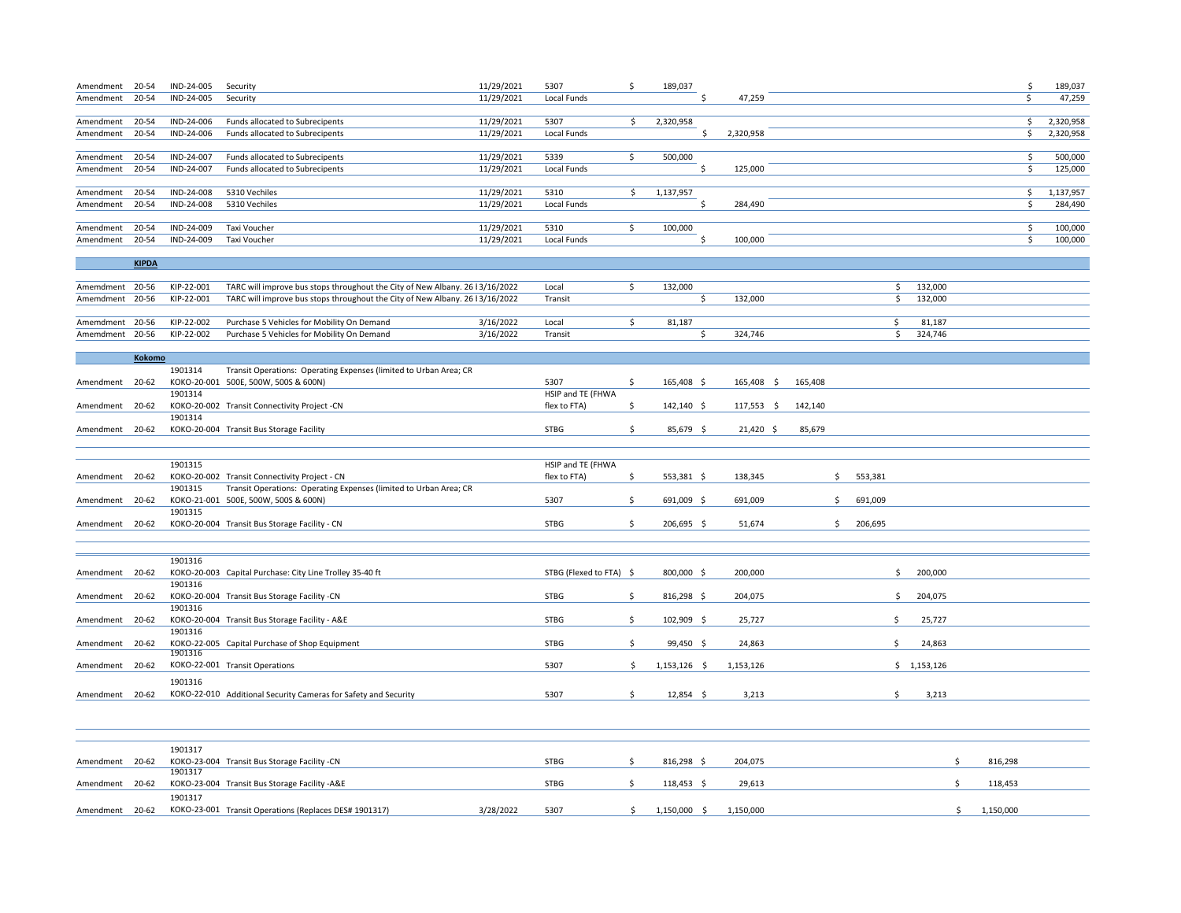| Amendment       | 20-54        | IND-24-005 | Security                                                                      | 11/29/2021 | 5307                    | \$ | 189,037        |     |            |         |               |                         |     | \$.                     | 189,037   |
|-----------------|--------------|------------|-------------------------------------------------------------------------------|------------|-------------------------|----|----------------|-----|------------|---------|---------------|-------------------------|-----|-------------------------|-----------|
| Amendment       | 20-54        | IND-24-005 | Security                                                                      | 11/29/2021 | Local Funds             |    |                | Ś   | 47,259     |         |               |                         |     | \$.                     | 47,259    |
|                 |              |            |                                                                               |            |                         |    |                |     |            |         |               |                         |     |                         |           |
| Amendment       | 20-54        | IND-24-006 | Funds allocated to Subrecipents                                               | 11/29/2021 | 5307                    | Ŝ. | 2,320,958      |     |            |         |               |                         |     | \$                      | 2,320,958 |
| Amendment       | 20-54        | IND-24-006 | Funds allocated to Subrecipents                                               | 11/29/2021 | Local Funds             |    |                | Ś   | 2,320,958  |         |               |                         |     | \$                      | 2,320,958 |
| Amendment       | 20-54        | IND-24-007 | Funds allocated to Subrecipents                                               | 11/29/2021 | 5339                    | \$ | 500,000        |     |            |         |               |                         |     | \$                      | 500,000   |
| Amendment       | 20-54        | IND-24-007 | Funds allocated to Subrecipents                                               | 11/29/2021 | Local Funds             |    |                | Ś   | 125,000    |         |               |                         |     | \$                      | 125,000   |
|                 |              |            |                                                                               |            |                         |    |                |     |            |         |               |                         |     |                         |           |
| Amendment       | 20-54        | IND-24-008 | 5310 Vechiles                                                                 | 11/29/2021 | 5310                    | \$ | 1,137,957      |     |            |         |               |                         |     | $\overline{\mathsf{S}}$ | 1,137,957 |
| Amendment       | 20-54        | IND-24-008 | 5310 Vechiles                                                                 | 11/29/2021 | Local Funds             |    |                | Ś   | 284,490    |         |               |                         |     | \$                      | 284,490   |
|                 |              |            |                                                                               |            |                         |    |                |     |            |         |               |                         |     |                         |           |
| Amendment       | 20-54        | IND-24-009 | Taxi Voucher                                                                  | 11/29/2021 | 5310                    | \$ | 100,000        |     |            |         |               |                         |     | \$                      | 100,000   |
| Amendment       | 20-54        | IND-24-009 | Taxi Voucher                                                                  | 11/29/2021 | Local Funds             |    |                | .s  | 100,000    |         |               |                         |     | \$                      | 100,000   |
|                 | <b>KIPDA</b> |            |                                                                               |            |                         |    |                |     |            |         |               |                         |     |                         |           |
|                 |              |            |                                                                               |            |                         |    |                |     |            |         |               |                         |     |                         |           |
| Amemdment       | 20-56        | KIP-22-001 | TARC will improve bus stops throughout the City of New Albany. 26 l 3/16/2022 |            | Local                   | \$ | 132,000        |     |            |         |               | 132,000<br>\$           |     |                         |           |
| Amemdment 20-56 |              | KIP-22-001 | TARC will improve bus stops throughout the City of New Albany. 26 l 3/16/2022 |            | Transit                 |    |                | \$. | 132,000    |         |               | \$<br>132,000           |     |                         |           |
|                 |              |            |                                                                               |            |                         |    |                |     |            |         |               |                         |     |                         |           |
| Amemdment 20-56 |              | KIP-22-002 | Purchase 5 Vehicles for Mobility On Demand                                    | 3/16/2022  | Local                   | \$ | 81,187         |     |            |         |               | 81,187<br>\$<br>324,746 |     |                         |           |
| Amemdment 20-56 |              | KIP-22-002 | Purchase 5 Vehicles for Mobility On Demand                                    | 3/16/2022  | Transit                 |    |                | \$  | 324,746    |         |               | \$                      |     |                         |           |
|                 | Kokomo       |            |                                                                               |            |                         |    |                |     |            |         |               |                         |     |                         |           |
|                 |              | 1901314    | Transit Operations: Operating Expenses (limited to Urban Area; CR             |            |                         |    |                |     |            |         |               |                         |     |                         |           |
| Amendment       | 20-62        |            | KOKO-20-001 500E, 500W, 500S & 600N)                                          |            | 5307                    | Ś  | 165,408 \$     |     | 165,408 \$ | 165,408 |               |                         |     |                         |           |
|                 |              | 1901314    |                                                                               |            | HSIP and TE (FHWA       |    |                |     |            |         |               |                         |     |                         |           |
| Amendment       | $20 - 62$    |            | KOKO-20-002 Transit Connectivity Project -CN                                  |            | flex to FTA)            | \$ | 142,140 \$     |     | 117,553 \$ | 142,140 |               |                         |     |                         |           |
|                 |              | 1901314    |                                                                               |            |                         |    |                |     |            |         |               |                         |     |                         |           |
| Amendment 20-62 |              |            | KOKO-20-004 Transit Bus Storage Facility                                      |            | <b>STBG</b>             | Ŝ. | 85,679 \$      |     | 21,420 \$  | 85,679  |               |                         |     |                         |           |
|                 |              |            |                                                                               |            |                         |    |                |     |            |         |               |                         |     |                         |           |
|                 |              | 1901315    |                                                                               |            | HSIP and TE (FHWA       |    |                |     |            |         |               |                         |     |                         |           |
| Amendment       | 20-62        |            | KOKO-20-002 Transit Connectivity Project - CN                                 |            | flex to FTA)            | \$ | 553,381 \$     |     | 138,345    |         | \$<br>553,381 |                         |     |                         |           |
|                 |              | 1901315    | Transit Operations: Operating Expenses (limited to Urban Area; CR             |            |                         |    |                |     |            |         |               |                         |     |                         |           |
| Amendment       | 20-62        |            | KOKO-21-001 500E, 500W, 500S & 600N)                                          |            | 5307                    | \$ | 691,009 \$     |     | 691,009    |         | \$<br>691,009 |                         |     |                         |           |
|                 |              | 1901315    |                                                                               |            |                         |    |                |     |            |         |               |                         |     |                         |           |
| Amendment 20-62 |              |            | KOKO-20-004 Transit Bus Storage Facility - CN                                 |            | <b>STBG</b>             | \$ | 206,695 \$     |     | 51,674     |         | \$<br>206,695 |                         |     |                         |           |
|                 |              |            |                                                                               |            |                         |    |                |     |            |         |               |                         |     |                         |           |
|                 |              | 1901316    |                                                                               |            |                         |    |                |     |            |         |               |                         |     |                         |           |
| Amendment 20-62 |              |            | KOKO-20-003 Capital Purchase: City Line Trolley 35-40 ft                      |            | STBG (Flexed to FTA) \$ |    | 800,000 \$     |     | 200,000    |         |               | \$<br>200,000           |     |                         |           |
|                 |              | 1901316    |                                                                               |            |                         |    |                |     |            |         |               |                         |     |                         |           |
| Amendment 20-62 |              |            | KOKO-20-004 Transit Bus Storage Facility -CN                                  |            | <b>STBG</b>             | \$ | 816,298 \$     |     | 204,075    |         |               | 204,075<br>\$           |     |                         |           |
|                 |              | 1901316    |                                                                               |            |                         |    |                |     |            |         |               |                         |     |                         |           |
| Amendment 20-62 |              |            | KOKO-20-004 Transit Bus Storage Facility - A&E                                |            | <b>STBG</b>             | \$ | 102,909 \$     |     | 25,727     |         |               | \$<br>25,727            |     |                         |           |
|                 |              | 1901316    |                                                                               |            |                         |    |                |     |            |         |               |                         |     |                         |           |
| Amendment 20-62 |              | 1901316    | KOKO-22-005 Capital Purchase of Shop Equipment                                |            | <b>STBG</b>             | Ŝ. | $99,450$ \$    |     | 24,863     |         |               | \$<br>24,863            |     |                         |           |
| Amendment 20-62 |              |            | KOKO-22-001 Transit Operations                                                |            | 5307                    | \$ | $1,153,126$ \$ |     | 1,153,126  |         |               | \$1,153,126             |     |                         |           |
|                 |              |            |                                                                               |            |                         |    |                |     |            |         |               |                         |     |                         |           |
| Amendment 20-62 |              | 1901316    | KOKO-22-010 Additional Security Cameras for Safety and Security               |            | 5307                    | Ŝ. | 12,854 \$      |     | 3,213      |         |               | \$<br>3,213             |     |                         |           |
|                 |              |            |                                                                               |            |                         |    |                |     |            |         |               |                         |     |                         |           |
|                 |              |            |                                                                               |            |                         |    |                |     |            |         |               |                         |     |                         |           |
|                 |              |            |                                                                               |            |                         |    |                |     |            |         |               |                         |     |                         |           |
|                 |              |            |                                                                               |            |                         |    |                |     |            |         |               |                         |     |                         |           |
| Amendment 20-62 |              | 1901317    | KOKO-23-004 Transit Bus Storage Facility -CN                                  |            | <b>STBG</b>             | \$ | 816,298 \$     |     | 204,075    |         |               |                         | \$. | 816,298                 |           |
|                 |              | 1901317    |                                                                               |            |                         |    |                |     |            |         |               |                         |     |                         |           |
| Amendment 20-62 |              |            | KOKO-23-004 Transit Bus Storage Facility -A&E                                 |            | <b>STBG</b>             | \$ | 118,453 \$     |     | 29,613     |         |               |                         | Ŝ   | 118,453                 |           |
|                 |              | 1901317    |                                                                               |            |                         |    |                |     |            |         |               |                         |     |                         |           |
| Amendment 20-62 |              |            | KOKO-23-001 Transit Operations (Replaces DES# 1901317)                        | 3/28/2022  | 5307                    | \$ | 1,150,000 \$   |     | 1,150,000  |         |               |                         | \$  | 1,150,000               |           |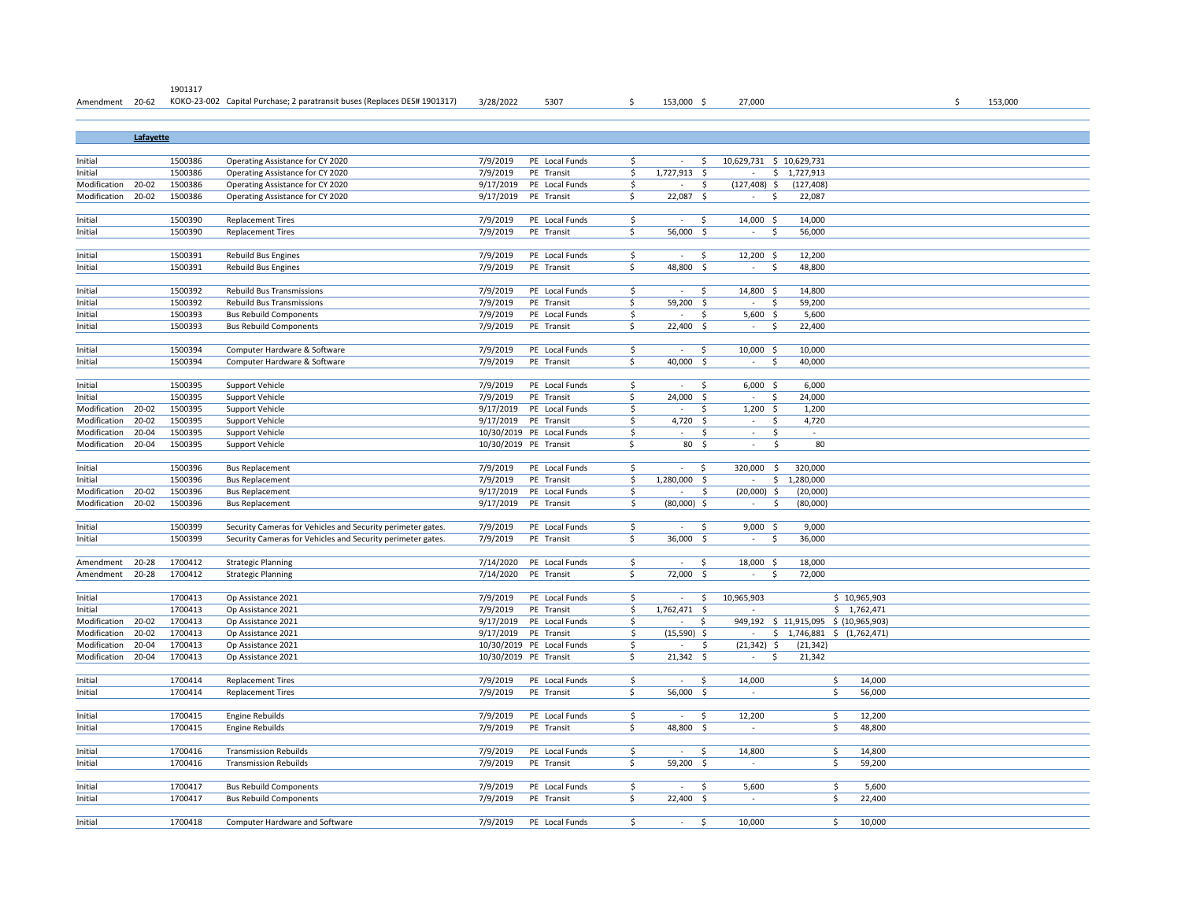| Amendment 20-62        |           |         | KOKO-23-002 Capital Purchase; 2 paratransit buses (Replaces DES# 1901317) | 3/28/2022              | 5307                      | S                       | 153,000 \$                       | 27,000                      |                     |                                       |                         |        | \$ | 153,000 |  |
|------------------------|-----------|---------|---------------------------------------------------------------------------|------------------------|---------------------------|-------------------------|----------------------------------|-----------------------------|---------------------|---------------------------------------|-------------------------|--------|----|---------|--|
|                        |           |         |                                                                           |                        |                           |                         |                                  |                             |                     |                                       |                         |        |    |         |  |
|                        |           |         |                                                                           |                        |                           |                         |                                  |                             |                     |                                       |                         |        |    |         |  |
|                        | Lafayette |         |                                                                           |                        |                           |                         |                                  |                             |                     |                                       |                         |        |    |         |  |
|                        |           |         |                                                                           |                        |                           |                         |                                  |                             |                     |                                       |                         |        |    |         |  |
| Initial                |           | 1500386 | Operating Assistance for CY 2020                                          | 7/9/2019               | PE Local Funds            | Ŝ.                      | \$<br>$\sim$                     |                             |                     | 10,629,731 \$ 10,629,731              |                         |        |    |         |  |
| Initial                |           | 1500386 | Operating Assistance for CY 2020                                          | 7/9/2019               | PE Transit                | \$                      | 1,727,913<br>S.                  | $\sim$                      |                     | \$1,727,913                           |                         |        |    |         |  |
| Modification           | 20-02     | 1500386 | Operating Assistance for CY 2020                                          | 9/17/2019              | PE Local Funds            | \$                      | Ś                                | (127, 408)                  | $\frac{1}{2}$       | (127, 408)                            |                         |        |    |         |  |
| Modification           | 20-02     | 1500386 | Operating Assistance for CY 2020                                          | 9/17/2019              | PE Transit                | \$                      | 22,087<br>\$                     | $\sim$                      | \$                  | 22,087                                |                         |        |    |         |  |
|                        |           |         |                                                                           |                        |                           |                         |                                  |                             |                     |                                       |                         |        |    |         |  |
| Initial                |           | 1500390 | <b>Replacement Tires</b>                                                  | 7/9/2019               | PE Local Funds            | \$                      | Ŝ<br>$\sim$                      | 14,000 \$                   |                     | 14,000                                |                         |        |    |         |  |
| Initial                |           | 1500390 | <b>Replacement Tires</b>                                                  | 7/9/2019               | PE Transit                | \$                      | 56,000<br>-\$                    | $\sim$                      | Ś                   | 56,000                                |                         |        |    |         |  |
|                        |           |         |                                                                           |                        |                           |                         |                                  |                             |                     |                                       |                         |        |    |         |  |
| Initial                |           | 1500391 | Rebuild Bus Engines                                                       | 7/9/2019               | PE Local Funds            | $\ddot{\mathsf{S}}$     | Ŝ<br>$\sim$                      | 12,200 \$                   |                     | 12,200                                |                         |        |    |         |  |
| Initial                |           | 1500391 | <b>Rebuild Bus Engines</b>                                                | 7/9/2019               | PE Transit                | Ś.                      | 48,800<br>-\$                    | $\mathbf{r}$                | Ś                   | 48,800                                |                         |        |    |         |  |
|                        |           |         |                                                                           |                        |                           |                         |                                  |                             |                     |                                       |                         |        |    |         |  |
| Initial                |           | 1500392 | <b>Rebuild Bus Transmissions</b>                                          | 7/9/2019               | PE Local Funds            | S.                      | $\sim$<br>\$                     | 14,800 \$                   |                     | 14,800                                |                         |        |    |         |  |
| Initial                |           | 1500392 | <b>Rebuild Bus Transmissions</b>                                          | 7/9/2019               | PE Transit                | \$                      | 59,200<br>-\$                    | ÷                           | \$                  | 59,200                                |                         |        |    |         |  |
| Initial                |           | 1500393 | <b>Bus Rebuild Components</b>                                             | 7/9/2019               | PE Local Funds            | \$                      | Ś<br>$\sim$                      |                             | $5,600$ \$          | 5,600                                 |                         |        |    |         |  |
| Initial                |           | 1500393 | <b>Bus Rebuild Components</b>                                             | 7/9/2019               | PE Transit                | \$.                     | 22,400<br>-\$                    | $\sim$                      | \$                  | 22,400                                |                         |        |    |         |  |
|                        |           |         |                                                                           |                        |                           |                         |                                  |                             |                     |                                       |                         |        |    |         |  |
| Initial                |           | 1500394 | Computer Hardware & Software                                              | 7/9/2019               | PE Local Funds            | \$                      | $\sim$<br>\$                     | 10,000 \$                   |                     | 10,000                                |                         |        |    |         |  |
| Initial                |           | 1500394 | Computer Hardware & Software                                              | 7/9/2019               | PE Transit                | \$                      | 40,000<br>S.                     | $\overline{\phantom{a}}$    | \$                  | 40,000                                |                         |        |    |         |  |
|                        |           |         |                                                                           |                        |                           |                         |                                  |                             |                     |                                       |                         |        |    |         |  |
| Initial                |           | 1500395 | <b>Support Vehicle</b>                                                    | 7/9/2019               | PE Local Funds            | $\ddot{\mathsf{S}}$     | \$<br>$\sim$                     |                             | $6,000$ \$          | 6,000                                 |                         |        |    |         |  |
| Initial                |           | 1500395 | <b>Support Vehicle</b>                                                    | 7/9/2019               | PE Transit                | \$                      | 24,000<br>-\$                    | ÷                           | \$                  | 24,000                                |                         |        |    |         |  |
| Modification           | $20 - 02$ | 1500395 | Support Vehicle                                                           | 9/17/2019              | PE Local Funds            | $\mathsf{\hat{S}}$      | Ś                                |                             | $1,200$ \$          | 1,200                                 |                         |        |    |         |  |
| Modification           | $20 - 02$ | 1500395 | <b>Support Vehicle</b>                                                    | 9/17/2019              | PE Transit                | \$                      | 4,720 \$                         | $\sim$                      | \$                  | 4,720                                 |                         |        |    |         |  |
| Modification           | 20-04     | 1500395 | Support Vehicle                                                           |                        | 10/30/2019 PE Local Funds | \$                      | $\sim$<br>Ś                      | $\sim$                      | $\ddot{\varsigma}$  | $\sim$                                |                         |        |    |         |  |
| Modification           | 20-04     | 1500395 | Support Vehicle                                                           | 10/30/2019 PE Transit  |                           | \$                      | 80, 5                            | $\sim$                      | \$                  | 80                                    |                         |        |    |         |  |
|                        |           |         |                                                                           |                        |                           |                         |                                  |                             |                     |                                       |                         |        |    |         |  |
| Initial                |           | 1500396 | <b>Bus Replacement</b>                                                    | 7/9/2019               | PE Local Funds            | $\ddot{\mathsf{S}}$     | \$<br>÷                          | 320,000                     | $\ddot{\varsigma}$  | 320,000                               |                         |        |    |         |  |
| Initial                |           | 1500396 | <b>Bus Replacement</b>                                                    | 7/9/2019               | PE Transit                | $\ddot{\mathsf{S}}$     | 1,280,000 \$                     | $\sim$                      | \$                  | 1,280,000                             |                         |        |    |         |  |
| Modification           | $20 - 02$ | 1500396 | <b>Bus Replacement</b>                                                    | 9/17/2019              | PE Local Funds            | \$                      | \$                               | $(20,000)$ \$               |                     | (20,000)                              |                         |        |    |         |  |
| Modification           | 20-02     | 1500396 | <b>Bus Replacement</b>                                                    | 9/17/2019              | PE Transit                | \$                      | $(80,000)$ \$                    | $\mathcal{L}_{\mathcal{A}}$ | $\ddot{\mathsf{S}}$ | (80,000)                              |                         |        |    |         |  |
|                        |           |         |                                                                           |                        |                           |                         |                                  |                             |                     |                                       |                         |        |    |         |  |
| Initial                |           | 1500399 | Security Cameras for Vehicles and Security perimeter gates.               | 7/9/2019               | PE Local Funds            | \$                      | \$<br>$\sim$                     |                             | $9,000$ \$          | 9,000                                 |                         |        |    |         |  |
| Initial                |           | 1500399 | Security Cameras for Vehicles and Security perimeter gates.               | 7/9/2019               | PE Transit                | \$                      | 36,000 \$                        | $\sim$                      | S.                  | 36,000                                |                         |        |    |         |  |
|                        | $20 - 28$ | 1700412 |                                                                           |                        | PE Local Funds            |                         | Ŝ                                |                             |                     |                                       |                         |        |    |         |  |
| Amendment<br>Amendment | $20 - 28$ | 1700412 | <b>Strategic Planning</b>                                                 | 7/14/2020<br>7/14/2020 | PE Transit                | \$<br>\$.               | $\sim$<br>72,000<br>$\mathsf{S}$ | 18,000 \$                   | Ś                   | 18,000<br>72,000                      |                         |        |    |         |  |
|                        |           |         | <b>Strategic Planning</b>                                                 |                        |                           |                         |                                  |                             |                     |                                       |                         |        |    |         |  |
| Initial                |           | 1700413 | Op Assistance 2021                                                        | 7/9/2019               | PE Local Funds            | \$                      | \$<br>$\sim$                     | 10,965,903                  |                     |                                       | \$10,965,903            |        |    |         |  |
| Initial                |           | 1700413 | Op Assistance 2021                                                        | 7/9/2019               | PE Transit                | Ś                       | 1,762,471<br>-\$                 | $\sim$                      |                     |                                       | \$1,762,471             |        |    |         |  |
| Modification           | 20-02     | 1700413 | Op Assistance 2021                                                        | 9/17/2019              | PE Local Funds            | \$                      | S.<br>$\overline{\phantom{a}}$   |                             |                     | 949,192 \$ 11,915,095 \$ (10,965,903) |                         |        |    |         |  |
| Modification           | 20-02     | 1700413 | Op Assistance 2021                                                        | 9/17/2019              | PE Transit                | \$                      | $(15,590)$ \$                    | ×                           |                     | $$1,746,881$ $$1,762,471$             |                         |        |    |         |  |
| Modification           | $20 - 04$ | 1700413 | Op Assistance 2021                                                        |                        | 10/30/2019 PE Local Funds | $\ddot{\mathsf{S}}$     | $\sim$                           | \$<br>$(21, 342)$ \$        |                     | (21, 342)                             |                         |        |    |         |  |
| Modification           | 20-04     | 1700413 | Op Assistance 2021                                                        | 10/30/2019 PE Transit  |                           | \$.                     | $21,342$ \$                      | $\sim$                      | S.                  | 21,342                                |                         |        |    |         |  |
|                        |           |         |                                                                           |                        |                           |                         |                                  |                             |                     |                                       |                         |        |    |         |  |
| Initial                |           | 1700414 | <b>Replacement Tires</b>                                                  | 7/9/2019               | PE Local Funds            | \$                      | \$<br>$\sim$                     | 14,000                      |                     |                                       | \$                      | 14,000 |    |         |  |
| Initial                |           | 1700414 | <b>Replacement Tires</b>                                                  | 7/9/2019               | PE Transit                | \$                      | 56,000<br>-\$                    |                             |                     |                                       | \$                      | 56,000 |    |         |  |
|                        |           |         |                                                                           |                        |                           |                         |                                  |                             |                     |                                       |                         |        |    |         |  |
| Initial                |           | 1700415 | <b>Engine Rebuilds</b>                                                    | 7/9/2019               | PE Local Funds            | \$                      | \$<br>$\sim$                     | 12,200                      |                     |                                       | \$                      | 12,200 |    |         |  |
| Initial                |           | 1700415 | <b>Engine Rebuilds</b>                                                    | 7/9/2019               | PE Transit                | \$                      | 48,800 \$                        | $\mathcal{L}_{\mathcal{A}}$ |                     |                                       | \$                      | 48,800 |    |         |  |
|                        |           |         |                                                                           |                        |                           |                         |                                  |                             |                     |                                       |                         |        |    |         |  |
| Initial                |           | 1700416 | <b>Transmission Rebuilds</b>                                              | 7/9/2019               | PE Local Funds            | $\overline{\mathsf{S}}$ | $\sim$<br>Ŝ.                     | 14,800                      |                     |                                       | $\overline{\mathsf{S}}$ | 14,800 |    |         |  |
| Initial                |           | 1700416 | <b>Transmission Rebuilds</b>                                              | 7/9/2019               | PE Transit                | \$                      | 59,200 \$                        | $\sim$                      |                     |                                       | \$                      | 59,200 |    |         |  |
|                        |           |         |                                                                           |                        |                           |                         |                                  |                             |                     |                                       |                         |        |    |         |  |
| Initial                |           | 1700417 | <b>Bus Rebuild Components</b>                                             | 7/9/2019               | PE Local Funds            | \$                      | \$<br>$\sim$                     | 5,600                       |                     |                                       | \$                      | 5,600  |    |         |  |
| Initial                |           | 1700417 | <b>Bus Rebuild Components</b>                                             | 7/9/2019               | PE Transit                | \$                      | 22,400 \$                        | ÷,                          |                     |                                       | \$                      | 22,400 |    |         |  |
|                        |           |         |                                                                           |                        |                           |                         |                                  |                             |                     |                                       |                         |        |    |         |  |
| Initial                |           | 1700418 | Computer Hardware and Software                                            | 7/9/2019               | PE Local Funds            | \$                      | $\sim$<br>Ŝ.                     | 10,000                      |                     |                                       | \$                      | 10,000 |    |         |  |
|                        |           |         |                                                                           |                        |                           |                         |                                  |                             |                     |                                       |                         |        |    |         |  |

1901317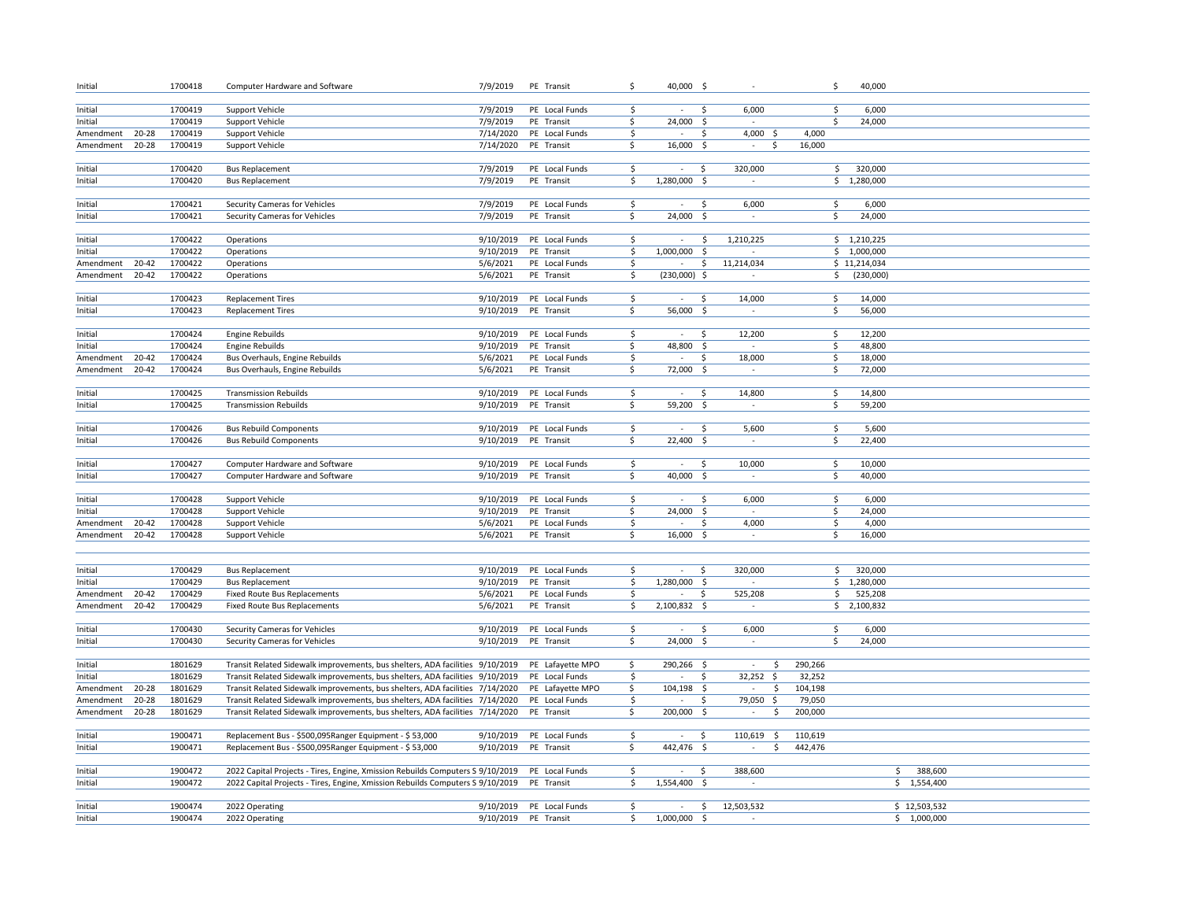| Initial   |                        | 1700418 | Computer Hardware and Software                                                 | 7/9/2019             | PE Transit       | \$                     | 40,000 \$      |                     |                                | \$       | 40,000       |               |  |
|-----------|------------------------|---------|--------------------------------------------------------------------------------|----------------------|------------------|------------------------|----------------|---------------------|--------------------------------|----------|--------------|---------------|--|
|           |                        |         |                                                                                |                      |                  |                        |                |                     |                                |          |              |               |  |
| Initial   |                        | 1700419 | Support Vehicle                                                                | 7/9/2019             | PE Local Funds   | -\$                    | $\sim$         | \$.                 | 6,000                          | \$       | 6,000        |               |  |
| Initial   |                        | 1700419 | <b>Support Vehicle</b>                                                         | 7/9/2019             | PE Transit       | \$.                    | 24,000         | \$                  |                                | Ś.       | 24,000       |               |  |
| Amendment | 20-28                  | 1700419 | Support Vehicle                                                                | 7/14/2020            | PE Local Funds   | $\ddot{\mathsf{S}}$    | $\sim$         | \$                  | 4,000 \$                       | 4,000    |              |               |  |
| Amendment | $20 - 28$              | 1700419 | Support Vehicle                                                                | 7/14/2020            | PE Transit       | \$                     | 16,000 \$      |                     | Ŝ.<br>×.                       | 16,000   |              |               |  |
|           |                        |         |                                                                                |                      |                  |                        |                |                     |                                |          |              |               |  |
| Initial   |                        | 1700420 | <b>Bus Replacement</b>                                                         | 7/9/2019             | PE Local Funds   | \$                     | $\sim$         | S.                  | 320,000                        | \$       | 320,000      |               |  |
| Initial   |                        | 1700420 | <b>Bus Replacement</b>                                                         | 7/9/2019             | PE Transit       | \$.                    | 1,280,000 \$   |                     | $\sim$                         |          | \$1,280,000  |               |  |
|           |                        |         |                                                                                |                      |                  |                        |                |                     |                                |          |              |               |  |
| Initial   |                        | 1700421 | Security Cameras for Vehicles                                                  | 7/9/2019             | PE Local Funds   | \$                     | $\sim$         | \$                  | 6,000                          | \$       | 6,000        |               |  |
| Initial   |                        | 1700421 | Security Cameras for Vehicles                                                  | 7/9/2019             | PE Transit       | \$.                    | 24,000 \$      |                     |                                | \$       | 24,000       |               |  |
|           |                        |         |                                                                                |                      |                  |                        |                |                     |                                |          |              |               |  |
| Initial   |                        | 1700422 | Operations                                                                     | 9/10/2019            | PE Local Funds   | \$                     | $\sim$         | S.                  | 1,210,225                      |          | \$1,210,225  |               |  |
| Initial   |                        | 1700422 | Operations                                                                     | 9/10/2019            | PE Transit       | \$                     | 1,000,000      | -\$                 |                                |          | \$1,000,000  |               |  |
| Amendment | $20 - 42$              | 1700422 | Operations                                                                     | 5/6/2021             | PE Local Funds   | $\ddot{\mathsf{S}}$    | $\sim$         | \$                  | 11,214,034                     |          | \$11,214,034 |               |  |
| Amendment | $20 - 42$              | 1700422 | Operations                                                                     | 5/6/2021             | PE Transit       | \$                     | $(230,000)$ \$ |                     | $\overline{\phantom{a}}$       | \$       | (230,000)    |               |  |
|           |                        |         |                                                                                |                      |                  |                        |                |                     |                                |          |              |               |  |
| Initial   |                        | 1700423 | <b>Replacement Tires</b>                                                       | 9/10/2019            | PE Local Funds   | \$                     | $\sim$         | Ŝ                   | 14,000                         | \$       | 14,000       |               |  |
| Initial   |                        | 1700423 | <b>Replacement Tires</b>                                                       | 9/10/2019            | PE Transit       | Ś.                     | 56,000 \$      |                     | $\sim$                         | \$       | 56,000       |               |  |
|           |                        |         |                                                                                |                      |                  |                        |                |                     |                                |          |              |               |  |
| Initial   |                        | 1700424 | <b>Engine Rebuilds</b>                                                         | 9/10/2019            | PE Local Funds   | $\ddot{\mathsf{S}}$    | $\sim$         | \$                  | 12,200                         | \$       | 12,200       |               |  |
| Initial   |                        | 1700424 | <b>Engine Rebuilds</b>                                                         | 9/10/2019            | PE Transit       | \$.                    | 48,800         | $\ddot{\mathsf{s}}$ |                                | \$       | 48,800       |               |  |
| Amendment | $20 - 42$<br>$20 - 42$ | 1700424 | Bus Overhauls, Engine Rebuilds                                                 | 5/6/2021             | PE Local Funds   | \$                     | $\sim$         | .s                  | 18,000                         | \$       | 18,000       |               |  |
| Amendment |                        | 1700424 | Bus Overhauls, Engine Rebuilds                                                 | 5/6/2021             | PE Transit       | \$.                    | 72,000 \$      |                     | $\overline{\phantom{a}}$       | \$       | 72,000       |               |  |
| Initial   |                        | 1700425 | <b>Transmission Rebuilds</b>                                                   | 9/10/2019            | PE Local Funds   | $\ddot{\mathsf{S}}$    | $\sim$         | \$                  | 14,800                         |          | 14,800       |               |  |
| Initial   |                        | 1700425 | <b>Transmission Rebuilds</b>                                                   | 9/10/2019            | PE Transit       | \$                     | 59,200         | -\$                 | $\sim$                         | \$<br>\$ | 59,200       |               |  |
|           |                        |         |                                                                                |                      |                  |                        |                |                     |                                |          |              |               |  |
| Initial   |                        | 1700426 | <b>Bus Rebuild Components</b>                                                  | 9/10/2019            | PE Local Funds   | \$                     | $\sim$         | \$.                 | 5,600                          | \$       | 5,600        |               |  |
| Initial   |                        | 1700426 | <b>Bus Rebuild Components</b>                                                  | 9/10/2019            | PE Transit       | Ś.                     | 22,400 \$      |                     | $\sim$                         | Ś.       | 22,400       |               |  |
|           |                        |         |                                                                                |                      |                  |                        |                |                     |                                |          |              |               |  |
| Initial   |                        | 1700427 | Computer Hardware and Software                                                 | 9/10/2019            | PE Local Funds   | \$                     | $\sim$         | .s                  | 10,000                         | \$       | 10,000       |               |  |
| Initial   |                        | 1700427 | Computer Hardware and Software                                                 | 9/10/2019            | PE Transit       | \$                     | 40,000         | -\$                 |                                | \$       | 40,000       |               |  |
|           |                        |         |                                                                                |                      |                  |                        |                |                     |                                |          |              |               |  |
| Initial   |                        | 1700428 | Support Vehicle                                                                | 9/10/2019            | PE Local Funds   | \$                     | $\sim$         | Ŝ.                  | 6,000                          | \$       | 6,000        |               |  |
| Initial   |                        | 1700428 | <b>Support Vehicle</b>                                                         | 9/10/2019            | PE Transit       | \$                     | 24,000         | \$                  |                                | \$       | 24,000       |               |  |
| Amendment | $20 - 42$              | 1700428 | Support Vehicle                                                                | 5/6/2021             | PE Local Funds   | $\ddot{\mathsf{S}}$    | $\sim$         | \$                  | 4,000                          | \$       | 4,000        |               |  |
| Amendment | $20 - 42$              | 1700428 | <b>Support Vehicle</b>                                                         | 5/6/2021             | PE Transit       | \$                     | 16,000         | -\$                 | $\sim$                         | \$       | 16,000       |               |  |
|           |                        |         |                                                                                |                      |                  |                        |                |                     |                                |          |              |               |  |
|           |                        |         |                                                                                |                      |                  |                        |                |                     |                                |          |              |               |  |
| Initial   |                        | 1700429 | <b>Bus Replacement</b>                                                         | 9/10/2019            | PE Local Funds   | \$                     | $\sim$         | Ŝ.                  | 320,000                        | \$       | 320,000      |               |  |
| Initial   |                        | 1700429 | <b>Bus Replacement</b>                                                         | 9/10/2019            | PE Transit       | \$                     | 1,280,000      | -\$                 | $\overline{\phantom{a}}$       |          | \$1,280,000  |               |  |
| Amendment | $20 - 42$              | 1700429 | <b>Fixed Route Bus Replacements</b>                                            | 5/6/2021             | PE Local Funds   | $\overline{\varsigma}$ | $\sim$         | \$                  | 525,208                        | \$       | 525,208      |               |  |
| Amendment | $20 - 42$              | 1700429 | <b>Fixed Route Bus Replacements</b>                                            | 5/6/2021             | PE Transit       | $\ddot{\mathsf{S}}$    | 2,100,832 \$   |                     |                                |          | \$2,100,832  |               |  |
|           |                        |         |                                                                                |                      |                  |                        |                |                     |                                |          |              |               |  |
| Initial   |                        | 1700430 | Security Cameras for Vehicles                                                  | 9/10/2019            | PE Local Funds   | \$                     | $\sim$         | Ŝ.                  | 6,000                          | \$       | 6,000        |               |  |
| Initial   |                        | 1700430 | Security Cameras for Vehicles                                                  | 9/10/2019            | PE Transit       | \$                     | 24,000         | -\$                 | $\sim$                         | \$       | 24,000       |               |  |
|           |                        |         |                                                                                |                      |                  |                        |                |                     |                                |          |              |               |  |
| Initial   |                        | 1801629 | Transit Related Sidewalk improvements, bus shelters, ADA facilities 9/10/2019  |                      | PE Lafayette MPO | \$                     | 290,266 \$     |                     | \$<br>$\sim$                   | 290,266  |              |               |  |
| Initial   |                        | 1801629 | Transit Related Sidewalk improvements, bus shelters, ADA facilities 9/10/2019  |                      | PE Local Funds   | \$                     | $\sim$         | .s                  | $32,252$ \$                    | 32,252   |              |               |  |
| Amendment | 20-28                  | 1801629 | Transit Related Sidewalk improvements, bus shelters, ADA facilities 7/14/2020  |                      | PE Lafayette MPO | \$                     | 104,198 \$     |                     | \$<br>$\sim$                   | 104,198  |              |               |  |
| Amendment | $20 - 28$              | 1801629 | Transit Related Sidewalk improvements, bus shelters, ADA facilities 7/14/2020  |                      | PE Local Funds   | $\ddot{\mathsf{S}}$    | ÷.             | Ś                   | 79,050 \$                      | 79,050   |              |               |  |
| Amendment | 20-28                  | 1801629 | Transit Related Sidewalk improvements, bus shelters, ADA facilities 7/14/2020  |                      | PE Transit       | \$                     | 200,000 \$     |                     | \$<br>$\sim$                   | 200,000  |              |               |  |
|           |                        |         |                                                                                |                      |                  |                        |                |                     |                                |          |              |               |  |
| Initial   |                        | 1900471 | Replacement Bus - \$500,095Ranger Equipment - \$53,000                         | 9/10/2019            | PE Local Funds   | \$                     | $\mathbf{r}$   | S.                  | 110,619<br>$\ddot{\mathsf{S}}$ | 110,619  |              |               |  |
| Initial   |                        | 1900471 | Replacement Bus - \$500,095Ranger Equipment - \$53,000                         | 9/10/2019            | PE Transit       | \$                     | 442,476 \$     |                     | $\sim$<br>\$                   | 442,476  |              |               |  |
|           |                        |         |                                                                                |                      |                  |                        |                |                     |                                |          |              |               |  |
| Initial   |                        | 1900472 | 2022 Capital Projects - Tires, Engine, Xmission Rebuilds Computers S 9/10/2019 |                      | PE Local Funds   | $\overline{\xi}$       | $\sim$         | \$                  | 388,600                        |          |              | 388,600<br>\$ |  |
| Initial   |                        | 1900472 | 2022 Capital Projects - Tires, Engine, Xmission Rebuilds Computers S 9/10/2019 |                      | PE Transit       | \$                     | 1,554,400 \$   |                     | $\overline{\phantom{a}}$       |          |              | \$1,554,400   |  |
|           |                        |         |                                                                                |                      |                  |                        |                |                     |                                |          |              |               |  |
| Initial   |                        | 1900474 | 2022 Operating                                                                 | 9/10/2019            | PE Local Funds   | \$                     |                | \$                  | 12,503,532                     |          |              | \$12,503,532  |  |
| Initial   |                        | 1900474 | 2022 Operating                                                                 | 9/10/2019 PE Transit |                  | \$                     | 1,000,000      | \$                  | $\sim$                         |          |              | \$1,000,000   |  |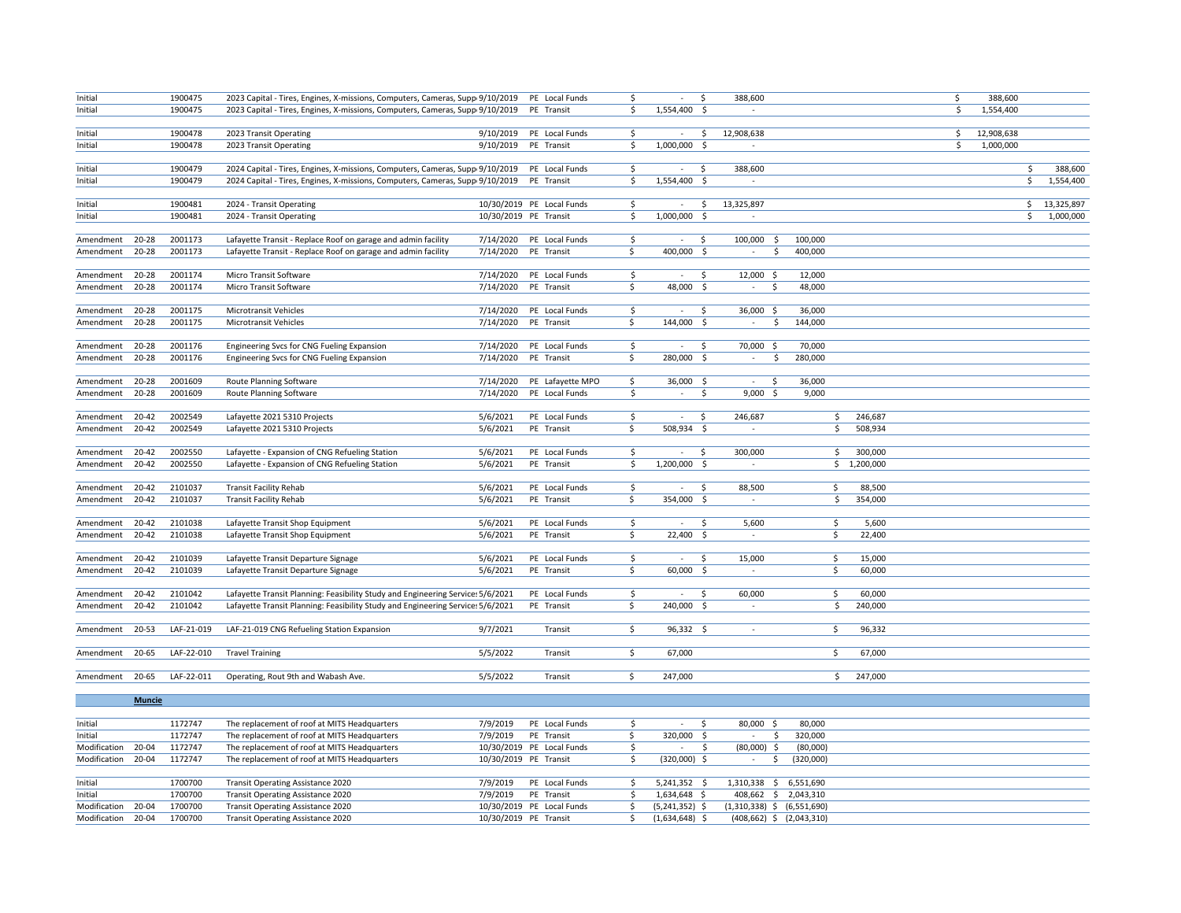| Initial                |                        | 1900475            | 2023 Capital - Tires, Engines, X-missions, Computers, Cameras, Supp 9/10/2019                |                       | PE Local Funds            | \$  | \$                                               | 388,600    |               |                                 |                        | Ś  | 388,600    |     |            |
|------------------------|------------------------|--------------------|----------------------------------------------------------------------------------------------|-----------------------|---------------------------|-----|--------------------------------------------------|------------|---------------|---------------------------------|------------------------|----|------------|-----|------------|
| Initial                |                        | 1900475            | 2023 Capital - Tires, Engines, X-missions, Computers, Cameras, Supp 9/10/2019                |                       | PE Transit                | \$  | 1,554,400 \$                                     |            | $\sim$        |                                 |                        | \$ | 1,554,400  |     |            |
|                        |                        |                    |                                                                                              |                       |                           |     |                                                  |            |               |                                 |                        |    |            |     |            |
| Initial                |                        | 1900478            | 2023 Transit Operating                                                                       | 9/10/2019             | PE Local Funds            | S.  | - Ś<br>$\sim$                                    | 12,908,638 |               |                                 |                        | \$ | 12,908,638 |     |            |
| Initial                |                        | 1900478            | 2023 Transit Operating                                                                       | 9/10/2019             | PE Transit                | \$  | 1,000,000<br>S.                                  |            | $\sim$        |                                 |                        | \$ | 1,000,000  |     |            |
|                        |                        |                    |                                                                                              |                       |                           |     |                                                  |            |               |                                 |                        |    |            |     |            |
| Initial                |                        | 1900479            | 2024 Capital - Tires, Engines, X-missions, Computers, Cameras, Supp 9/10/2019 PE Local Funds |                       |                           | \$  | \$<br>$\sim$                                     | 388,600    |               |                                 |                        |    |            | \$  | 388,600    |
| Initial                |                        | 1900479            | 2024 Capital - Tires, Engines, X-missions, Computers, Cameras, Supp 9/10/2019                |                       | PE Transit                | \$  | 1,554,400 \$                                     |            |               |                                 |                        |    |            | \$  | 1,554,400  |
|                        |                        |                    |                                                                                              |                       |                           |     |                                                  |            |               |                                 |                        |    |            |     |            |
| Initial                |                        | 1900481            | 2024 - Transit Operating                                                                     |                       | 10/30/2019 PE Local Funds | S.  | S.                                               | 13,325,897 |               |                                 |                        |    |            | \$. | 13,325,897 |
| Initial                |                        | 1900481            | 2024 - Transit Operating                                                                     | 10/30/2019 PE Transit |                           | \$  | 1,000,000<br>-\$                                 |            |               |                                 |                        |    |            | \$  | 1,000,000  |
|                        | $20 - 28$              | 2001173            | Lafayette Transit - Replace Roof on garage and admin facility                                | 7/14/2020             | PE Local Funds            | \$  | \$<br>$\sim$                                     | 100,000    | - Ś           | 100,000                         |                        |    |            |     |            |
| Amendment<br>Amendment | 20-28                  | 2001173            | Lafayette Transit - Replace Roof on garage and admin facility                                | 7/14/2020             | PE Transit                | \$  | 400,000 \$                                       |            | $\sim$<br>\$  | 400,000                         |                        |    |            |     |            |
|                        |                        |                    |                                                                                              |                       |                           |     |                                                  |            |               |                                 |                        |    |            |     |            |
| Amendment              | $20 - 28$              | 2001174            | Micro Transit Software                                                                       | 7/14/2020             | PE Local Funds            | \$  | -\$<br>$\sim$                                    |            | 12,000 \$     | 12,000                          |                        |    |            |     |            |
| Amendment              | $20 - 28$              | 2001174            | Micro Transit Software                                                                       | 7/14/2020             | PE Transit                | \$  | 48,000<br>S.                                     |            | $\sim$<br>\$  | 48,000                          |                        |    |            |     |            |
|                        |                        |                    |                                                                                              |                       |                           |     |                                                  |            |               |                                 |                        |    |            |     |            |
| Amendment              | 20-28                  | 2001175            | Microtransit Vehicles                                                                        | 7/14/2020             | PE Local Funds            | \$  | \$<br>$\sim$                                     |            | 36,000 \$     | 36,000                          |                        |    |            |     |            |
| Amendment              | $20 - 28$              | 2001175            | Microtransit Vehicles                                                                        | 7/14/2020             | PE Transit                | \$  | 144,000<br>-\$                                   |            | \$<br>$\sim$  | 144,000                         |                        |    |            |     |            |
|                        |                        |                    |                                                                                              |                       |                           |     |                                                  |            |               |                                 |                        |    |            |     |            |
| Amendment              | $20 - 28$              | 2001176            | Engineering Svcs for CNG Fueling Expansion                                                   | 7/14/2020             | PE Local Funds            | \$  | $\ddot{\mathsf{S}}$<br>$\sim$                    |            | 70,000 \$     | 70,000                          |                        |    |            |     |            |
| Amendment              | $20 - 28$              | 2001176            | Engineering Svcs for CNG Fueling Expansion                                                   | 7/14/2020             | PE Transit                | Ś   | 280,000 \$                                       |            | \$<br>$\sim$  | 280,000                         |                        |    |            |     |            |
|                        |                        |                    |                                                                                              |                       |                           |     |                                                  |            |               |                                 |                        |    |            |     |            |
| Amendment              | 20-28                  | 2001609            | Route Planning Software                                                                      | 7/14/2020             | PE Lafayette MPO          | \$  | 36,000 \$                                        |            | \$<br>$\sim$  | 36,000                          |                        |    |            |     |            |
| Amendment              | 20-28                  | 2001609            | Route Planning Software                                                                      | 7/14/2020             | PE Local Funds            | \$  | \$                                               |            | 9,000<br>-\$  | 9,000                           |                        |    |            |     |            |
|                        |                        |                    |                                                                                              |                       |                           |     |                                                  |            |               |                                 |                        |    |            |     |            |
| Amendment              | $20 - 42$              | 2002549            | Lafayette 2021 5310 Projects                                                                 | 5/6/2021              | PE Local Funds            | \$  | \$<br>$\sim$                                     | 246,687    |               | \$                              | 246,687                |    |            |     |            |
| Amendment              | 20-42                  | 2002549            | Lafayette 2021 5310 Projects                                                                 | 5/6/2021              | PE Transit                | \$  | 508,934 \$                                       |            | $\sim$        | \$                              | 508,934                |    |            |     |            |
|                        |                        |                    |                                                                                              |                       |                           |     |                                                  |            |               |                                 |                        |    |            |     |            |
| Amendment              | $20 - 42$<br>$20 - 42$ | 2002550<br>2002550 | Lafayette - Expansion of CNG Refueling Station                                               | 5/6/2021<br>5/6/2021  | PE Local Funds            | \$  | \$<br>$\overline{\phantom{a}}$<br>$1,200,000$ \$ | 300,000    | $\sim$        | \$                              | 300,000<br>\$1,200,000 |    |            |     |            |
| Amendment              |                        |                    | Lafayette - Expansion of CNG Refueling Station                                               |                       | PE Transit                | \$  |                                                  |            |               |                                 |                        |    |            |     |            |
| Amendment              | $20 - 42$              | 2101037            | <b>Transit Facility Rehab</b>                                                                | 5/6/2021              | PE Local Funds            | \$  | \$<br>$\sim$                                     |            | 88,500        | \$                              | 88,500                 |    |            |     |            |
| Amendment              | $20 - 42$              | 2101037            | <b>Transit Facility Rehab</b>                                                                | 5/6/2021              | PE Transit                | Ś.  | 354,000 \$                                       |            | $\sim$        | Ŝ.                              | 354,000                |    |            |     |            |
|                        |                        |                    |                                                                                              |                       |                           |     |                                                  |            |               |                                 |                        |    |            |     |            |
| Amendment              | $20 - 42$              | 2101038            | Lafayette Transit Shop Equipment                                                             | 5/6/2021              | PE Local Funds            | \$  | \$<br>$\sim$                                     |            | 5,600         | \$                              | 5,600                  |    |            |     |            |
| Amendment              | $20 - 42$              | 2101038            | Lafayette Transit Shop Equipment                                                             | 5/6/2021              | PE Transit                | \$. | 22,400<br>\$                                     |            |               | \$                              | 22,400                 |    |            |     |            |
|                        |                        |                    |                                                                                              |                       |                           |     |                                                  |            |               |                                 |                        |    |            |     |            |
| Amendment              | $20 - 42$              | 2101039            | Lafayette Transit Departure Signage                                                          | 5/6/2021              | PE Local Funds            | S.  | S.<br>$\sim$                                     |            | 15,000        | \$                              | 15,000                 |    |            |     |            |
| Amendment              | $20 - 42$              | 2101039            | Lafayette Transit Departure Signage                                                          | 5/6/2021              | PE Transit                | \$  | 60,000<br>- \$                                   |            |               | \$                              | 60,000                 |    |            |     |            |
|                        |                        |                    |                                                                                              |                       |                           |     |                                                  |            |               |                                 |                        |    |            |     |            |
| Amendment              | $20 - 42$              | 2101042            | Lafayette Transit Planning: Feasibility Study and Engineering Service: 5/6/2021              |                       | PE Local Funds            | \$  | $\ddot{\mathsf{S}}$<br>$\sim$                    |            | 60,000        | \$                              | 60,000                 |    |            |     |            |
| Amendment              | $20 - 42$              | 2101042            | Lafayette Transit Planning: Feasibility Study and Engineering Service: 5/6/2021              |                       | PE Transit                | \$  | 240,000 \$                                       |            | $\sim$        | \$                              | 240,000                |    |            |     |            |
|                        |                        |                    |                                                                                              |                       |                           |     |                                                  |            |               |                                 |                        |    |            |     |            |
| Amendment              | 20-53                  | LAF-21-019         | LAF-21-019 CNG Refueling Station Expansion                                                   | 9/7/2021              | Transit                   | \$  | 96,332 \$                                        |            |               | \$                              | 96,332                 |    |            |     |            |
|                        |                        |                    |                                                                                              |                       |                           |     |                                                  |            |               |                                 |                        |    |            |     |            |
| Amendment              | 20-65                  | LAF-22-010         | <b>Travel Training</b>                                                                       | 5/5/2022              | Transit                   | \$  | 67,000                                           |            |               | \$                              | 67,000                 |    |            |     |            |
|                        |                        |                    |                                                                                              |                       |                           |     |                                                  |            |               |                                 |                        |    |            |     |            |
| Amendment              | 20-65                  | LAF-22-011         | Operating, Rout 9th and Wabash Ave.                                                          | 5/5/2022              | Transit                   | \$. | 247,000                                          |            |               |                                 | 247,000<br>\$          |    |            |     |            |
|                        |                        |                    |                                                                                              |                       |                           |     |                                                  |            |               |                                 |                        |    |            |     |            |
|                        | <b>Muncie</b>          |                    |                                                                                              |                       |                           |     |                                                  |            |               |                                 |                        |    |            |     |            |
| Initial                |                        | 1172747            | The replacement of roof at MITS Headquarters                                                 | 7/9/2019              | PE Local Funds            | \$  | \$<br>$\sim$                                     |            | 80,000 \$     | 80,000                          |                        |    |            |     |            |
| Initial                |                        | 1172747            | The replacement of roof at MITS Headquarters                                                 | 7/9/2019              | PE Transit                | \$  | 320,000 \$                                       |            | \$            | 320,000                         |                        |    |            |     |            |
| Modification           | 20-04                  | 1172747            | The replacement of roof at MITS Headquarters                                                 |                       | 10/30/2019 PE Local Funds | \$  | $\sim$                                           | \$         | $(80,000)$ \$ | (80,000)                        |                        |    |            |     |            |
| Modification           | 20-04                  | 1172747            | The replacement of roof at MITS Headquarters                                                 | 10/30/2019 PE Transit |                           | \$  | $(320,000)$ \$                                   |            | \$.<br>$\sim$ | (320,000)                       |                        |    |            |     |            |
|                        |                        |                    |                                                                                              |                       |                           |     |                                                  |            |               |                                 |                        |    |            |     |            |
| Initial                |                        | 1700700            | <b>Transit Operating Assistance 2020</b>                                                     | 7/9/2019              | PE Local Funds            | \$  | $5,241,352$ \$                                   |            |               | 1,310,338 \$ 6,551,690          |                        |    |            |     |            |
| Initial                |                        | 1700700            | <b>Transit Operating Assistance 2020</b>                                                     | 7/9/2019              | PE Transit                | \$  | 1,634,648 \$                                     |            |               | 408,662 \$ 2,043,310            |                        |    |            |     |            |
| Modification           | 20-04                  | 1700700            | Transit Operating Assistance 2020                                                            |                       | 10/30/2019 PE Local Funds | \$  | $(5,241,352)$ \$                                 |            |               | $(1,310,338)$ \$ $(6,551,690)$  |                        |    |            |     |            |
| Modification           | 20-04                  | 1700700            | Transit Operating Assistance 2020                                                            | 10/30/2019 PE Transit |                           | \$  | $(1,634,648)$ \$                                 |            |               | $(408, 662)$ \$ $(2, 043, 310)$ |                        |    |            |     |            |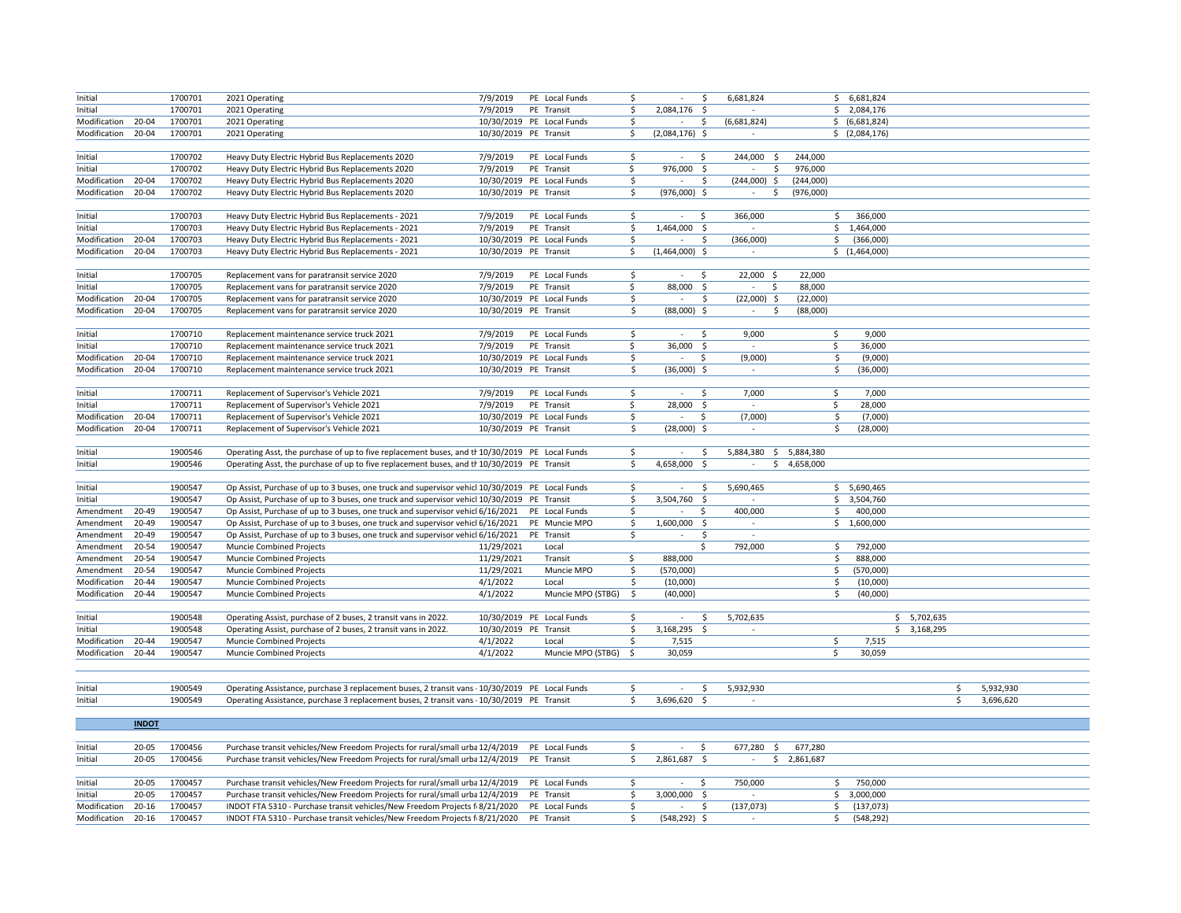| Initial            |              | 1700701 | 2021 Operating                                                                                  | 7/9/2019              | PE Local Funds            | \$                     | Ś                      | 6,681,824                |                        | \$6,681,824    |             |           |  |
|--------------------|--------------|---------|-------------------------------------------------------------------------------------------------|-----------------------|---------------------------|------------------------|------------------------|--------------------------|------------------------|----------------|-------------|-----------|--|
| Initial            |              | 1700701 | 2021 Operating                                                                                  | 7/9/2019              | PE Transit                | \$                     | 2,084,176 \$           |                          |                        | \$2,084,176    |             |           |  |
| Modification 20-04 |              | 1700701 | 2021 Operating                                                                                  |                       | 10/30/2019 PE Local Funds | \$                     | $\sim$<br>\$           | (6,681,824)              |                        | \$ (6,681,824) |             |           |  |
| Modification       | 20-04        | 1700701 | 2021 Operating                                                                                  | 10/30/2019 PE Transit |                           | \$                     | $(2,084,176)$ \$       | $\sim$                   |                        | \$ (2,084,176) |             |           |  |
|                    |              |         |                                                                                                 |                       |                           |                        |                        |                          |                        |                |             |           |  |
| Initial            |              | 1700702 | Heavy Duty Electric Hybrid Bus Replacements 2020                                                | 7/9/2019              | PE Local Funds            | \$                     | \$                     | 244,000<br>-\$           | 244,000                |                |             |           |  |
| Initial            |              | 1700702 | Heavy Duty Electric Hybrid Bus Replacements 2020                                                | 7/9/2019              | PE Transit                | \$                     | 976,000 \$             | \$<br>$\sim$             | 976,000                |                |             |           |  |
| Modification       | 20-04        | 1700702 | Heavy Duty Electric Hybrid Bus Replacements 2020                                                |                       | 10/30/2019 PE Local Funds | \$                     | $\sim$<br>Š.           | $(244,000)$ \$           | (244,000)              |                |             |           |  |
| Modification       | 20-04        | 1700702 | Heavy Duty Electric Hybrid Bus Replacements 2020                                                | 10/30/2019 PE Transit |                           | \$                     | $(976,000)$ \$         | $\sim$<br>\$             | (976,000)              |                |             |           |  |
|                    |              |         |                                                                                                 |                       |                           |                        |                        |                          |                        |                |             |           |  |
| Initial            |              | 1700703 | Heavy Duty Electric Hybrid Bus Replacements - 2021                                              | 7/9/2019              | PE Local Funds            | \$                     | \$<br>$\sim$           | 366,000                  | \$                     | 366,000        |             |           |  |
| Initial            |              | 1700703 | Heavy Duty Electric Hybrid Bus Replacements - 2021                                              | 7/9/2019              | PE Transit                | \$                     | 1,464,000 \$           | $\sim$                   |                        | \$1,464,000    |             |           |  |
| Modification       | 20-04        | 1700703 | Heavy Duty Electric Hybrid Bus Replacements - 2021                                              |                       | 10/30/2019 PE Local Funds | \$                     | \$<br>$\sim$           | (366,000)                | \$                     | (366,000)      |             |           |  |
| Modification       | 20-04        | 1700703 | Heavy Duty Electric Hybrid Bus Replacements - 2021                                              | 10/30/2019 PE Transit |                           | \$                     | $(1,464,000)$ \$       | $\sim$                   |                        | \$(1,464,000)  |             |           |  |
|                    |              |         |                                                                                                 |                       |                           |                        |                        |                          |                        |                |             |           |  |
| Initial            |              | 1700705 | Replacement vans for paratransit service 2020                                                   | 7/9/2019              | PE Local Funds            | \$                     | <sub>S</sub><br>$\sim$ | 22,000 \$                | 22,000                 |                |             |           |  |
| Initial            |              | 1700705 | Replacement vans for paratransit service 2020                                                   | 7/9/2019              | PE Transit                | \$                     | 88,000<br>$\mathsf{S}$ | $\sim$<br>-\$            | 88,000                 |                |             |           |  |
| Modification       | 20-04        | 1700705 | Replacement vans for paratransit service 2020                                                   |                       | 10/30/2019 PE Local Funds | \$                     | \$<br>$\sim$           | $(22,000)$ \$            | (22,000)               |                |             |           |  |
| Modification 20-04 |              | 1700705 | Replacement vans for paratransit service 2020                                                   | 10/30/2019 PE Transit |                           | \$                     | $(88,000)$ \$          | $\sim$<br>\$             | (88,000)               |                |             |           |  |
|                    |              |         |                                                                                                 |                       |                           |                        |                        |                          |                        |                |             |           |  |
| Initial            |              | 1700710 | Replacement maintenance service truck 2021                                                      | 7/9/2019              | PE Local Funds            | \$                     | \$<br>$\sim$           | 9,000                    | \$                     | 9,000          |             |           |  |
| Initial            |              | 1700710 | Replacement maintenance service truck 2021                                                      | 7/9/2019              | PE Transit                | \$                     | 36,000<br>-\$          | $\sim$                   | $\mathsf{S}$           | 36,000         |             |           |  |
| Modification       | 20-04        | 1700710 | Replacement maintenance service truck 2021                                                      |                       | 10/30/2019 PE Local Funds | \$                     | \$<br>$\sim$           | (9,000)                  | \$                     | (9,000)        |             |           |  |
| Modification       | 20-04        | 1700710 | Replacement maintenance service truck 2021                                                      | 10/30/2019 PE Transit |                           | \$                     | $(36,000)$ \$          | $\sim$                   | \$                     | (36,000)       |             |           |  |
|                    |              |         |                                                                                                 |                       |                           |                        |                        |                          |                        |                |             |           |  |
| Initial            |              | 1700711 | Replacement of Supervisor's Vehicle 2021                                                        | 7/9/2019              | PE Local Funds            | \$                     | \$<br>$\sim$           | 7,000                    | \$                     | 7,000          |             |           |  |
| Initial            |              | 1700711 | Replacement of Supervisor's Vehicle 2021                                                        | 7/9/2019              | PE Transit                | \$                     | 28,000<br>- \$         | $\sim$                   | \$                     | 28,000         |             |           |  |
| Modification       | 20-04        | 1700711 | Replacement of Supervisor's Vehicle 2021                                                        |                       | 10/30/2019 PE Local Funds | \$                     | \$                     | (7,000)                  | \$                     | (7,000)        |             |           |  |
| Modification 20-04 |              | 1700711 | Replacement of Supervisor's Vehicle 2021                                                        | 10/30/2019 PE Transit |                           | \$                     | $(28,000)$ \$          | $\overline{\phantom{a}}$ | \$                     | (28,000)       |             |           |  |
|                    |              |         |                                                                                                 |                       |                           |                        |                        |                          |                        |                |             |           |  |
| Initial            |              | 1900546 | Operating Asst, the purchase of up to five replacement buses, and the 10/30/2019 PE Local Funds |                       |                           | \$                     | \$<br>$\sim$           | 5,884,380                | \$ 5,884,380           |                |             |           |  |
| Initial            |              | 1900546 | Operating Asst, the purchase of up to five replacement buses, and th 10/30/2019 PE Transit      |                       |                           | \$.                    | 4,658,000 \$           | $\sim$                   | \$4,658,000            |                |             |           |  |
|                    |              |         |                                                                                                 |                       |                           |                        |                        |                          |                        |                |             |           |  |
| Initial            |              | 1900547 | Op Assist, Purchase of up to 3 buses, one truck and supervisor vehicl 10/30/2019 PE Local Funds |                       |                           | \$                     | \$<br>$\sim$           | 5,690,465                |                        | \$5,690,465    |             |           |  |
| Initial            |              | 1900547 | Op Assist, Purchase of up to 3 buses, one truck and supervisor vehicl 10/30/2019 PE Transit     |                       |                           | \$                     | 3,504,760 \$           |                          |                        | \$3,504,760    |             |           |  |
| Amendment          | 20-49        | 1900547 | Op Assist, Purchase of up to 3 buses, one truck and supervisor vehicl 6/16/2021                 |                       | PE Local Funds            | \$                     | \$<br>$\sim$           | 400,000                  | \$.                    | 400,000        |             |           |  |
| Amendment          | 20-49        | 1900547 | Op Assist, Purchase of up to 3 buses, one truck and supervisor vehicl 6/16/2021                 |                       | PE Muncie MPO             | \$                     | 1,600,000 \$           | $\sim$                   |                        | \$1,600,000    |             |           |  |
| Amendment          | 20-49        | 1900547 | Op Assist, Purchase of up to 3 buses, one truck and supervisor vehicl 6/16/2021                 |                       | PE Transit                | \$                     | Ś                      |                          |                        |                |             |           |  |
| Amendment          | 20-54        | 1900547 | Muncie Combined Projects                                                                        | 11/29/2021            | Local                     |                        | Ś                      | 792,000                  | \$                     | 792,000        |             |           |  |
| Amendment          | 20-54        | 1900547 | <b>Muncie Combined Projects</b>                                                                 | 11/29/2021            | Transit                   | \$                     | 888,000                |                          | \$                     | 888,000        |             |           |  |
| Amendment          | 20-54        | 1900547 | Muncie Combined Projects                                                                        | 11/29/2021            | Muncie MPO                | \$                     | (570,000)              |                          | \$                     | (570,000)      |             |           |  |
| Modification       | 20-44        | 1900547 | <b>Muncie Combined Projects</b>                                                                 | 4/1/2022              | Local                     | \$                     | (10,000)               |                          | \$                     | (10,000)       |             |           |  |
| Modification       | 20-44        | 1900547 | Muncie Combined Projects                                                                        | 4/1/2022              | Muncie MPO (STBG)         | $\overline{\varsigma}$ | (40,000)               |                          | $\overline{\varsigma}$ | (40,000)       |             |           |  |
|                    |              |         |                                                                                                 |                       |                           |                        |                        |                          |                        |                |             |           |  |
| Initial            |              | 1900548 | Operating Assist, purchase of 2 buses, 2 transit vans in 2022.                                  |                       | 10/30/2019 PE Local Funds | \$                     | Ś                      | 5,702,635                |                        |                | \$5,702,635 |           |  |
| Initial            |              | 1900548 | Operating Assist, purchase of 2 buses, 2 transit vans in 2022.                                  | 10/30/2019 PE Transit |                           | \$                     | 3,168,295<br>- \$      |                          |                        |                | \$3,168,295 |           |  |
| Modification       | 20-44        | 1900547 | <b>Muncie Combined Projects</b>                                                                 | 4/1/2022              | Local                     | \$                     | 7,515                  |                          | \$                     | 7,515          |             |           |  |
| Modification       | 20-44        | 1900547 | <b>Muncie Combined Projects</b>                                                                 | 4/1/2022              | Muncie MPO (STBG)         | -\$                    | 30,059                 |                          | $\ddot{\mathsf{S}}$    | 30,059         |             |           |  |
|                    |              |         |                                                                                                 |                       |                           |                        |                        |                          |                        |                |             |           |  |
|                    |              |         |                                                                                                 |                       |                           |                        |                        |                          |                        |                |             |           |  |
| Initial            |              | 1900549 | Operating Assistance, purchase 3 replacement buses, 2 transit vans - 10/30/2019 PE Local Funds  |                       |                           | Ś.                     | Š.                     | 5,932,930                |                        |                | Ś           | 5,932,930 |  |
| Initial            |              | 1900549 | Operating Assistance, purchase 3 replacement buses, 2 transit vans - 10/30/2019 PE Transit      |                       |                           | Ŝ.                     | 3,696,620 \$           | $\sim$                   |                        |                | Ŝ.          | 3,696,620 |  |
|                    |              |         |                                                                                                 |                       |                           |                        |                        |                          |                        |                |             |           |  |
|                    | <b>INDOT</b> |         |                                                                                                 |                       |                           |                        |                        |                          |                        |                |             |           |  |
|                    |              |         |                                                                                                 |                       |                           |                        |                        |                          |                        |                |             |           |  |
| Initial            | 20-05        | 1700456 | Purchase transit vehicles/New Freedom Projects for rural/small urba 12/4/2019                   |                       | PE Local Funds            | \$                     | \$<br>$\sim$           | 677,280 \$               | 677,280                |                |             |           |  |
| Initial            | 20-05        | 1700456 | Purchase transit vehicles/New Freedom Projects for rural/small urba 12/4/2019                   |                       | PE Transit                | \$                     | 2,861,687 \$           | $\sim$                   | \$2,861,687            |                |             |           |  |
|                    |              |         |                                                                                                 |                       |                           |                        |                        |                          |                        |                |             |           |  |
| Initial            | $20 - 05$    | 1700457 | Purchase transit vehicles/New Freedom Projects for rural/small urba 12/4/2019                   |                       | PE Local Funds            | \$                     | -Ŝ<br>$\sim$           | 750,000                  |                        | 750,000<br>\$  |             |           |  |
|                    |              |         |                                                                                                 |                       |                           |                        |                        |                          |                        |                |             |           |  |
| Initial            | $20 - 05$    | 1700457 | Purchase transit vehicles/New Freedom Projects for rural/small urba 12/4/2019                   |                       | PE Transit                | Ś                      | 3,000,000 \$           |                          | \$                     | 3,000,000      |             |           |  |
| Modification       | $20 - 16$    | 1700457 | INDOT FTA 5310 - Purchase transit vehicles/New Freedom Projects f 8/21/2020                     |                       | PE Local Funds            | \$                     | \$<br>$\sim$           | (137, 073)               | \$                     | (137, 073)     |             |           |  |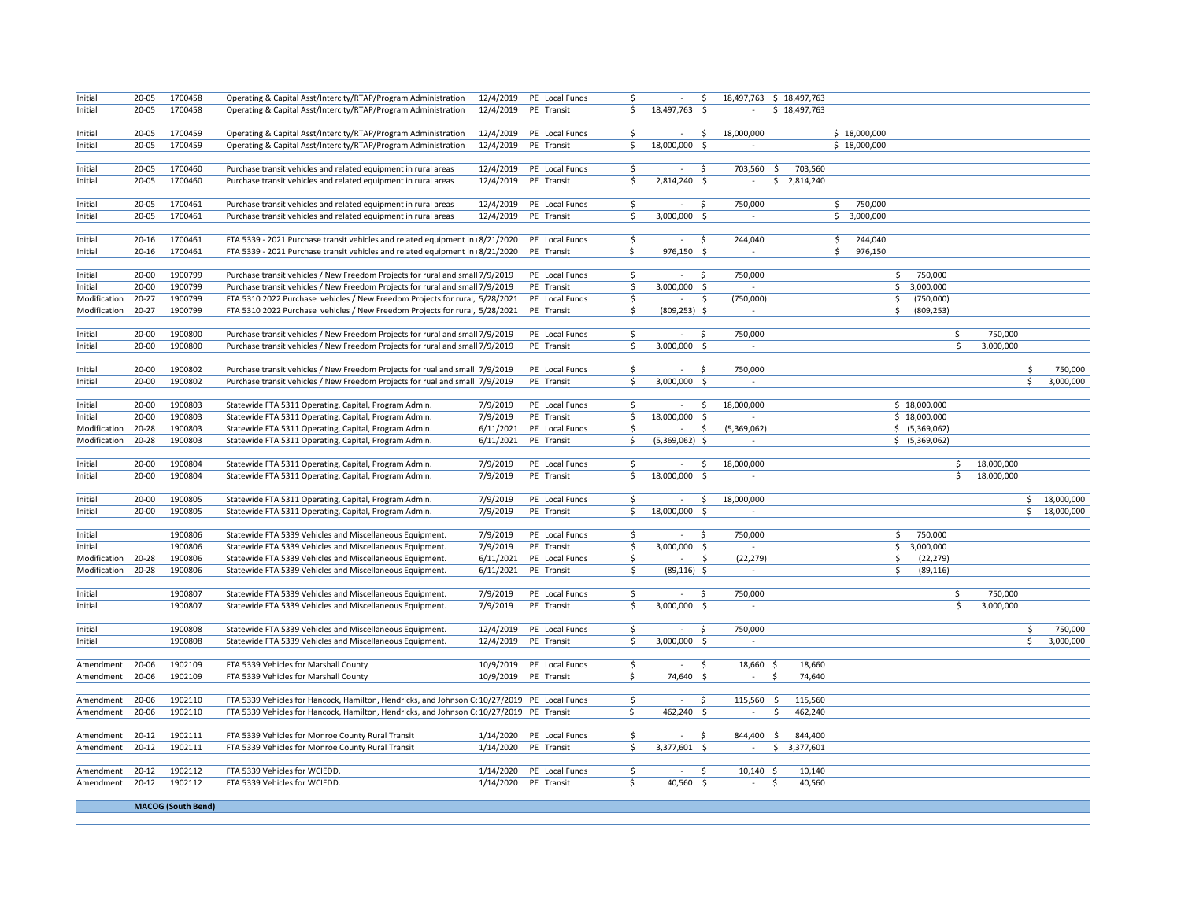| Initial            | $20 - 05$ | 1700458 | Operating & Capital Asst/Intercity/RTAP/Program Administration                               |           | 12/4/2019 PE Local Funds | \$  | $\sim$           | \$                          | 18,497,763 \$ 18,497,763 |               |                  |            |                 |
|--------------------|-----------|---------|----------------------------------------------------------------------------------------------|-----------|--------------------------|-----|------------------|-----------------------------|--------------------------|---------------|------------------|------------|-----------------|
| Initial            | $20 - 05$ | 1700458 | Operating & Capital Asst/Intercity/RTAP/Program Administration                               | 12/4/2019 | PE Transit               | Ś.  | 18,497,763 \$    | $\sim$                      | \$18,497,763             |               |                  |            |                 |
|                    |           |         |                                                                                              |           |                          |     |                  |                             |                          |               |                  |            |                 |
| Initial            | 20-05     | 1700459 | Operating & Capital Asst/Intercity/RTAP/Program Administration                               | 12/4/2019 | PE Local Funds           | \$  | $\sim$           | \$<br>18,000,000            |                          | \$18,000,000  |                  |            |                 |
| Initial            | 20-05     | 1700459 | Operating & Capital Asst/Intercity/RTAP/Program Administration                               | 12/4/2019 | PE Transit               | \$  | 18,000,000 \$    | $\sim$                      |                          | \$18,000,000  |                  |            |                 |
|                    |           |         |                                                                                              |           |                          |     |                  |                             |                          |               |                  |            |                 |
| Initial            | $20 - 05$ | 1700460 | Purchase transit vehicles and related equipment in rural areas                               | 12/4/2019 | PE Local Funds           | \$  | \$<br>$\sim$     | 703,560 \$                  | 703,560                  |               |                  |            |                 |
| Initial            | 20-05     | 1700460 | Purchase transit vehicles and related equipment in rural areas                               | 12/4/2019 | PE Transit               | \$  | 2,814,240 \$     | $\sim$                      | \$2,814,240              |               |                  |            |                 |
|                    |           |         |                                                                                              |           |                          |     |                  |                             |                          |               |                  |            |                 |
| Initial            | 20-05     | 1700461 | Purchase transit vehicles and related equipment in rural areas                               | 12/4/2019 | PE Local Funds           | \$  | \$<br>$\sim$     | 750,000                     |                          | \$<br>750,000 |                  |            |                 |
| Initial            | $20 - 05$ | 1700461 | Purchase transit vehicles and related equipment in rural areas                               |           | 12/4/2019 PE Transit     | \$  | 3,000,000 \$     | $\mathcal{L}_{\mathcal{A}}$ |                          | \$3,000,000   |                  |            |                 |
|                    |           |         |                                                                                              |           |                          |     |                  |                             |                          |               |                  |            |                 |
| Initial            | $20 - 16$ | 1700461 | FTA 5339 - 2021 Purchase transit vehicles and related equipment in 8/21/2020                 |           | PE Local Funds           | \$  | -\$<br>$\sim$    | 244,040                     |                          | 244,040<br>\$ |                  |            |                 |
| Initial            | $20 - 16$ | 1700461 | FTA 5339 - 2021 Purchase transit vehicles and related equipment in 8/21/2020                 |           | PE Transit               | Ŝ.  | 976,150 \$       | $\sim$                      |                          | 976,150<br>Ś. |                  |            |                 |
|                    |           |         |                                                                                              |           |                          |     |                  |                             |                          |               |                  |            |                 |
| Initial            | $20 - 00$ | 1900799 | Purchase transit vehicles / New Freedom Projects for rural and small 7/9/2019                |           | PE Local Funds           | \$  | $\sim$<br>- \$   | 750,000                     |                          |               | \$750,000        |            |                 |
| Initial            | $20 - 00$ | 1900799 | Purchase transit vehicles / New Freedom Projects for rural and small 7/9/2019                |           | PE Transit               | \$  | 3,000,000 \$     |                             |                          |               | \$3,000,000      |            |                 |
| Modification       | $20 - 27$ | 1900799 | FTA 5310 2022 Purchase vehicles / New Freedom Projects for rural, 5/28/2021                  |           | PE Local Funds           | \$  | $\sim$           | (750,000)<br>\$             |                          |               | \$ (750,000)     |            |                 |
| Modification       | $20 - 27$ | 1900799 | FTA 5310 2022 Purchase vehicles / New Freedom Projects for rural, 5/28/2021                  |           | PE Transit               | \$  | $(809, 253)$ \$  | $\sim$                      |                          |               | \$ (809, 253)    |            |                 |
|                    |           |         |                                                                                              |           |                          |     |                  |                             |                          |               |                  |            |                 |
|                    | $20 - 00$ | 1900800 |                                                                                              |           | PE Local Funds           | \$  |                  | 750,000                     |                          |               |                  | 750,000    |                 |
| Initial            |           |         | Purchase transit vehicles / New Freedom Projects for rural and small 7/9/2019                |           |                          |     | \$<br>$\sim$     | $\sim$                      |                          |               | \$               |            |                 |
| Initial            | $20 - 00$ | 1900800 | Purchase transit vehicles / New Freedom Projects for rural and small 7/9/2019                |           | PE Transit               | Ŝ.  | 3,000,000 \$     |                             |                          |               | \$               | 3,000,000  |                 |
|                    |           |         |                                                                                              |           |                          |     |                  |                             |                          |               |                  |            |                 |
| Initial            | $20 - 00$ | 1900802 | Purchase transit vehicles / New Freedom Projects for rual and small 7/9/2019                 |           | PE Local Funds           | S.  | $\sim 100$<br>S. | 750,000                     |                          |               |                  |            | \$<br>750,000   |
| Initial            | $20 - 00$ | 1900802 | Purchase transit vehicles / New Freedom Projects for rual and small 7/9/2019                 |           | PE Transit               | \$  | 3,000,000 \$     | $\overline{\phantom{a}}$    |                          |               |                  |            | \$<br>3,000,000 |
|                    |           |         |                                                                                              |           |                          |     |                  |                             |                          |               |                  |            |                 |
| Initial            | $20 - 00$ | 1900803 | Statewide FTA 5311 Operating, Capital, Program Admin.                                        | 7/9/2019  | PE Local Funds           | \$  | $\sim$           | $\frac{1}{2}$<br>18,000,000 |                          |               | \$18,000,000     |            |                 |
| Initial            | $20 - 00$ | 1900803 | Statewide FTA 5311 Operating, Capital, Program Admin.                                        | 7/9/2019  | PE Transit               | \$  | 18,000,000       | \$<br>×                     |                          |               | \$18,000,000     |            |                 |
| Modification       | 20-28     | 1900803 | Statewide FTA 5311 Operating, Capital, Program Admin.                                        | 6/11/2021 | PE Local Funds           | \$  | $\sim$           | \$<br>(5,369,062)           |                          |               | \$ (5,369,062)   |            |                 |
| Modification       | 20-28     | 1900803 | Statewide FTA 5311 Operating, Capital, Program Admin.                                        | 6/11/2021 | PE Transit               | \$  | $(5,369,062)$ \$ | $\sim$                      |                          |               | \$ (5,369,062)   |            |                 |
|                    |           |         |                                                                                              |           |                          |     |                  |                             |                          |               |                  |            |                 |
| Initial            | $20 - 00$ | 1900804 | Statewide FTA 5311 Operating, Capital, Program Admin.                                        | 7/9/2019  | PE Local Funds           | \$  | $\sim$           | 18,000,000<br>-\$           |                          |               | \$               | 18,000,000 |                 |
| Initial            | $20 - 00$ | 1900804 | Statewide FTA 5311 Operating, Capital, Program Admin.                                        | 7/9/2019  | PE Transit               | \$  | 18,000,000       | -\$                         |                          |               | \$               | 18,000,000 |                 |
|                    |           |         |                                                                                              |           |                          |     |                  |                             |                          |               |                  |            |                 |
| Initial            | $20 - 00$ | 1900805 | Statewide FTA 5311 Operating, Capital, Program Admin.                                        | 7/9/2019  | PE Local Funds           | \$  | $\sim$           | $\mathsf{S}$<br>18,000,000  |                          |               |                  |            | \$18,000,000    |
| Initial            | 20-00     | 1900805 | Statewide FTA 5311 Operating, Capital, Program Admin.                                        | 7/9/2019  | PE Transit               | \$  | 18,000,000 \$    | $\sim$                      |                          |               |                  |            | \$18,000,000    |
|                    |           |         |                                                                                              |           |                          |     |                  |                             |                          |               |                  |            |                 |
| Initial            |           | 1900806 | Statewide FTA 5339 Vehicles and Miscellaneous Equipment.                                     | 7/9/2019  | PE Local Funds           | \$  | S.<br>$\sim$     | 750,000                     |                          |               | 750,000<br>\$    |            |                 |
| Initial            |           | 1900806 | Statewide FTA 5339 Vehicles and Miscellaneous Equipment.                                     | 7/9/2019  | PE Transit               | Ś   | 3,000,000 \$     |                             |                          |               | \$3,000,000      |            |                 |
| Modification 20-28 |           | 1900806 | Statewide FTA 5339 Vehicles and Miscellaneous Equipment.                                     | 6/11/2021 | PE Local Funds           | \$  | $\sim$           | \$<br>(22, 279)             |                          |               | \$.<br>(22, 279) |            |                 |
| Modification       | 20-28     | 1900806 | Statewide FTA 5339 Vehicles and Miscellaneous Equipment.                                     | 6/11/2021 | PE Transit               | \$. | $(89, 116)$ \$   |                             |                          |               | (89, 116)<br>\$  |            |                 |
|                    |           |         |                                                                                              |           |                          |     |                  |                             |                          |               |                  |            |                 |
| Initial            |           | 1900807 | Statewide FTA 5339 Vehicles and Miscellaneous Equipment.                                     | 7/9/2019  | PE Local Funds           | \$  | \$               | 750,000                     |                          |               | \$               | 750,000    |                 |
| Initial            |           | 1900807 | Statewide FTA 5339 Vehicles and Miscellaneous Equipment.                                     | 7/9/2019  | PE Transit               | \$  | 3,000,000 \$     | $\sim$                      |                          |               | \$               | 3,000,000  |                 |
|                    |           |         |                                                                                              |           |                          |     |                  |                             |                          |               |                  |            |                 |
| Initial            |           | 1900808 | Statewide FTA 5339 Vehicles and Miscellaneous Equipment.                                     | 12/4/2019 | PE Local Funds           | \$  | \$<br>$\sim$     | 750,000                     |                          |               |                  |            | \$<br>750,000   |
| Initial            |           | 1900808 | Statewide FTA 5339 Vehicles and Miscellaneous Equipment.                                     | 12/4/2019 | PE Transit               | \$  | 3,000,000 \$     |                             |                          |               |                  |            | \$<br>3,000,000 |
|                    |           |         |                                                                                              |           |                          |     |                  |                             |                          |               |                  |            |                 |
| Amendment          | 20-06     | 1902109 | FTA 5339 Vehicles for Marshall County                                                        | 10/9/2019 | PE Local Funds           | \$  | $\sim$           | \$<br>$18,660$ \$           | 18,660                   |               |                  |            |                 |
| Amendment          | 20-06     | 1902109 | FTA 5339 Vehicles for Marshall County                                                        |           | 10/9/2019 PE Transit     | \$  | $74,640$ \$      | $\sim$                      | -\$<br>74,640            |               |                  |            |                 |
|                    |           |         |                                                                                              |           |                          |     |                  |                             |                          |               |                  |            |                 |
| Amendment          | 20-06     | 1902110 | FTA 5339 Vehicles for Hancock, Hamilton, Hendricks, and Johnson Cc 10/27/2019 PE Local Funds |           |                          | \$  | -\$<br>$\sim$    | 115,560 \$                  | 115,560                  |               |                  |            |                 |
| Amendment          | 20-06     | 1902110 | FTA 5339 Vehicles for Hancock, Hamilton, Hendricks, and Johnson Co 10/27/2019 PE Transit     |           |                          | S.  | 462,240 \$       | $\sim$                      | \$<br>462,240            |               |                  |            |                 |
|                    |           |         |                                                                                              |           |                          |     |                  |                             |                          |               |                  |            |                 |
| Amendment          | $20 - 12$ | 1902111 | FTA 5339 Vehicles for Monroe County Rural Transit                                            |           | 1/14/2020 PE Local Funds | \$  | $\sim$<br>- \$   | 844,400                     | - \$<br>844,400          |               |                  |            |                 |
| Amendment          | $20 - 12$ | 1902111 | FTA 5339 Vehicles for Monroe County Rural Transit                                            |           | 1/14/2020 PE Transit     | \$  | 3,377,601 \$     | $\sim$                      | \$3,377,601              |               |                  |            |                 |
|                    |           |         |                                                                                              |           |                          |     |                  |                             |                          |               |                  |            |                 |
| Amendment          | $20 - 12$ | 1902112 | FTA 5339 Vehicles for WCIEDD.                                                                | 1/14/2020 | PE Local Funds           | Š.  | $\sim$           | \$<br>$10,140$ \$           | 10,140                   |               |                  |            |                 |
| Amendment          | $20 - 12$ | 1902112 | FTA 5339 Vehicles for WCIEDD.                                                                |           | 1/14/2020 PE Transit     | \$  | 40,560 \$        | $\sim$                      | S.<br>40,560             |               |                  |            |                 |
|                    |           |         |                                                                                              |           |                          |     |                  |                             |                          |               |                  |            |                 |

**MACOG (South Bend)**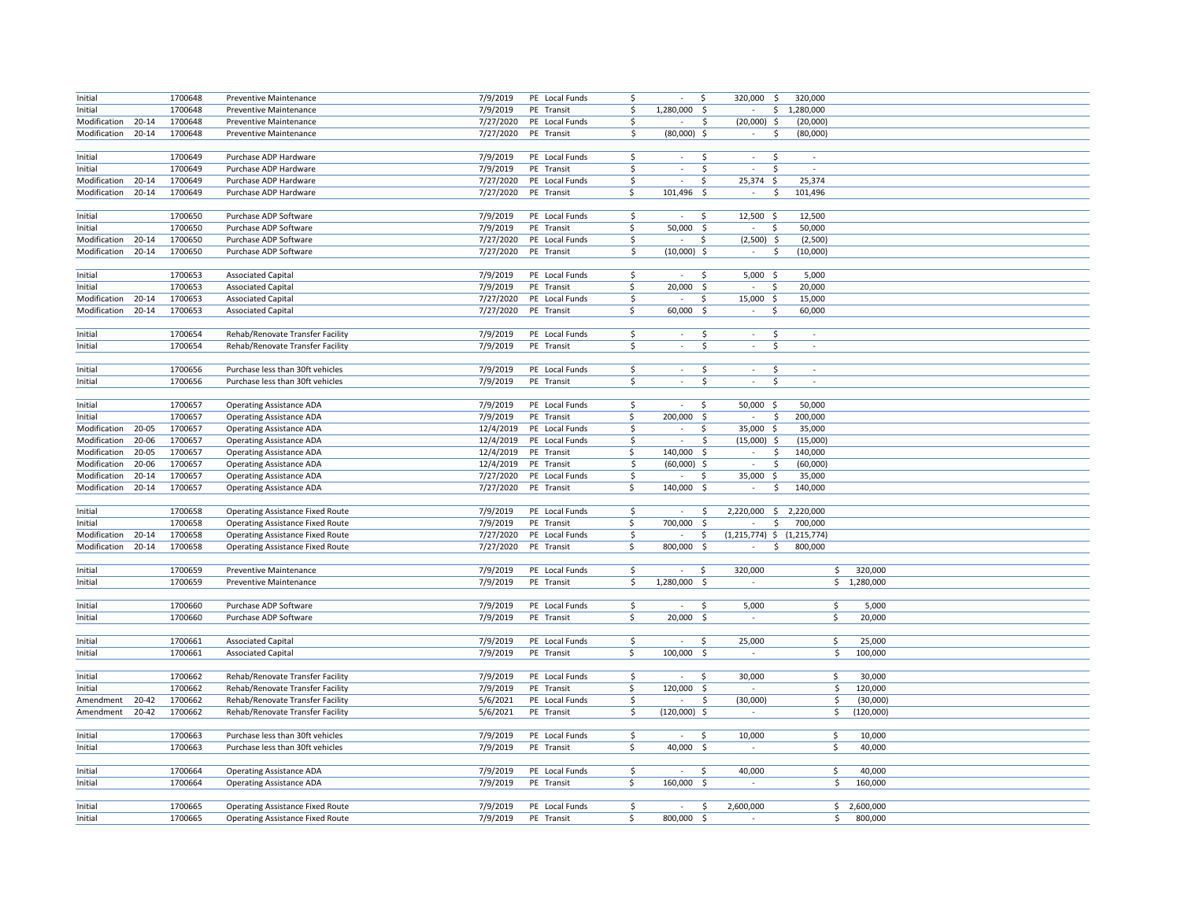| Initial                 |           | 1700648            | <b>Preventive Maintenance</b>                                                      | 7/9/2019              | PE Local Funds               | \$                        |                          | Ŝ.           | 320,000<br>$\ddot{\mathsf{S}}$       | 320,000     |             |  |
|-------------------------|-----------|--------------------|------------------------------------------------------------------------------------|-----------------------|------------------------------|---------------------------|--------------------------|--------------|--------------------------------------|-------------|-------------|--|
| Initial                 |           | 1700648            | <b>Preventive Maintenance</b>                                                      | 7/9/2019              | PE Transit                   | \$                        | 1,280,000 \$             |              | $\sim$                               | \$1,280,000 |             |  |
| Modification            | $20 - 14$ | 1700648            | Preventive Maintenance                                                             | 7/27/2020             | PE Local Funds               | \$                        |                          | \$           | $(20,000)$ \$                        | (20,000)    |             |  |
| Modification            | 20-14     | 1700648            | Preventive Maintenance                                                             | 7/27/2020             | PE Transit                   | \$                        | $(80,000)$ \$            |              | $\ddot{\varsigma}$<br>$\sim$         | (80,000)    |             |  |
|                         |           |                    |                                                                                    |                       |                              |                           |                          |              |                                      |             |             |  |
| Initial                 |           | 1700649            | Purchase ADP Hardware                                                              | 7/9/2019              | PE Local Funds               | \$                        | ×.                       | \$           | $\mathsf{S}$<br>$\sim$               | $\sim$      |             |  |
| Initial                 |           | 1700649            | Purchase ADP Hardware                                                              | 7/9/2019              | PE Transit                   | \$                        | $\sim$                   | \$           | \$<br>$\sim$                         | $\sim$      |             |  |
| Modification            | $20 - 14$ | 1700649            | Purchase ADP Hardware                                                              | 7/27/2020             | PE Local Funds               | \$                        | $\sim$                   | \$           | 25,374 \$                            | 25,374      |             |  |
| Modification            | 20-14     | 1700649            | Purchase ADP Hardware                                                              | 7/27/2020             | PE Transit                   | \$                        | 101,496 \$               |              | $\sim$<br>$\ddot{\varsigma}$         | 101,496     |             |  |
|                         |           |                    |                                                                                    |                       |                              |                           |                          |              |                                      |             |             |  |
| Initial                 |           | 1700650            | Purchase ADP Software                                                              | 7/9/2019              | PE Local Funds               | $\mathsf{S}$              | $\sim$                   | \$           | 12,500 \$                            | 12,500      |             |  |
| Initial                 |           | 1700650            | Purchase ADP Software                                                              | 7/9/2019              | PE Transit                   | \$                        | 50,000                   | -\$          | S,<br>$\sim$                         | 50,000      |             |  |
| Modification            | 20-14     | 1700650            | Purchase ADP Software                                                              | 7/27/2020             | PE Local Funds               | \$                        | $\sim$                   | \$           | $(2,500)$ \$                         | (2,500)     |             |  |
| Modification            | 20-14     | 1700650            | Purchase ADP Software                                                              | 7/27/2020             | PE Transit                   | \$                        | $(10,000)$ \$            |              | $\sim$<br>$\ddot{\varsigma}$         | (10,000)    |             |  |
|                         |           |                    |                                                                                    |                       |                              |                           |                          |              |                                      |             |             |  |
| Initial                 |           | 1700653            | <b>Associated Capital</b>                                                          | 7/9/2019              | PE Local Funds               | \$                        | $\sim$                   | S.           | $5,000$ \$                           | 5,000       |             |  |
| Initial                 |           | 1700653            | <b>Associated Capital</b>                                                          | 7/9/2019              | PE Transit                   | \$                        | 20,000                   | - Ś          | S,                                   | 20,000      |             |  |
| Modification            | $20 - 14$ | 1700653            | <b>Associated Capital</b>                                                          | 7/27/2020             | PE Local Funds               | $\ddot{\mathsf{S}}$       | $\sim$                   | \$.          | 15,000 \$                            | 15,000      |             |  |
| Modification            | $20 - 14$ | 1700653            | <b>Associated Capital</b>                                                          | 7/27/2020             | PE Transit                   | \$                        | 60,000 \$                |              | \$<br>$\sim$                         | 60,000      |             |  |
|                         |           |                    |                                                                                    |                       |                              |                           |                          |              |                                      |             |             |  |
| Initial                 |           | 1700654            | Rehab/Renovate Transfer Facility                                                   | 7/9/2019              | PE Local Funds               | \$                        | $\sim$                   | \$           | $\zeta$<br>$\sim$                    | ×.          |             |  |
| Initial                 |           | 1700654            | Rehab/Renovate Transfer Facility                                                   | 7/9/2019              | PE Transit                   | \$                        | $\overline{\phantom{a}}$ | \$           | \$<br>$\sim$                         | $\sim$      |             |  |
|                         |           |                    |                                                                                    |                       |                              |                           |                          |              |                                      |             |             |  |
| Initial                 |           | 1700656            | Purchase less than 30ft vehicles                                                   | 7/9/2019              | PE Local Funds               | \$                        | $\sim$                   | Ś            | $\sim$                               |             |             |  |
| Initial                 |           | 1700656            | Purchase less than 30ft vehicles                                                   | 7/9/2019              | PE Transit                   | \$                        | $\sim$                   | Ś            | \$<br>$\sim$                         | $\sim$      |             |  |
|                         |           |                    |                                                                                    |                       |                              |                           |                          |              |                                      |             |             |  |
| Initial                 |           | 1700657            | <b>Operating Assistance ADA</b>                                                    | 7/9/2019              | PE Local Funds               | \$                        | $\overline{\phantom{a}}$ | \$           | $50,000$ \$                          | 50,000      |             |  |
| Initial                 |           | 1700657            | <b>Operating Assistance ADA</b>                                                    | 7/9/2019              | PE Transit                   | \$.                       | 200,000                  | - Ś          | $\sim$<br>$\ddot{\varsigma}$         | 200,000     |             |  |
| Modification            | $20 - 05$ | 1700657            | <b>Operating Assistance ADA</b>                                                    | 12/4/2019             | PE Local Funds               | \$                        | $\sim$                   | Ŝ            | 35,000 \$                            | 35,000      |             |  |
| Modification            | 20-06     | 1700657            | <b>Operating Assistance ADA</b>                                                    | 12/4/2019             | PE Local Funds               | \$                        | $\sim$                   | Ś            | $(15,000)$ \$                        | (15,000)    |             |  |
| Modification            | 20-05     | 1700657            | <b>Operating Assistance ADA</b>                                                    | 12/4/2019             | PE Transit                   | \$.                       | 140,000                  | -\$          | $\sim$<br>\$                         | 140,000     |             |  |
| Modification            | 20-06     | 1700657            | <b>Operating Assistance ADA</b>                                                    | 12/4/2019             | PE Transit                   | \$                        | $(60,000)$ \$            |              | $\ddot{\varsigma}$                   | (60,000)    |             |  |
| Modification            | $20 - 14$ | 1700657            | <b>Operating Assistance ADA</b>                                                    | 7/27/2020             | PE Local Funds               | \$                        | $\sim$                   | \$.          | 35,000 \$                            | 35,000      |             |  |
| Modification            | $20 - 14$ | 1700657            | <b>Operating Assistance ADA</b>                                                    | 7/27/2020             | PE Transit                   | \$                        | 140,000                  | - \$         | \$<br>$\sim$                         | 140,000     |             |  |
|                         |           |                    |                                                                                    |                       |                              |                           |                          |              |                                      |             |             |  |
| Initial                 |           | 1700658            | <b>Operating Assistance Fixed Route</b>                                            | 7/9/2019              | PE Local Funds<br>PE Transit | $\ddot{\mathsf{S}}$       | $\sim$<br>700,000        | \$<br>- Ś    | 2,220,000 \$ 2,220,000               |             |             |  |
| Initial<br>Modification | $20 - 14$ | 1700658<br>1700658 | <b>Operating Assistance Fixed Route</b><br><b>Operating Assistance Fixed Route</b> | 7/9/2019<br>7/27/2020 | PE Local Funds               | \$<br>$\ddot{\mathsf{S}}$ | $\sim$                   | \$           | \$<br>$(1,215,774)$ \$ $(1,215,774)$ | 700,000     |             |  |
| Modification            | $20 - 14$ | 1700658            |                                                                                    | 7/27/2020             | PE Transit                   | \$                        | 800,000                  | \$           | \$<br>$\sim$                         | 800,000     |             |  |
|                         |           |                    | Operating Assistance Fixed Route                                                   |                       |                              |                           |                          |              |                                      |             |             |  |
| Initial                 |           | 1700659            | <b>Preventive Maintenance</b>                                                      | 7/9/2019              | PE Local Funds               | \$                        | $\sim$                   | \$           | 320,000                              | \$          | 320,000     |  |
| Initial                 |           | 1700659            | Preventive Maintenance                                                             | 7/9/2019              | PE Transit                   | \$                        | 1,280,000                | \$           | ÷                                    |             | \$1,280,000 |  |
|                         |           |                    |                                                                                    |                       |                              |                           |                          |              |                                      |             |             |  |
| Initial                 |           | 1700660            | Purchase ADP Software                                                              | 7/9/2019              | PE Local Funds               | \$                        | $\sim$                   | \$           | 5,000                                | \$          | 5,000       |  |
| Initial                 |           | 1700660            | Purchase ADP Software                                                              | 7/9/2019              | PE Transit                   | \$                        | 20,000 \$                |              | $\sim$                               | \$          | 20,000      |  |
|                         |           |                    |                                                                                    |                       |                              |                           |                          |              |                                      |             |             |  |
| Initial                 |           | 1700661            | <b>Associated Capital</b>                                                          | 7/9/2019              | PE Local Funds               | \$                        | $\sim$                   | \$           | 25,000                               | \$          | 25,000      |  |
| Initial                 |           | 1700661            | <b>Associated Capital</b>                                                          | 7/9/2019              | PE Transit                   | \$                        | 100,000                  | \$           | $\overline{\phantom{a}}$             | \$.         | 100,000     |  |
|                         |           |                    |                                                                                    |                       |                              |                           |                          |              |                                      |             |             |  |
| Initial                 |           | 1700662            | Rehab/Renovate Transfer Facility                                                   | 7/9/2019              | PE Local Funds               | \$                        | $\sim$                   | \$           | 30,000                               | \$          | 30,000      |  |
| Initial                 |           | 1700662            | Rehab/Renovate Transfer Facility                                                   | 7/9/2019              | PE Transit                   | \$                        | 120,000                  | -\$          |                                      | \$          | 120,000     |  |
| Amendment               | 20-42     | 1700662            | Rehab/Renovate Transfer Facility                                                   | 5/6/2021              | PE Local Funds               | \$                        | $\overline{\phantom{a}}$ | \$           | (30,000)                             | \$          | (30,000)    |  |
| Amendment               | $20 - 42$ | 1700662            | Rehab/Renovate Transfer Facility                                                   | 5/6/2021              | PE Transit                   | S.                        | $(120,000)$ \$           |              | $\sim$                               | \$          | (120,000)   |  |
|                         |           |                    |                                                                                    |                       |                              |                           |                          |              |                                      |             |             |  |
| Initial                 |           | 1700663            | Purchase less than 30ft vehicles                                                   | 7/9/2019              | PE Local Funds               | \$                        | $\sim$                   | S.           | 10,000                               | \$          | 10,000      |  |
| Initial                 |           | 1700663            | Purchase less than 30ft vehicles                                                   | 7/9/2019              | PE Transit                   | \$                        | 40,000                   | -\$          |                                      | \$          | 40,000      |  |
|                         |           |                    |                                                                                    |                       |                              |                           |                          |              |                                      |             |             |  |
| Initial                 |           | 1700664            | <b>Operating Assistance ADA</b>                                                    | 7/9/2019              | PE Local Funds               | -\$                       | $\sim$                   | \$.          | 40,000                               | \$.         | 40,000      |  |
| Initial                 |           | 1700664            | Operating Assistance ADA                                                           | 7/9/2019              | PE Transit                   | \$                        | $160,000$ \$             |              |                                      | \$          | 160,000     |  |
|                         |           |                    |                                                                                    |                       |                              |                           |                          |              |                                      |             |             |  |
| Initial                 |           | 1700665            | <b>Operating Assistance Fixed Route</b>                                            | 7/9/2019              | PE Local Funds               | \$                        |                          | $\mathsf{S}$ | 2,600,000                            |             | \$2,600,000 |  |
| Initial                 |           | 1700665            | <b>Operating Assistance Fixed Route</b>                                            | 7/9/2019              | PE Transit                   | \$                        | 800,000                  | Ŝ.           |                                      | \$          | 800,000     |  |
|                         |           |                    |                                                                                    |                       |                              |                           |                          |              |                                      |             |             |  |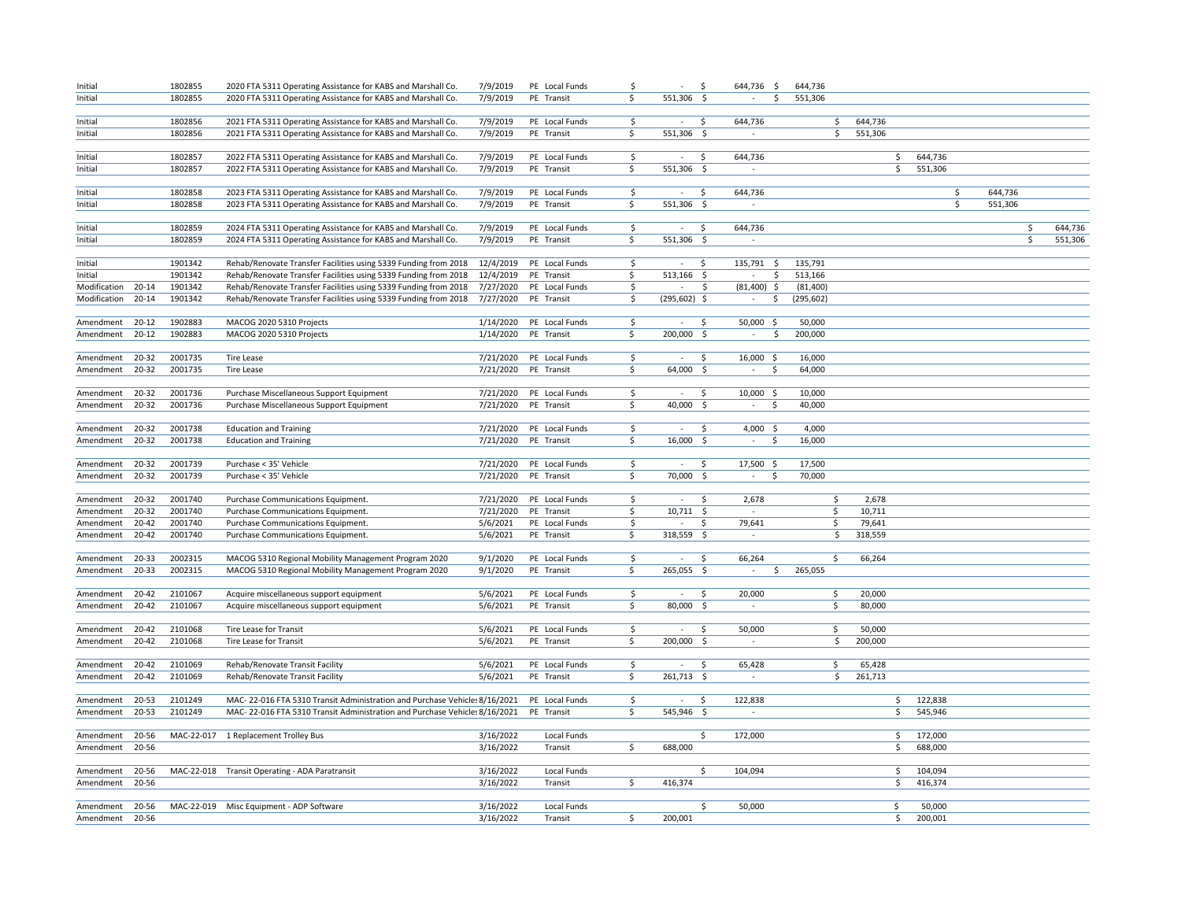| Initial      |           | 1802855 | 2020 FTA 5311 Operating Assistance for KABS and Marshall Co.               | 7/9/2019  | PE Local Funds | \$  | $\sim$          | \$                  | 644,736 \$                   | 644,736    |         |         |               |         |
|--------------|-----------|---------|----------------------------------------------------------------------------|-----------|----------------|-----|-----------------|---------------------|------------------------------|------------|---------|---------|---------------|---------|
| Initial      |           | 1802855 | 2020 FTA 5311 Operating Assistance for KABS and Marshall Co.               | 7/9/2019  | PE Transit     | \$  | 551,306         | $\ddot{\mathsf{S}}$ | \$                           | 551,306    |         |         |               |         |
|              |           |         |                                                                            |           |                |     |                 |                     |                              |            |         |         |               |         |
| Initial      |           | 1802856 | 2021 FTA 5311 Operating Assistance for KABS and Marshall Co.               | 7/9/2019  | PE Local Funds | \$  | $\sim$          | Ŝ.                  | 644.736                      | \$         | 644,736 |         |               |         |
| Initial      |           | 1802856 | 2021 FTA 5311 Operating Assistance for KABS and Marshall Co.               | 7/9/2019  | PE Transit     | \$  | 551,306 \$      |                     | $\overline{\phantom{a}}$     | \$         | 551,306 |         |               |         |
|              |           |         |                                                                            |           |                |     |                 |                     |                              |            |         |         |               |         |
| Initial      |           | 1802857 | 2022 FTA 5311 Operating Assistance for KABS and Marshall Co.               | 7/9/2019  | PE Local Funds | \$  | $\epsilon$      | \$                  | 644,736                      |            | \$      | 644,736 |               |         |
| Initial      |           | 1802857 | 2022 FTA 5311 Operating Assistance for KABS and Marshall Co.               | 7/9/2019  | PE Transit     | \$. | 551,306 \$      |                     |                              |            | \$      | 551,306 |               |         |
|              |           |         |                                                                            |           |                |     |                 |                     |                              |            |         |         |               |         |
| Initial      |           | 1802858 | 2023 FTA 5311 Operating Assistance for KABS and Marshall Co.               | 7/9/2019  | PE Local Funds | \$  | $\sim$          | \$                  | 644,736                      |            |         |         | \$<br>644,736 |         |
| Initial      |           | 1802858 | 2023 FTA 5311 Operating Assistance for KABS and Marshall Co.               | 7/9/2019  | PE Transit     | \$  | 551,306 \$      |                     | $\epsilon$                   |            |         |         | \$<br>551,306 |         |
|              |           |         |                                                                            |           |                |     |                 |                     |                              |            |         |         |               |         |
| Initial      |           | 1802859 | 2024 FTA 5311 Operating Assistance for KABS and Marshall Co.               | 7/9/2019  | PE Local Funds | \$  | $\sim$          | Ŝ                   | 644,736                      |            |         |         | Ś             | 644,736 |
| Initial      |           | 1802859 | 2024 FTA 5311 Operating Assistance for KABS and Marshall Co.               | 7/9/2019  | PE Transit     | \$  | 551,306         | -\$                 | $\sim$                       |            |         |         | \$            | 551,306 |
|              |           |         |                                                                            |           |                |     |                 |                     |                              |            |         |         |               |         |
| Initial      |           | 1901342 | Rehab/Renovate Transfer Facilities using 5339 Funding from 2018            | 12/4/2019 | PE Local Funds | \$  | $\sim$          | \$                  | 135,791<br>\$                | 135,791    |         |         |               |         |
| Initial      |           | 1901342 | Rehab/Renovate Transfer Facilities using 5339 Funding from 2018            | 12/4/2019 | PE Transit     | \$  | $513,166$ \$    |                     | \$<br>$\sim$                 | 513,166    |         |         |               |         |
| Modification | 20-14     | 1901342 | Rehab/Renovate Transfer Facilities using 5339 Funding from 2018            | 7/27/2020 | PE Local Funds | \$  |                 | \$                  | $(81,400)$ \$                | (81, 400)  |         |         |               |         |
| Modification | $20 - 14$ | 1901342 | Rehab/Renovate Transfer Facilities using 5339 Funding from 2018            | 7/27/2020 | PE Transit     | \$  | $(295, 602)$ \$ |                     | $\sim$<br>$\ddot{\varsigma}$ | (295, 602) |         |         |               |         |
|              |           |         |                                                                            |           |                |     |                 |                     |                              |            |         |         |               |         |
| Amendment    | $20 - 12$ | 1902883 | MACOG 2020 5310 Projects                                                   | 1/14/2020 | PE Local Funds | \$  | $\sim$          | \$                  | 50,000 \$                    | 50,000     |         |         |               |         |
| Amendment    | $20 - 12$ | 1902883 | MACOG 2020 5310 Projects                                                   | 1/14/2020 | PE Transit     | \$  | 200,000 \$      |                     | $\sim$<br>\$                 | 200,000    |         |         |               |         |
|              |           |         |                                                                            |           |                |     |                 |                     |                              |            |         |         |               |         |
| Amendment    | 20-32     | 2001735 | <b>Tire Lease</b>                                                          | 7/21/2020 | PE Local Funds | \$  | $\sim$          | \$.                 | 16,000<br>-\$                | 16,000     |         |         |               |         |
| Amendment    | 20-32     | 2001735 | <b>Tire Lease</b>                                                          | 7/21/2020 | PE Transit     | \$  | 64,000 \$       |                     | $\sim$<br>\$                 | 64,000     |         |         |               |         |
|              |           |         |                                                                            |           |                |     |                 |                     |                              |            |         |         |               |         |
| Amendment    | 20-32     | 2001736 | Purchase Miscellaneous Support Equipment                                   | 7/21/2020 | PE Local Funds | \$  | $\sim$          | \$                  | 10,000 \$                    | 10,000     |         |         |               |         |
| Amendment    | 20-32     | 2001736 | Purchase Miscellaneous Support Equipment                                   | 7/21/2020 | PE Transit     | Ŝ.  | 40,000 \$       |                     | \$<br>$\sim$                 | 40,000     |         |         |               |         |
|              |           |         |                                                                            |           |                |     |                 |                     |                              |            |         |         |               |         |
| Amendment    | 20-32     | 2001738 | <b>Education and Training</b>                                              | 7/21/2020 | PE Local Funds | \$  | $\sim$          | \$                  | 4,000 \$                     | 4,000      |         |         |               |         |
| Amendment    | 20-32     | 2001738 | <b>Education and Training</b>                                              | 7/21/2020 | PE Transit     | S.  | $16,000$ \$     |                     | $\sim$<br>Ŝ.                 | 16,000     |         |         |               |         |
| Amendment    | 20-32     | 2001739 | Purchase < 35' Vehicle                                                     | 7/21/2020 | PE Local Funds | \$  | $\sim$          | \$                  | 17,500 \$                    | 17,500     |         |         |               |         |
| Amendment    | 20-32     | 2001739 | Purchase < 35' Vehicle                                                     | 7/21/2020 | PE Transit     | S.  | 70,000 \$       |                     | $\sim$<br>S.                 | 70,000     |         |         |               |         |
|              |           |         |                                                                            |           |                |     |                 |                     |                              |            |         |         |               |         |
| Amendment    | 20-32     | 2001740 | Purchase Communications Equipment.                                         | 7/21/2020 | PE Local Funds | \$  | $\sim$          | \$                  | 2,678                        | \$         | 2,678   |         |               |         |
| Amendment    | 20-32     | 2001740 | Purchase Communications Equipment.                                         | 7/21/2020 | PE Transit     | \$  | $10,711$ \$     |                     | $\sim$                       | \$         | 10,711  |         |               |         |
| Amendment    | $20 - 42$ | 2001740 | Purchase Communications Equipment.                                         | 5/6/2021  | PE Local Funds | \$  | $\sim$          | \$                  | 79,641                       | \$         | 79,641  |         |               |         |
| Amendment    | $20 - 42$ | 2001740 | Purchase Communications Equipment.                                         | 5/6/2021  | PE Transit     | \$. | 318,559 \$      |                     | $\sim$                       | \$         | 318,559 |         |               |         |
|              |           |         |                                                                            |           |                |     |                 |                     |                              |            |         |         |               |         |
| Amendment    | 20-33     | 2002315 | MACOG 5310 Regional Mobility Management Program 2020                       | 9/1/2020  | PE Local Funds | \$  | $\sim$          | \$.                 | 66,264                       | \$         | 66,264  |         |               |         |
| Amendment    | 20-33     | 2002315 | MACOG 5310 Regional Mobility Management Program 2020                       | 9/1/2020  | PE Transit     | \$. | 265,055 \$      |                     | $\sim$<br>\$                 | 265,055    |         |         |               |         |
|              |           |         |                                                                            |           |                |     |                 |                     |                              |            |         |         |               |         |
| Amendment    | $20 - 42$ | 2101067 | Acquire miscellaneous support equipment                                    | 5/6/2021  | PE Local Funds | \$  | $\sim$          | \$                  | 20,000                       | \$         | 20,000  |         |               |         |
| Amendment    | $20 - 42$ | 2101067 | Acquire miscellaneous support equipment                                    | 5/6/2021  | PE Transit     | Ŝ.  | 80,000 \$       |                     | $\sim$                       | \$         | 80,000  |         |               |         |
|              |           |         |                                                                            |           |                |     |                 |                     |                              |            |         |         |               |         |
| Amendment    | $20 - 42$ | 2101068 | Tire Lease for Transit                                                     | 5/6/2021  | PE Local Funds | \$  | $\sim$          | \$                  | 50,000                       | \$         | 50,000  |         |               |         |
| Amendment    | $20 - 42$ | 2101068 | Tire Lease for Transit                                                     | 5/6/2021  | PE Transit     | Ś.  | 200,000 \$      |                     |                              | \$         | 200,000 |         |               |         |
|              |           |         |                                                                            |           |                |     |                 |                     |                              |            |         |         |               |         |
| Amendment    | $20 - 42$ | 2101069 | Rehab/Renovate Transit Facility                                            | 5/6/2021  | PE Local Funds | \$  | $\sim$          | \$                  | 65,428                       | \$         | 65,428  |         |               |         |
| Amendment    | $20 - 42$ | 2101069 | Rehab/Renovate Transit Facility                                            | 5/6/2021  | PE Transit     | \$  | $261,713$ \$    |                     |                              | \$         | 261,713 |         |               |         |
|              |           |         |                                                                            |           |                |     |                 |                     |                              |            |         |         |               |         |
| Amendment    | 20-53     | 2101249 | MAC-22-016 FTA 5310 Transit Administration and Purchase Vehicles 8/16/2021 |           | PE Local Funds | \$  | $\sim$          | \$.                 | 122,838                      |            | \$      | 122,838 |               |         |
| Amendment    | 20-53     | 2101249 | MAC-22-016 FTA 5310 Transit Administration and Purchase Vehicles 8/16/2021 |           | PE Transit     | \$  | 545,946 \$      |                     |                              |            | \$      | 545,946 |               |         |
|              |           |         |                                                                            |           |                |     |                 |                     |                              |            |         |         |               |         |
| Amendment    | 20-56     |         | MAC-22-017 1 Replacement Trolley Bus                                       | 3/16/2022 | Local Funds    |     |                 | \$.                 | 172,000                      |            | \$      | 172,000 |               |         |
| Amendment    | 20-56     |         |                                                                            | 3/16/2022 | Transit        | \$  | 688,000         |                     |                              |            | \$      | 688,000 |               |         |
|              |           |         |                                                                            |           |                |     |                 |                     |                              |            |         |         |               |         |
| Amendment    | 20-56     |         | MAC-22-018 Transit Operating - ADA Paratransit                             | 3/16/2022 | Local Funds    |     |                 | Ŝ.                  | 104.094                      |            | \$      | 104,094 |               |         |
| Amendment    | 20-56     |         |                                                                            | 3/16/2022 | Transit        | \$  | 416,374         |                     |                              |            | \$      | 416,374 |               |         |
|              |           |         |                                                                            |           |                |     |                 |                     |                              |            |         |         |               |         |
| Amendment    | 20-56     |         | MAC-22-019 Misc Equipment - ADP Software                                   | 3/16/2022 | Local Funds    |     |                 | \$.                 | 50,000                       |            | \$      | 50,000  |               |         |
| Amendment    | 20-56     |         |                                                                            | 3/16/2022 | Transit        | \$  | 200,001         |                     |                              |            | \$      | 200,001 |               |         |